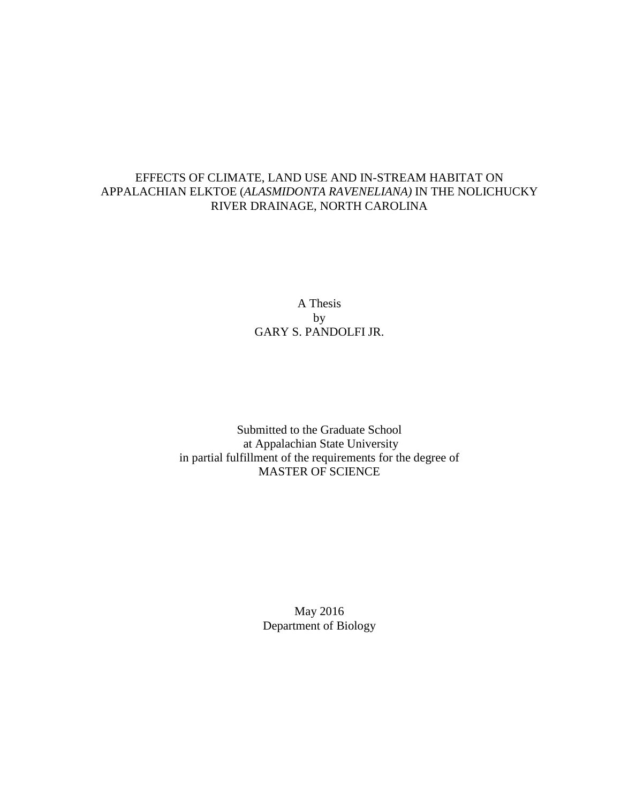## EFFECTS OF CLIMATE, LAND USE AND IN-STREAM HABITAT ON APPALACHIAN ELKTOE (*ALASMIDONTA RAVENELIANA)* IN THE NOLICHUCKY RIVER DRAINAGE, NORTH CAROLINA

A Thesis by GARY S. PANDOLFI JR.

Submitted to the Graduate School at Appalachian State University in partial fulfillment of the requirements for the degree of MASTER OF SCIENCE

> May 2016 Department of Biology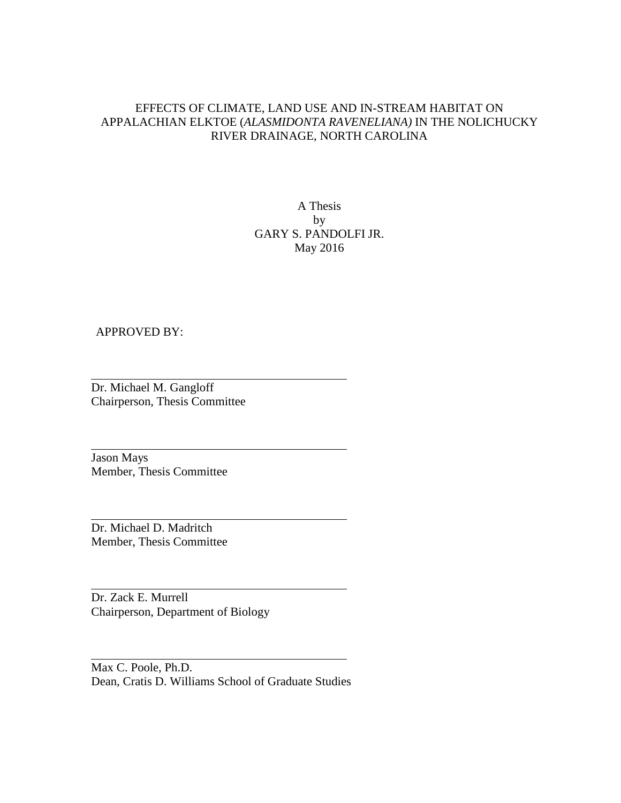## EFFECTS OF CLIMATE, LAND USE AND IN-STREAM HABITAT ON APPALACHIAN ELKTOE (*ALASMIDONTA RAVENELIANA)* IN THE NOLICHUCKY RIVER DRAINAGE, NORTH CAROLINA

## A Thesis by GARY S. PANDOLFI JR. May 2016

#### APPROVED BY:

Dr. Michael M. Gangloff Chairperson, Thesis Committee

Jason Mays Member, Thesis Committee

Dr. Michael D. Madritch Member, Thesis Committee

Dr. Zack E. Murrell Chairperson, Department of Biology

Max C. Poole, Ph.D. Dean, Cratis D. Williams School of Graduate Studies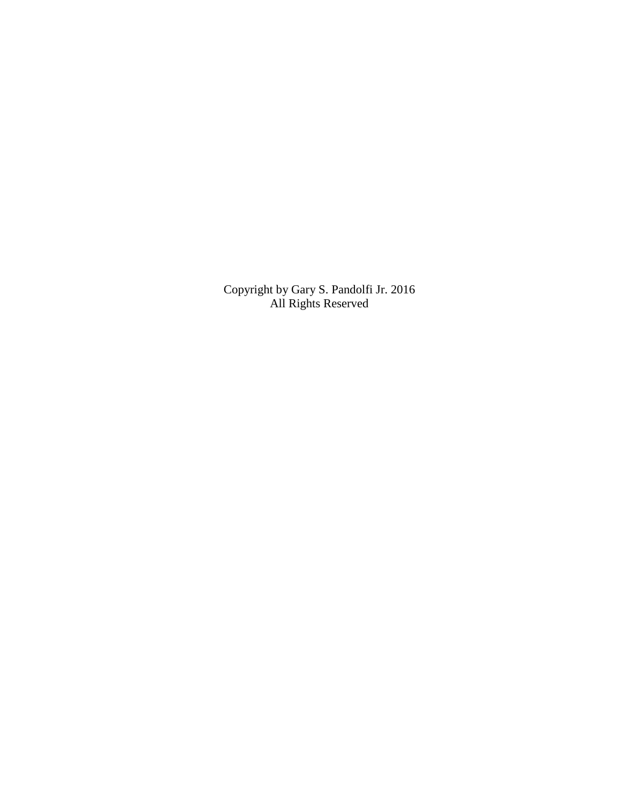Copyright by Gary S. Pandolfi Jr. 2016 All Rights Reserved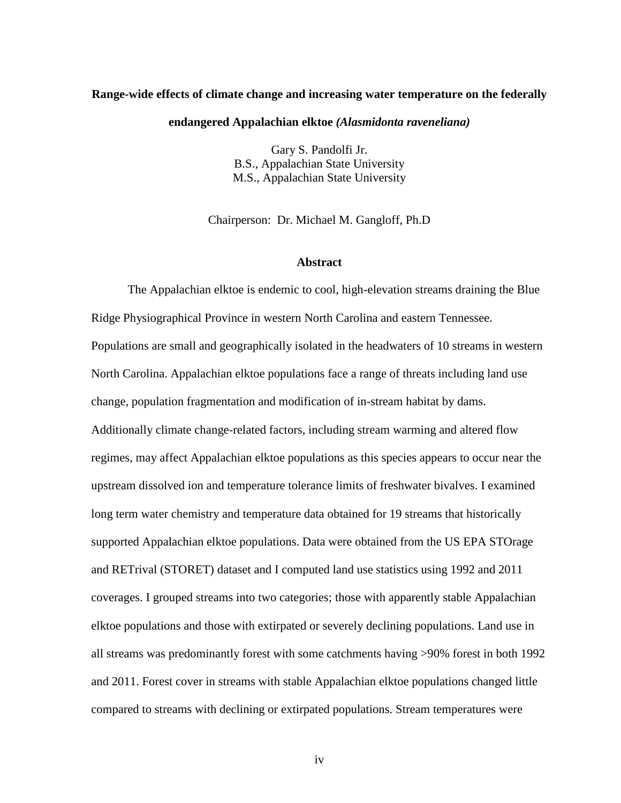#### **Range-wide effects of climate change and increasing water temperature on the federally**

#### **endangered Appalachian elktoe** *(Alasmidonta raveneliana)*

Gary S. Pandolfi Jr. B.S., Appalachian State University M.S., Appalachian State University

Chairperson: Dr. Michael M. Gangloff, Ph.D

#### **Abstract**

The Appalachian elktoe is endemic to cool, high-elevation streams draining the Blue Ridge Physiographical Province in western North Carolina and eastern Tennessee. Populations are small and geographically isolated in the headwaters of 10 streams in western North Carolina. Appalachian elktoe populations face a range of threats including land use change, population fragmentation and modification of in-stream habitat by dams. Additionally climate change-related factors, including stream warming and altered flow regimes, may affect Appalachian elktoe populations as this species appears to occur near the upstream dissolved ion and temperature tolerance limits of freshwater bivalves. I examined long term water chemistry and temperature data obtained for 19 streams that historically supported Appalachian elktoe populations. Data were obtained from the US EPA STOrage and RETrival (STORET) dataset and I computed land use statistics using 1992 and 2011 coverages. I grouped streams into two categories; those with apparently stable Appalachian elktoe populations and those with extirpated or severely declining populations. Land use in all streams was predominantly forest with some catchments having >90% forest in both 1992 and 2011. Forest cover in streams with stable Appalachian elktoe populations changed little compared to streams with declining or extirpated populations. Stream temperatures were

iv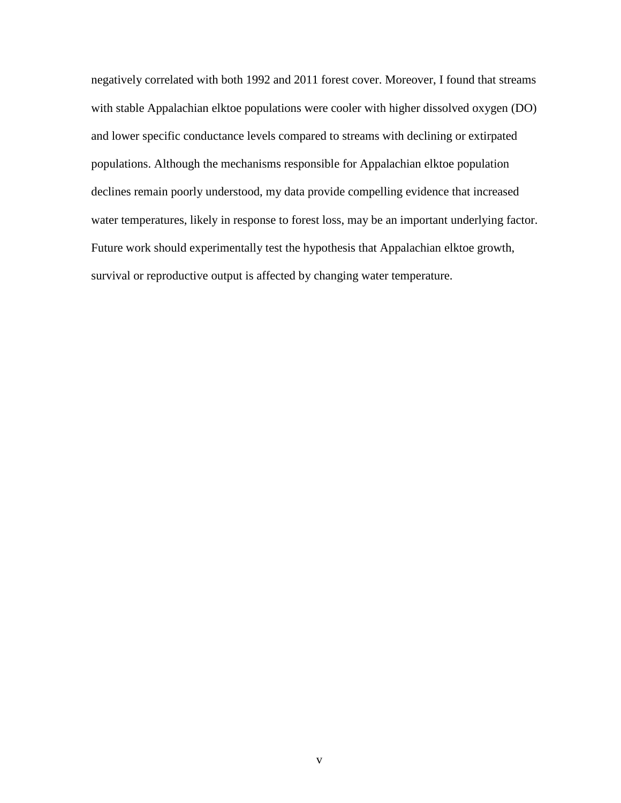negatively correlated with both 1992 and 2011 forest cover. Moreover, I found that streams with stable Appalachian elktoe populations were cooler with higher dissolved oxygen (DO) and lower specific conductance levels compared to streams with declining or extirpated populations. Although the mechanisms responsible for Appalachian elktoe population declines remain poorly understood, my data provide compelling evidence that increased water temperatures, likely in response to forest loss, may be an important underlying factor. Future work should experimentally test the hypothesis that Appalachian elktoe growth, survival or reproductive output is affected by changing water temperature.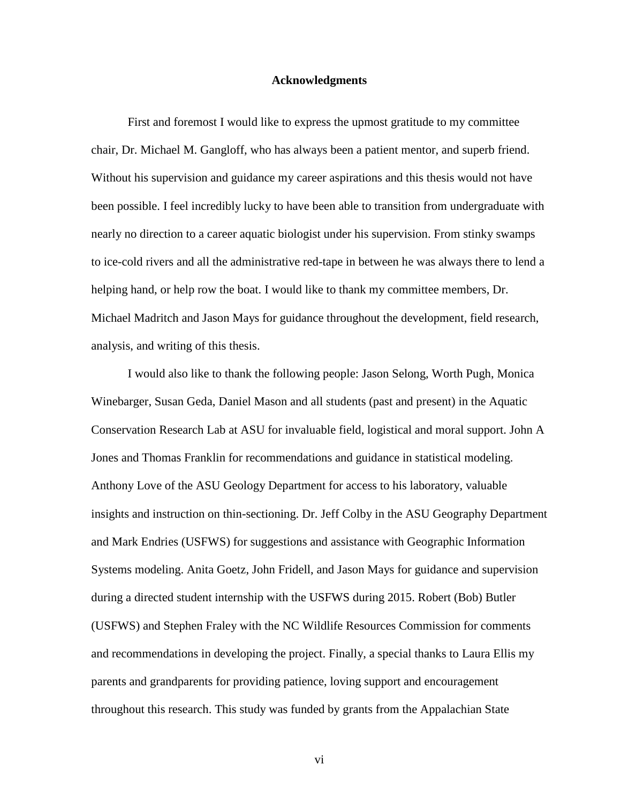#### **Acknowledgments**

First and foremost I would like to express the upmost gratitude to my committee chair, Dr. Michael M. Gangloff, who has always been a patient mentor, and superb friend. Without his supervision and guidance my career aspirations and this thesis would not have been possible. I feel incredibly lucky to have been able to transition from undergraduate with nearly no direction to a career aquatic biologist under his supervision. From stinky swamps to ice-cold rivers and all the administrative red-tape in between he was always there to lend a helping hand, or help row the boat. I would like to thank my committee members, Dr. Michael Madritch and Jason Mays for guidance throughout the development, field research, analysis, and writing of this thesis.

I would also like to thank the following people: Jason Selong, Worth Pugh, Monica Winebarger, Susan Geda, Daniel Mason and all students (past and present) in the Aquatic Conservation Research Lab at ASU for invaluable field, logistical and moral support. John A Jones and Thomas Franklin for recommendations and guidance in statistical modeling. Anthony Love of the ASU Geology Department for access to his laboratory, valuable insights and instruction on thin-sectioning. Dr. Jeff Colby in the ASU Geography Department and Mark Endries (USFWS) for suggestions and assistance with Geographic Information Systems modeling. Anita Goetz, John Fridell, and Jason Mays for guidance and supervision during a directed student internship with the USFWS during 2015. Robert (Bob) Butler (USFWS) and Stephen Fraley with the NC Wildlife Resources Commission for comments and recommendations in developing the project. Finally, a special thanks to Laura Ellis my parents and grandparents for providing patience, loving support and encouragement throughout this research. This study was funded by grants from the Appalachian State

vi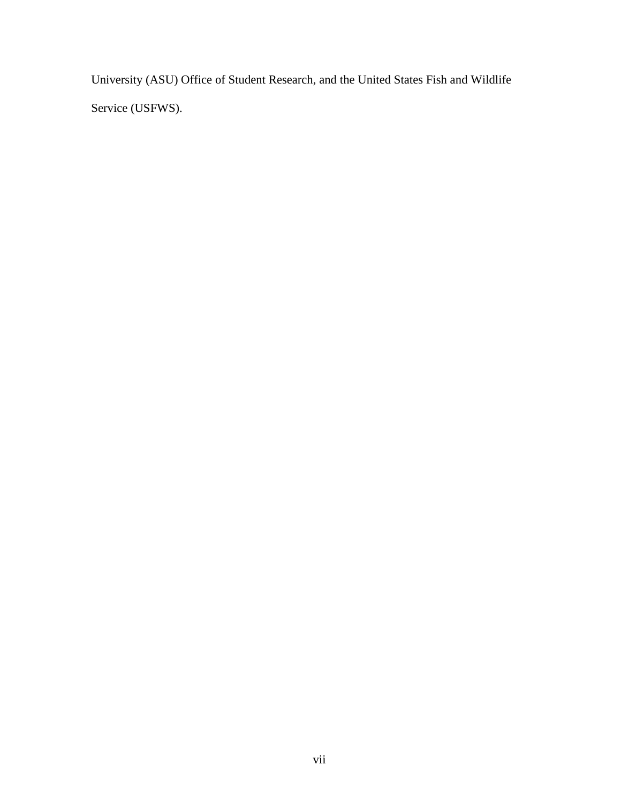University (ASU) Office of Student Research, and the United States Fish and Wildlife Service (USFWS).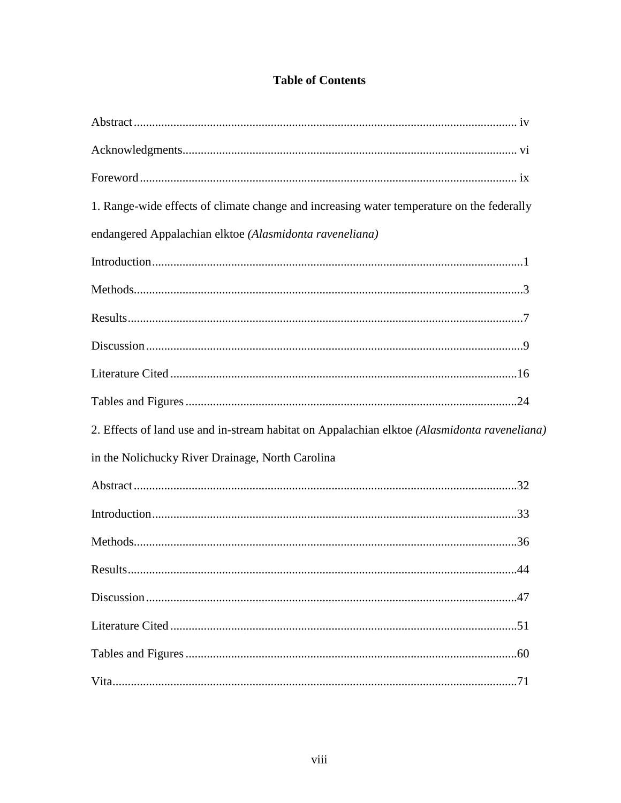# **Table of Contents**

| 1. Range-wide effects of climate change and increasing water temperature on the federally    |            |
|----------------------------------------------------------------------------------------------|------------|
| endangered Appalachian elktoe (Alasmidonta raveneliana)                                      |            |
|                                                                                              |            |
|                                                                                              |            |
|                                                                                              |            |
|                                                                                              |            |
|                                                                                              |            |
|                                                                                              |            |
| 2. Effects of land use and in-stream habitat on Appalachian elktoe (Alasmidonta raveneliana) |            |
| in the Nolichucky River Drainage, North Carolina                                             |            |
|                                                                                              |            |
|                                                                                              |            |
|                                                                                              |            |
|                                                                                              | $\Delta A$ |
|                                                                                              |            |
|                                                                                              |            |
|                                                                                              |            |
|                                                                                              |            |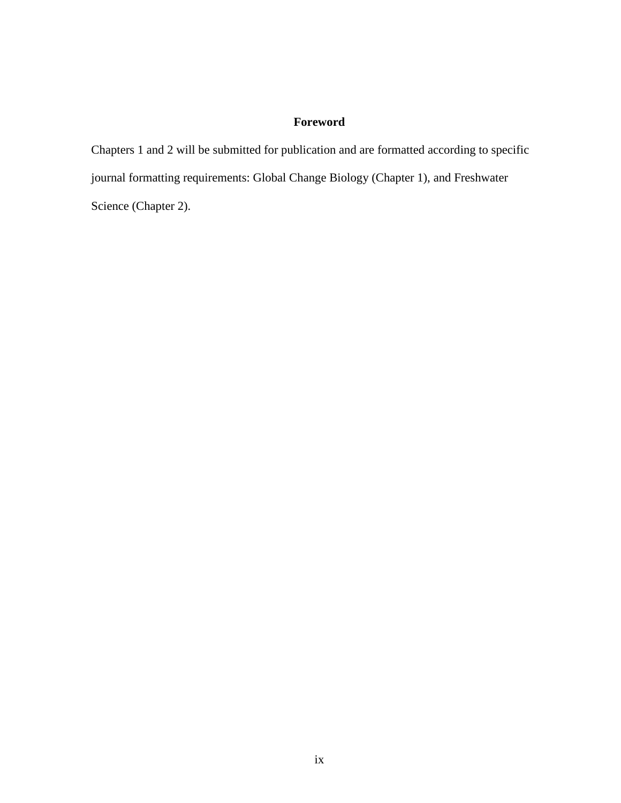# **Foreword**

Chapters 1 and 2 will be submitted for publication and are formatted according to specific journal formatting requirements: Global Change Biology (Chapter 1), and Freshwater Science (Chapter 2).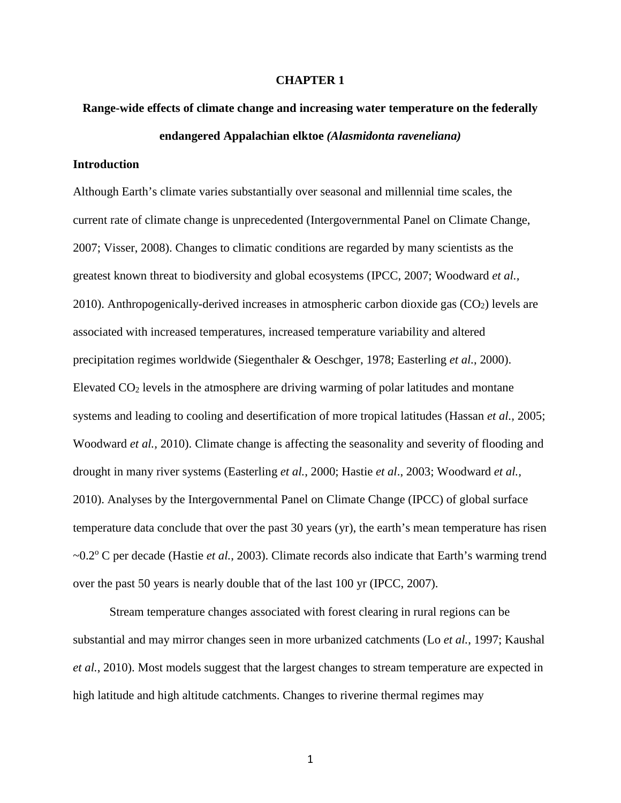#### **CHAPTER 1**

# **Range-wide effects of climate change and increasing water temperature on the federally endangered Appalachian elktoe** *(Alasmidonta raveneliana)*

#### **Introduction**

Although Earth's climate varies substantially over seasonal and millennial time scales, the current rate of climate change is unprecedented (Intergovernmental Panel on Climate Change, 2007; Visser, 2008). Changes to climatic conditions are regarded by many scientists as the greatest known threat to biodiversity and global ecosystems (IPCC, 2007; Woodward *et al.,*  2010). Anthropogenically-derived increases in atmospheric carbon dioxide gas  $(CO<sub>2</sub>)$  levels are associated with increased temperatures, increased temperature variability and altered precipitation regimes worldwide (Siegenthaler & Oeschger, 1978; Easterling *et al.*, 2000). Elevated  $CO<sub>2</sub>$  levels in the atmosphere are driving warming of polar latitudes and montane systems and leading to cooling and desertification of more tropical latitudes (Hassan *et al.,* 2005; Woodward *et al.,* 2010). Climate change is affecting the seasonality and severity of flooding and drought in many river systems (Easterling *et al.*, 2000; Hastie *et al*., 2003; Woodward *et al.,*  2010). Analyses by the Intergovernmental Panel on Climate Change (IPCC) of global surface temperature data conclude that over the past 30 years (yr), the earth's mean temperature has risen ~0.2<sup>o</sup> C per decade (Hastie *et al.*, 2003). Climate records also indicate that Earth's warming trend over the past 50 years is nearly double that of the last 100 yr (IPCC, 2007).

Stream temperature changes associated with forest clearing in rural regions can be substantial and may mirror changes seen in more urbanized catchments (Lo *et al.*, 1997; Kaushal *et al.*, 2010). Most models suggest that the largest changes to stream temperature are expected in high latitude and high altitude catchments. Changes to riverine thermal regimes may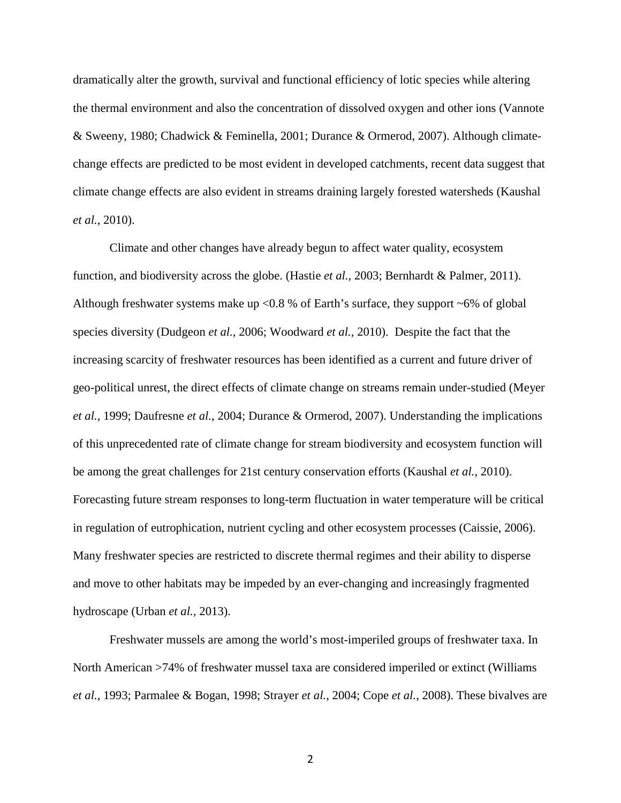dramatically alter the growth, survival and functional efficiency of lotic species while altering the thermal environment and also the concentration of dissolved oxygen and other ions (Vannote & Sweeny, 1980; Chadwick & Feminella, 2001; Durance & Ormerod, 2007). Although climatechange effects are predicted to be most evident in developed catchments, recent data suggest that climate change effects are also evident in streams draining largely forested watersheds (Kaushal *et al.*, 2010).

Climate and other changes have already begun to affect water quality, ecosystem function, and biodiversity across the globe. (Hastie *et al.,* 2003; Bernhardt & Palmer, 2011). Although freshwater systems make up  $\langle 0.8 \times 0.8 \times 0.8 \times 0.8 \times 0.8 \times 0.8 \times 0.8 \times 0.8 \times 0.8 \times 0.8 \times 0.8 \times 0.8 \times 0.8 \times 0.8 \times 0.8 \times 0.8 \times 0.8 \times 0.8 \times 0.8 \times 0.8 \times 0.8 \times 0.8 \times 0.8 \times 0.8 \times 0.8 \times 0.8 \times 0.8 \times 0.8 \times 0.8 \times 0.8 \times 0$ species diversity (Dudgeon *et al.*, 2006; Woodward *et al.,* 2010). Despite the fact that the increasing scarcity of freshwater resources has been identified as a current and future driver of geo-political unrest, the direct effects of climate change on streams remain under-studied (Meyer *et al.*, 1999; Daufresne *et al.*, 2004; Durance & Ormerod, 2007). Understanding the implications of this unprecedented rate of climate change for stream biodiversity and ecosystem function will be among the great challenges for 21st century conservation efforts (Kaushal *et al.*, 2010). Forecasting future stream responses to long-term fluctuation in water temperature will be critical in regulation of eutrophication, nutrient cycling and other ecosystem processes (Caissie, 2006). Many freshwater species are restricted to discrete thermal regimes and their ability to disperse and move to other habitats may be impeded by an ever-changing and increasingly fragmented hydroscape (Urban *et al.,* 2013).

Freshwater mussels are among the world's most-imperiled groups of freshwater taxa. In North American >74% of freshwater mussel taxa are considered imperiled or extinct (Williams *et al.*, 1993; Parmalee & Bogan, 1998; Strayer *et al.*, 2004; Cope *et al.*, 2008). These bivalves are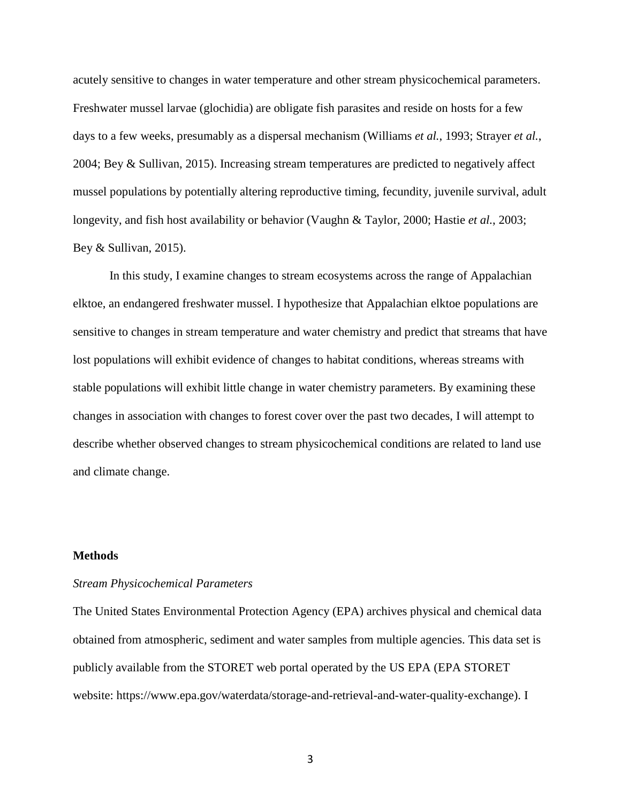acutely sensitive to changes in water temperature and other stream physicochemical parameters. Freshwater mussel larvae (glochidia) are obligate fish parasites and reside on hosts for a few days to a few weeks, presumably as a dispersal mechanism (Williams *et al.*, 1993; Strayer *et al.*, 2004; Bey & Sullivan, 2015). Increasing stream temperatures are predicted to negatively affect mussel populations by potentially altering reproductive timing, fecundity, juvenile survival, adult longevity, and fish host availability or behavior (Vaughn & Taylor, 2000; Hastie *et al.*, 2003; Bey & Sullivan, 2015).

In this study, I examine changes to stream ecosystems across the range of Appalachian elktoe, an endangered freshwater mussel. I hypothesize that Appalachian elktoe populations are sensitive to changes in stream temperature and water chemistry and predict that streams that have lost populations will exhibit evidence of changes to habitat conditions, whereas streams with stable populations will exhibit little change in water chemistry parameters. By examining these changes in association with changes to forest cover over the past two decades, I will attempt to describe whether observed changes to stream physicochemical conditions are related to land use and climate change.

#### **Methods**

#### *Stream Physicochemical Parameters*

The United States Environmental Protection Agency (EPA) archives physical and chemical data obtained from atmospheric, sediment and water samples from multiple agencies. This data set is publicly available from the STORET web portal operated by the US EPA (EPA STORET website: https://www.epa.gov/waterdata/storage-and-retrieval-and-water-quality-exchange). I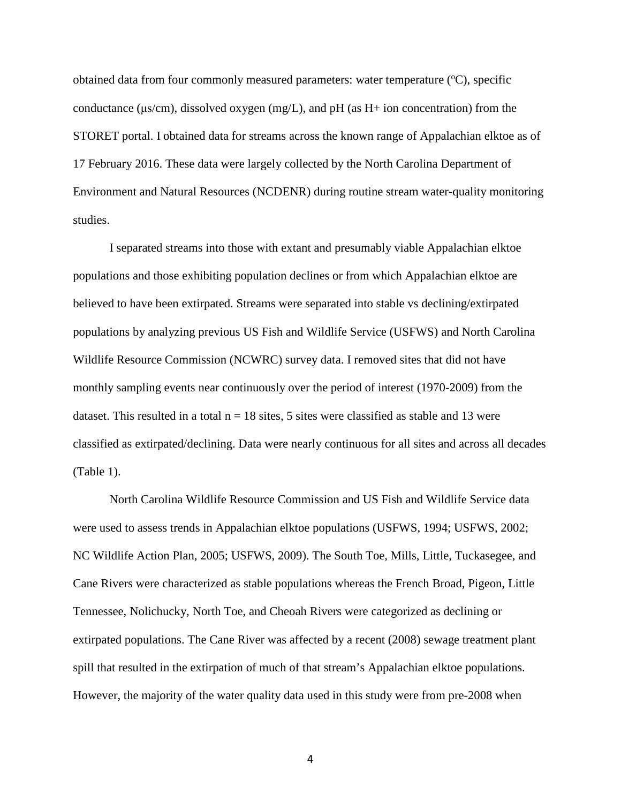obtained data from four commonly measured parameters: water temperature (°C), specific conductance (μs/cm), dissolved oxygen (mg/L), and pH (as H+ ion concentration) from the STORET portal. I obtained data for streams across the known range of Appalachian elktoe as of 17 February 2016. These data were largely collected by the North Carolina Department of Environment and Natural Resources (NCDENR) during routine stream water-quality monitoring studies.

I separated streams into those with extant and presumably viable Appalachian elktoe populations and those exhibiting population declines or from which Appalachian elktoe are believed to have been extirpated. Streams were separated into stable vs declining/extirpated populations by analyzing previous US Fish and Wildlife Service (USFWS) and North Carolina Wildlife Resource Commission (NCWRC) survey data. I removed sites that did not have monthly sampling events near continuously over the period of interest (1970-2009) from the dataset. This resulted in a total  $n = 18$  sites, 5 sites were classified as stable and 13 were classified as extirpated/declining. Data were nearly continuous for all sites and across all decades (Table 1).

North Carolina Wildlife Resource Commission and US Fish and Wildlife Service data were used to assess trends in Appalachian elktoe populations (USFWS, 1994; USFWS, 2002; NC Wildlife Action Plan, 2005; USFWS, 2009). The South Toe, Mills, Little, Tuckasegee, and Cane Rivers were characterized as stable populations whereas the French Broad, Pigeon, Little Tennessee, Nolichucky, North Toe, and Cheoah Rivers were categorized as declining or extirpated populations. The Cane River was affected by a recent (2008) sewage treatment plant spill that resulted in the extirpation of much of that stream's Appalachian elktoe populations. However, the majority of the water quality data used in this study were from pre-2008 when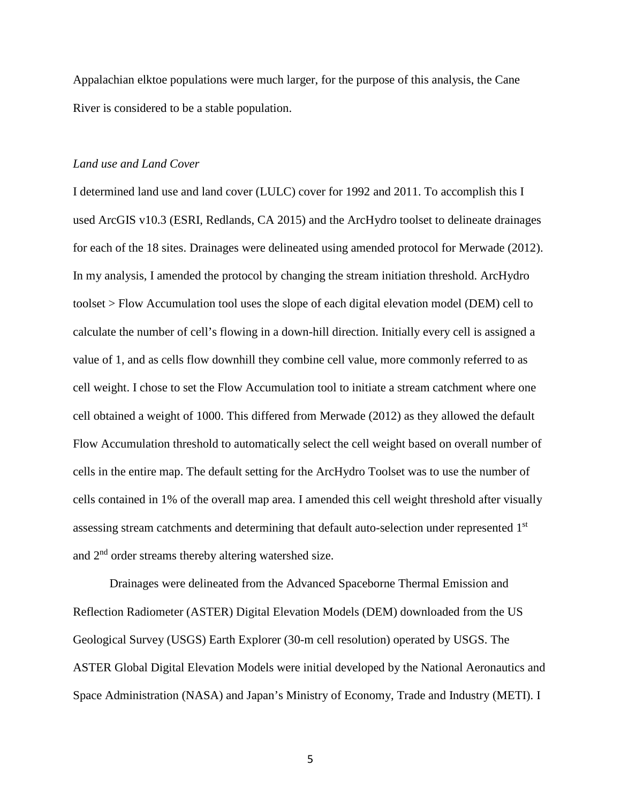Appalachian elktoe populations were much larger, for the purpose of this analysis, the Cane River is considered to be a stable population.

#### *Land use and Land Cover*

I determined land use and land cover (LULC) cover for 1992 and 2011. To accomplish this I used ArcGIS v10.3 (ESRI, Redlands, CA 2015) and the ArcHydro toolset to delineate drainages for each of the 18 sites. Drainages were delineated using amended protocol for Merwade (2012). In my analysis, I amended the protocol by changing the stream initiation threshold. ArcHydro toolset > Flow Accumulation tool uses the slope of each digital elevation model (DEM) cell to calculate the number of cell's flowing in a down-hill direction. Initially every cell is assigned a value of 1, and as cells flow downhill they combine cell value, more commonly referred to as cell weight. I chose to set the Flow Accumulation tool to initiate a stream catchment where one cell obtained a weight of 1000. This differed from Merwade (2012) as they allowed the default Flow Accumulation threshold to automatically select the cell weight based on overall number of cells in the entire map. The default setting for the ArcHydro Toolset was to use the number of cells contained in 1% of the overall map area. I amended this cell weight threshold after visually assessing stream catchments and determining that default auto-selection under represented 1<sup>st</sup> and 2nd order streams thereby altering watershed size.

Drainages were delineated from the Advanced Spaceborne Thermal Emission and Reflection Radiometer (ASTER) Digital Elevation Models (DEM) downloaded from the US Geological Survey (USGS) Earth Explorer (30-m cell resolution) operated by USGS. The ASTER Global Digital Elevation Models were initial developed by the National Aeronautics and Space Administration (NASA) and Japan's Ministry of Economy, Trade and Industry (METI). I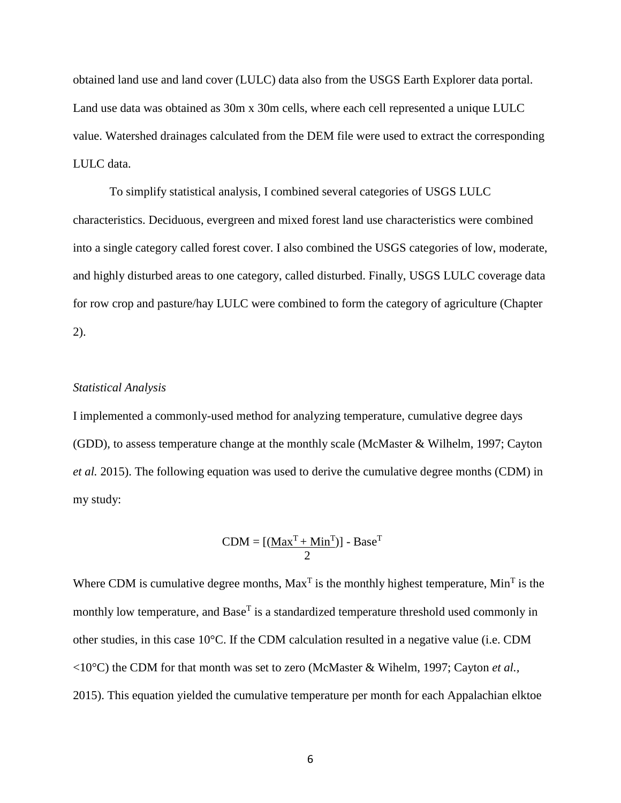obtained land use and land cover (LULC) data also from the USGS Earth Explorer data portal. Land use data was obtained as 30m x 30m cells, where each cell represented a unique LULC value. Watershed drainages calculated from the DEM file were used to extract the corresponding LULC data.

To simplify statistical analysis, I combined several categories of USGS LULC characteristics. Deciduous, evergreen and mixed forest land use characteristics were combined into a single category called forest cover. I also combined the USGS categories of low, moderate, and highly disturbed areas to one category, called disturbed. Finally, USGS LULC coverage data for row crop and pasture/hay LULC were combined to form the category of agriculture (Chapter 2).

#### *Statistical Analysis*

I implemented a commonly-used method for analyzing temperature, cumulative degree days (GDD), to assess temperature change at the monthly scale (McMaster & Wilhelm, 1997; Cayton *et al.* 2015). The following equation was used to derive the cumulative degree months (CDM) in my study:

$$
CDM = [(\underline{Max^{T} + Min^{T}})] - Base^{T}
$$

Where CDM is cumulative degree months,  $Max<sup>T</sup>$  is the monthly highest temperature,  $Min<sup>T</sup>$  is the monthly low temperature, and  $Base<sup>T</sup>$  is a standardized temperature threshold used commonly in other studies, in this case 10°C. If the CDM calculation resulted in a negative value (i.e. CDM <10°C) the CDM for that month was set to zero (McMaster & Wihelm, 1997; Cayton *et al.,* 2015). This equation yielded the cumulative temperature per month for each Appalachian elktoe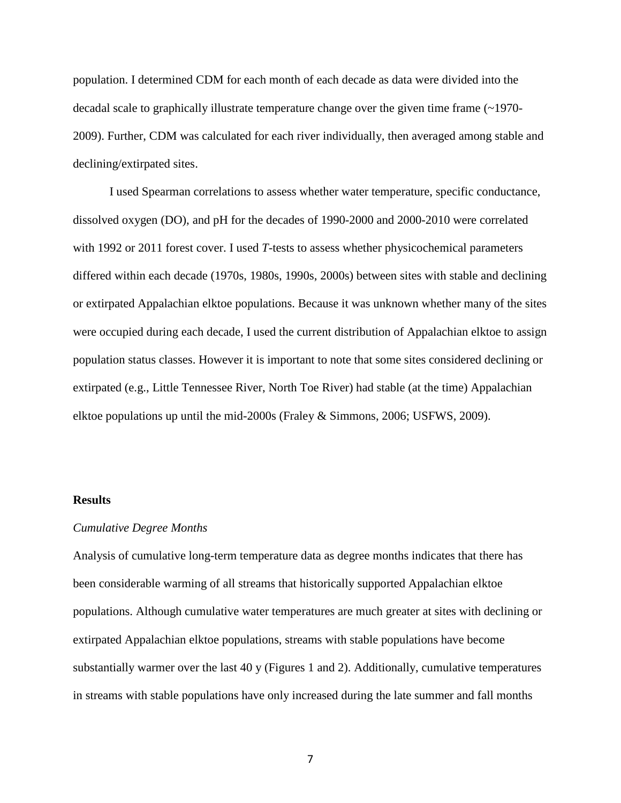population. I determined CDM for each month of each decade as data were divided into the decadal scale to graphically illustrate temperature change over the given time frame (~1970- 2009). Further, CDM was calculated for each river individually, then averaged among stable and declining/extirpated sites.

I used Spearman correlations to assess whether water temperature, specific conductance, dissolved oxygen (DO), and pH for the decades of 1990-2000 and 2000-2010 were correlated with 1992 or 2011 forest cover. I used *T*-tests to assess whether physicochemical parameters differed within each decade (1970s, 1980s, 1990s, 2000s) between sites with stable and declining or extirpated Appalachian elktoe populations. Because it was unknown whether many of the sites were occupied during each decade, I used the current distribution of Appalachian elktoe to assign population status classes. However it is important to note that some sites considered declining or extirpated (e.g., Little Tennessee River, North Toe River) had stable (at the time) Appalachian elktoe populations up until the mid-2000s (Fraley & Simmons, 2006; USFWS, 2009).

#### **Results**

#### *Cumulative Degree Months*

Analysis of cumulative long-term temperature data as degree months indicates that there has been considerable warming of all streams that historically supported Appalachian elktoe populations. Although cumulative water temperatures are much greater at sites with declining or extirpated Appalachian elktoe populations, streams with stable populations have become substantially warmer over the last 40 y (Figures 1 and 2). Additionally, cumulative temperatures in streams with stable populations have only increased during the late summer and fall months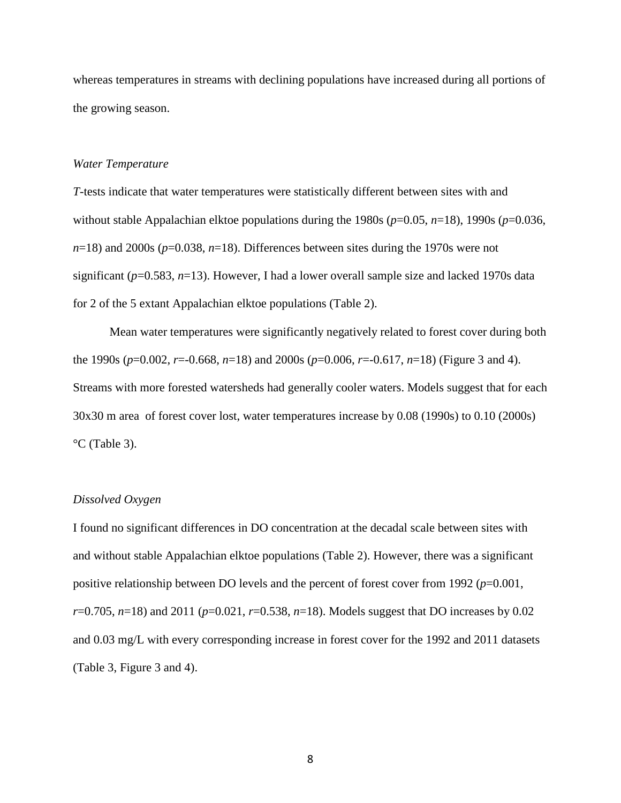whereas temperatures in streams with declining populations have increased during all portions of the growing season.

#### *Water Temperature*

*T*-tests indicate that water temperatures were statistically different between sites with and without stable Appalachian elktoe populations during the 1980s (*p*=0.05, *n*=18), 1990s (*p*=0.036,  $n=18$ ) and 2000s ( $p=0.038$ ,  $n=18$ ). Differences between sites during the 1970s were not significant ( $p=0.583$ ,  $n=13$ ). However, I had a lower overall sample size and lacked 1970s data for 2 of the 5 extant Appalachian elktoe populations (Table 2).

Mean water temperatures were significantly negatively related to forest cover during both the 1990s (*p*=0.002, *r*=-0.668, *n*=18) and 2000s (*p*=0.006, *r*=-0.617, *n*=18) (Figure 3 and 4). Streams with more forested watersheds had generally cooler waters. Models suggest that for each 30x30 m area of forest cover lost, water temperatures increase by 0.08 (1990s) to 0.10 (2000s) °C (Table 3).

#### *Dissolved Oxygen*

I found no significant differences in DO concentration at the decadal scale between sites with and without stable Appalachian elktoe populations (Table 2). However, there was a significant positive relationship between DO levels and the percent of forest cover from 1992 (*p*=0.001, *r*=0.705, *n*=18) and 2011 (*p*=0.021, *r*=0.538, *n*=18). Models suggest that DO increases by 0.02 and 0.03 mg/L with every corresponding increase in forest cover for the 1992 and 2011 datasets (Table 3, Figure 3 and 4).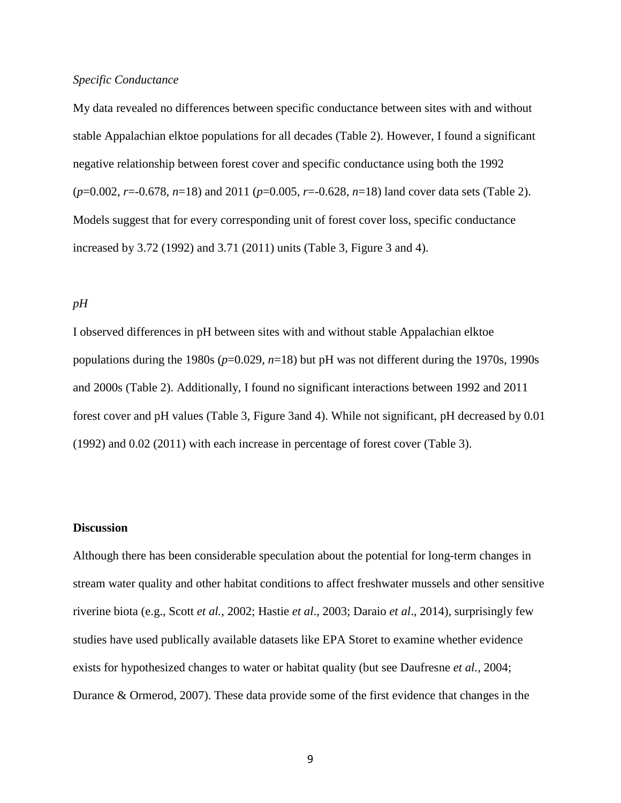#### *Specific Conductance*

My data revealed no differences between specific conductance between sites with and without stable Appalachian elktoe populations for all decades (Table 2). However, I found a significant negative relationship between forest cover and specific conductance using both the 1992 (*p*=0.002, *r*=-0.678, *n*=18) and 2011 (*p*=0.005, *r*=-0.628, *n*=18) land cover data sets (Table 2). Models suggest that for every corresponding unit of forest cover loss, specific conductance increased by 3.72 (1992) and 3.71 (2011) units (Table 3, Figure 3 and 4).

#### *pH*

I observed differences in pH between sites with and without stable Appalachian elktoe populations during the 1980s  $(p=0.029, n=18)$  but pH was not different during the 1970s, 1990s and 2000s (Table 2). Additionally, I found no significant interactions between 1992 and 2011 forest cover and pH values (Table 3, Figure 3and 4). While not significant, pH decreased by 0.01 (1992) and 0.02 (2011) with each increase in percentage of forest cover (Table 3).

#### **Discussion**

Although there has been considerable speculation about the potential for long-term changes in stream water quality and other habitat conditions to affect freshwater mussels and other sensitive riverine biota (e.g., Scott *et al.,* 2002; Hastie *et al*., 2003; Daraio *et al*., 2014), surprisingly few studies have used publically available datasets like EPA Storet to examine whether evidence exists for hypothesized changes to water or habitat quality (but see Daufresne *et al.,* 2004; Durance & Ormerod, 2007). These data provide some of the first evidence that changes in the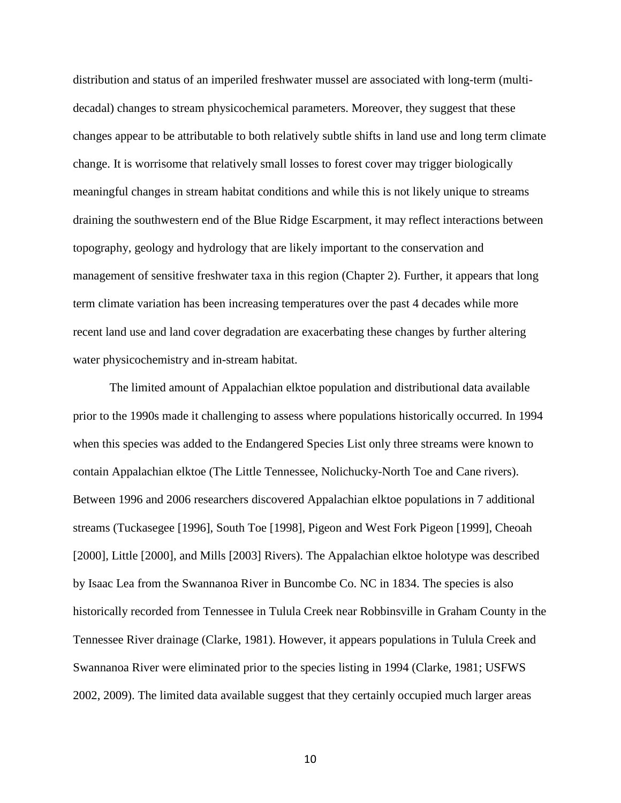distribution and status of an imperiled freshwater mussel are associated with long-term (multidecadal) changes to stream physicochemical parameters. Moreover, they suggest that these changes appear to be attributable to both relatively subtle shifts in land use and long term climate change. It is worrisome that relatively small losses to forest cover may trigger biologically meaningful changes in stream habitat conditions and while this is not likely unique to streams draining the southwestern end of the Blue Ridge Escarpment, it may reflect interactions between topography, geology and hydrology that are likely important to the conservation and management of sensitive freshwater taxa in this region (Chapter 2). Further, it appears that long term climate variation has been increasing temperatures over the past 4 decades while more recent land use and land cover degradation are exacerbating these changes by further altering water physicochemistry and in-stream habitat.

The limited amount of Appalachian elktoe population and distributional data available prior to the 1990s made it challenging to assess where populations historically occurred. In 1994 when this species was added to the Endangered Species List only three streams were known to contain Appalachian elktoe (The Little Tennessee, Nolichucky-North Toe and Cane rivers). Between 1996 and 2006 researchers discovered Appalachian elktoe populations in 7 additional streams (Tuckasegee [1996], South Toe [1998], Pigeon and West Fork Pigeon [1999], Cheoah [2000], Little [2000], and Mills [2003] Rivers). The Appalachian elktoe holotype was described by Isaac Lea from the Swannanoa River in Buncombe Co. NC in 1834. The species is also historically recorded from Tennessee in Tulula Creek near Robbinsville in Graham County in the Tennessee River drainage (Clarke, 1981). However, it appears populations in Tulula Creek and Swannanoa River were eliminated prior to the species listing in 1994 (Clarke, 1981; USFWS 2002, 2009). The limited data available suggest that they certainly occupied much larger areas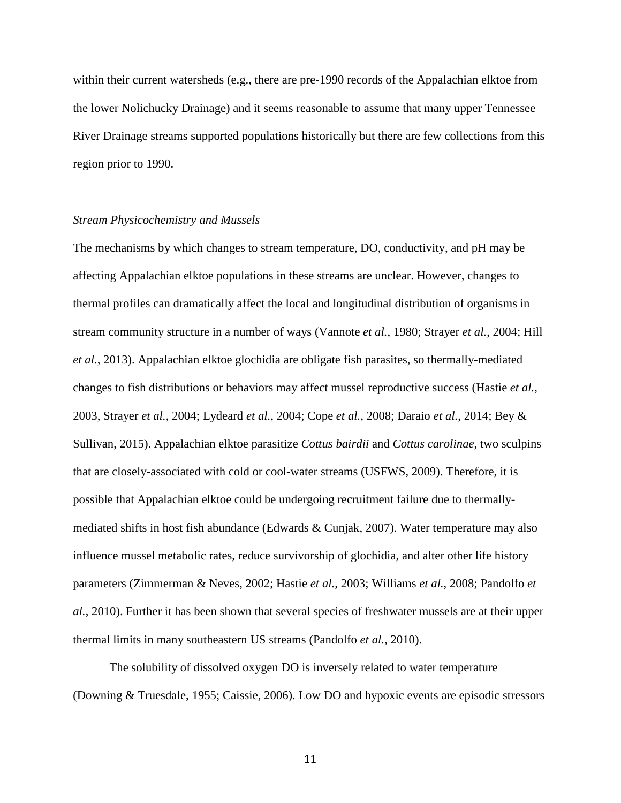within their current watersheds (e.g., there are pre-1990 records of the Appalachian elktoe from the lower Nolichucky Drainage) and it seems reasonable to assume that many upper Tennessee River Drainage streams supported populations historically but there are few collections from this region prior to 1990.

#### *Stream Physicochemistry and Mussels*

The mechanisms by which changes to stream temperature, DO, conductivity, and pH may be affecting Appalachian elktoe populations in these streams are unclear. However, changes to thermal profiles can dramatically affect the local and longitudinal distribution of organisms in stream community structure in a number of ways (Vannote *et al.*, 1980; Strayer *et al.*, 2004; Hill *et al.*, 2013). Appalachian elktoe glochidia are obligate fish parasites, so thermally-mediated changes to fish distributions or behaviors may affect mussel reproductive success (Hastie *et al.*, 2003, Strayer *et al.*, 2004; Lydeard *et al.*, 2004; Cope *et al.*, 2008; Daraio *et al.*, 2014; Bey & Sullivan, 2015). Appalachian elktoe parasitize *Cottus bairdii* and *Cottus carolinae*, two sculpins that are closely-associated with cold or cool-water streams (USFWS, 2009). Therefore, it is possible that Appalachian elktoe could be undergoing recruitment failure due to thermallymediated shifts in host fish abundance (Edwards & Cunjak, 2007). Water temperature may also influence mussel metabolic rates, reduce survivorship of glochidia, and alter other life history parameters (Zimmerman & Neves, 2002; Hastie *et al.,* 2003; Williams *et al.*, 2008; Pandolfo *et al.*, 2010). Further it has been shown that several species of freshwater mussels are at their upper thermal limits in many southeastern US streams (Pandolfo *et al.*, 2010).

The solubility of dissolved oxygen DO is inversely related to water temperature (Downing & Truesdale, 1955; Caissie, 2006). Low DO and hypoxic events are episodic stressors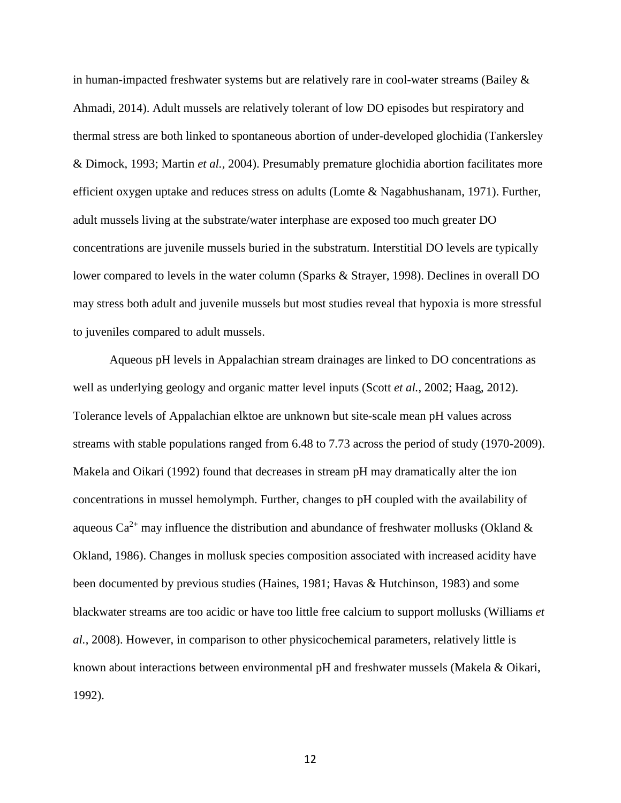in human-impacted freshwater systems but are relatively rare in cool-water streams (Bailey  $\&$ Ahmadi, 2014). Adult mussels are relatively tolerant of low DO episodes but respiratory and thermal stress are both linked to spontaneous abortion of under-developed glochidia (Tankersley & Dimock, 1993; Martin *et al.,* 2004). Presumably premature glochidia abortion facilitates more efficient oxygen uptake and reduces stress on adults (Lomte & Nagabhushanam, 1971). Further, adult mussels living at the substrate/water interphase are exposed too much greater DO concentrations are juvenile mussels buried in the substratum. Interstitial DO levels are typically lower compared to levels in the water column (Sparks & Strayer, 1998). Declines in overall DO may stress both adult and juvenile mussels but most studies reveal that hypoxia is more stressful to juveniles compared to adult mussels.

Aqueous pH levels in Appalachian stream drainages are linked to DO concentrations as well as underlying geology and organic matter level inputs (Scott *et al.*, 2002; Haag, 2012). Tolerance levels of Appalachian elktoe are unknown but site-scale mean pH values across streams with stable populations ranged from 6.48 to 7.73 across the period of study (1970-2009). Makela and Oikari (1992) found that decreases in stream pH may dramatically alter the ion concentrations in mussel hemolymph. Further, changes to pH coupled with the availability of aqueous  $Ca^{2+}$  may influence the distribution and abundance of freshwater mollusks (Okland  $\&$ Okland, 1986). Changes in mollusk species composition associated with increased acidity have been documented by previous studies (Haines, 1981; Havas & Hutchinson, 1983) and some blackwater streams are too acidic or have too little free calcium to support mollusks (Williams *et al.*, 2008). However, in comparison to other physicochemical parameters, relatively little is known about interactions between environmental pH and freshwater mussels (Makela & Oikari, 1992).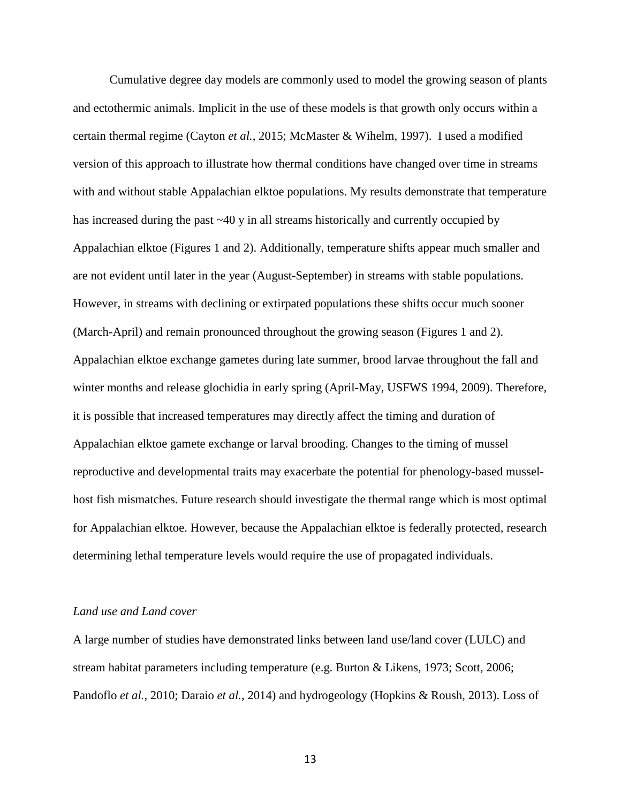Cumulative degree day models are commonly used to model the growing season of plants and ectothermic animals. Implicit in the use of these models is that growth only occurs within a certain thermal regime (Cayton *et al.*, 2015; McMaster & Wihelm, 1997). I used a modified version of this approach to illustrate how thermal conditions have changed over time in streams with and without stable Appalachian elktoe populations. My results demonstrate that temperature has increased during the past ~40 y in all streams historically and currently occupied by Appalachian elktoe (Figures 1 and 2). Additionally, temperature shifts appear much smaller and are not evident until later in the year (August-September) in streams with stable populations. However, in streams with declining or extirpated populations these shifts occur much sooner (March-April) and remain pronounced throughout the growing season (Figures 1 and 2). Appalachian elktoe exchange gametes during late summer, brood larvae throughout the fall and winter months and release glochidia in early spring (April-May, USFWS 1994, 2009). Therefore, it is possible that increased temperatures may directly affect the timing and duration of Appalachian elktoe gamete exchange or larval brooding. Changes to the timing of mussel reproductive and developmental traits may exacerbate the potential for phenology-based musselhost fish mismatches. Future research should investigate the thermal range which is most optimal for Appalachian elktoe. However, because the Appalachian elktoe is federally protected, research determining lethal temperature levels would require the use of propagated individuals.

#### *Land use and Land cover*

A large number of studies have demonstrated links between land use/land cover (LULC) and stream habitat parameters including temperature (e.g. Burton & Likens, 1973; Scott, 2006; Pandoflo *et al.*, 2010; Daraio *et al.*, 2014) and hydrogeology (Hopkins & Roush, 2013). Loss of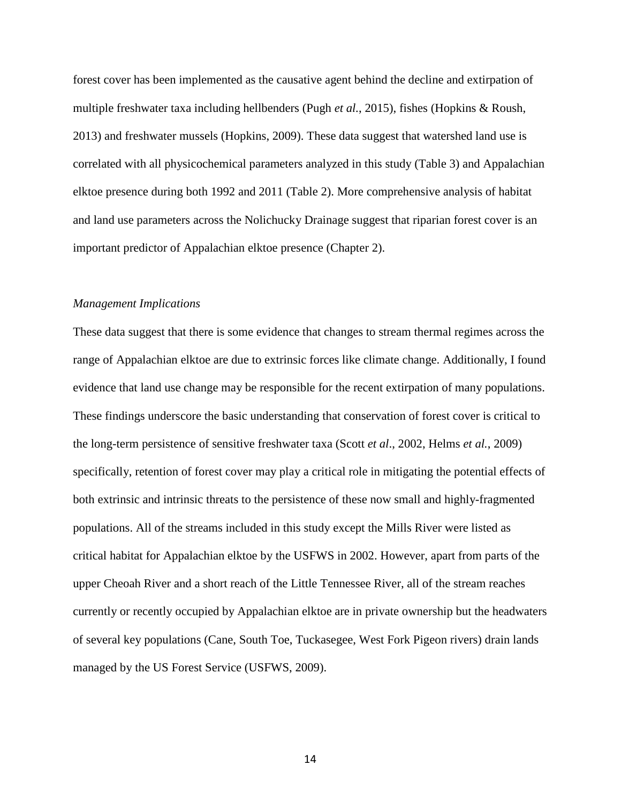forest cover has been implemented as the causative agent behind the decline and extirpation of multiple freshwater taxa including hellbenders (Pugh *et al.*, 2015), fishes (Hopkins & Roush, 2013) and freshwater mussels (Hopkins, 2009). These data suggest that watershed land use is correlated with all physicochemical parameters analyzed in this study (Table 3) and Appalachian elktoe presence during both 1992 and 2011 (Table 2). More comprehensive analysis of habitat and land use parameters across the Nolichucky Drainage suggest that riparian forest cover is an important predictor of Appalachian elktoe presence (Chapter 2).

#### *Management Implications*

These data suggest that there is some evidence that changes to stream thermal regimes across the range of Appalachian elktoe are due to extrinsic forces like climate change. Additionally, I found evidence that land use change may be responsible for the recent extirpation of many populations. These findings underscore the basic understanding that conservation of forest cover is critical to the long-term persistence of sensitive freshwater taxa (Scott *et al*., 2002, Helms *et al.*, 2009) specifically, retention of forest cover may play a critical role in mitigating the potential effects of both extrinsic and intrinsic threats to the persistence of these now small and highly-fragmented populations. All of the streams included in this study except the Mills River were listed as critical habitat for Appalachian elktoe by the USFWS in 2002. However, apart from parts of the upper Cheoah River and a short reach of the Little Tennessee River, all of the stream reaches currently or recently occupied by Appalachian elktoe are in private ownership but the headwaters of several key populations (Cane, South Toe, Tuckasegee, West Fork Pigeon rivers) drain lands managed by the US Forest Service (USFWS, 2009).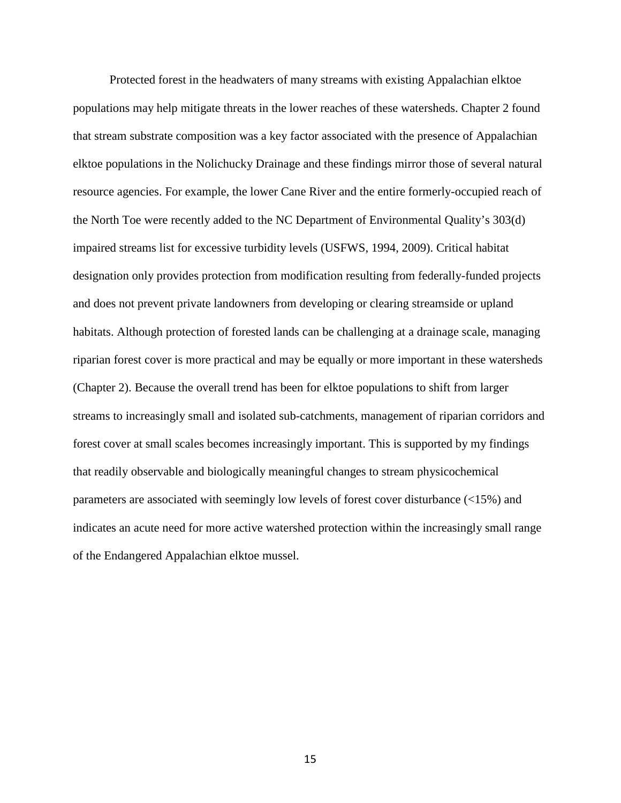Protected forest in the headwaters of many streams with existing Appalachian elktoe populations may help mitigate threats in the lower reaches of these watersheds. Chapter 2 found that stream substrate composition was a key factor associated with the presence of Appalachian elktoe populations in the Nolichucky Drainage and these findings mirror those of several natural resource agencies. For example, the lower Cane River and the entire formerly-occupied reach of the North Toe were recently added to the NC Department of Environmental Quality's 303(d) impaired streams list for excessive turbidity levels (USFWS, 1994, 2009). Critical habitat designation only provides protection from modification resulting from federally-funded projects and does not prevent private landowners from developing or clearing streamside or upland habitats. Although protection of forested lands can be challenging at a drainage scale, managing riparian forest cover is more practical and may be equally or more important in these watersheds (Chapter 2). Because the overall trend has been for elktoe populations to shift from larger streams to increasingly small and isolated sub-catchments, management of riparian corridors and forest cover at small scales becomes increasingly important. This is supported by my findings that readily observable and biologically meaningful changes to stream physicochemical parameters are associated with seemingly low levels of forest cover disturbance (<15%) and indicates an acute need for more active watershed protection within the increasingly small range of the Endangered Appalachian elktoe mussel.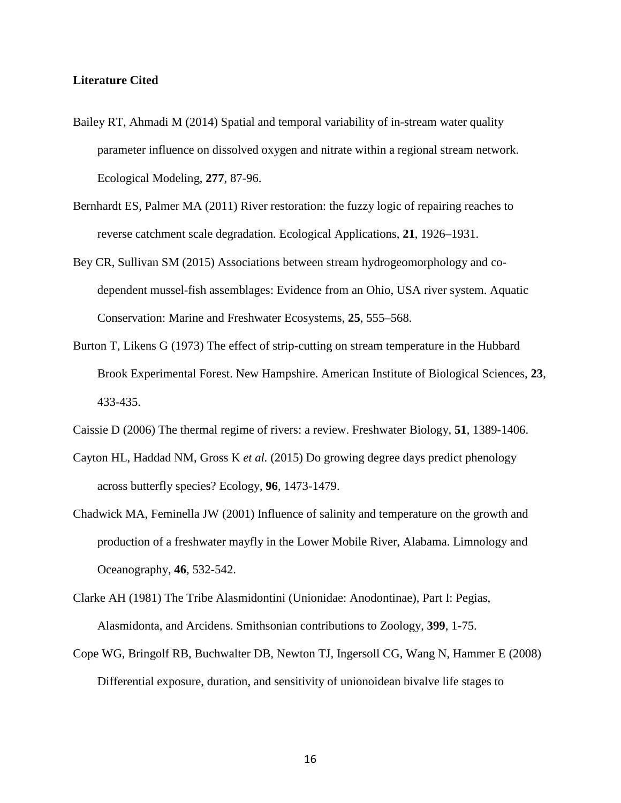#### **Literature Cited**

- Bailey RT, Ahmadi M (2014) Spatial and temporal variability of in-stream water quality parameter influence on dissolved oxygen and nitrate within a regional stream network. Ecological Modeling, **277**, 87-96.
- Bernhardt ES, Palmer MA (2011) River restoration: the fuzzy logic of repairing reaches to reverse catchment scale degradation. Ecological Applications, **21**, 1926–1931.
- Bey CR, Sullivan SM (2015) Associations between stream hydrogeomorphology and codependent mussel-fish assemblages: Evidence from an Ohio, USA river system. Aquatic Conservation: Marine and Freshwater Ecosystems, **25**, 555–568.
- Burton T, Likens G (1973) The effect of strip-cutting on stream temperature in the Hubbard Brook Experimental Forest. New Hampshire. American Institute of Biological Sciences, **23**, 433-435.
- Caissie D (2006) The thermal regime of rivers: a review. Freshwater Biology, **51**, 1389-1406.
- Cayton HL, Haddad NM, Gross K *et al.* (2015) Do growing degree days predict phenology across butterfly species? Ecology, **96**, 1473-1479.
- Chadwick MA, Feminella JW (2001) Influence of salinity and temperature on the growth and production of a freshwater mayfly in the Lower Mobile River, Alabama. Limnology and Oceanography, **46**, 532-542.
- Clarke AH (1981) The Tribe Alasmidontini (Unionidae: Anodontinae), Part I: Pegias, Alasmidonta, and Arcidens. Smithsonian contributions to Zoology, **399**, 1-75.
- Cope WG, Bringolf RB, Buchwalter DB, Newton TJ, Ingersoll CG, Wang N, Hammer E (2008) Differential exposure, duration, and sensitivity of unionoidean bivalve life stages to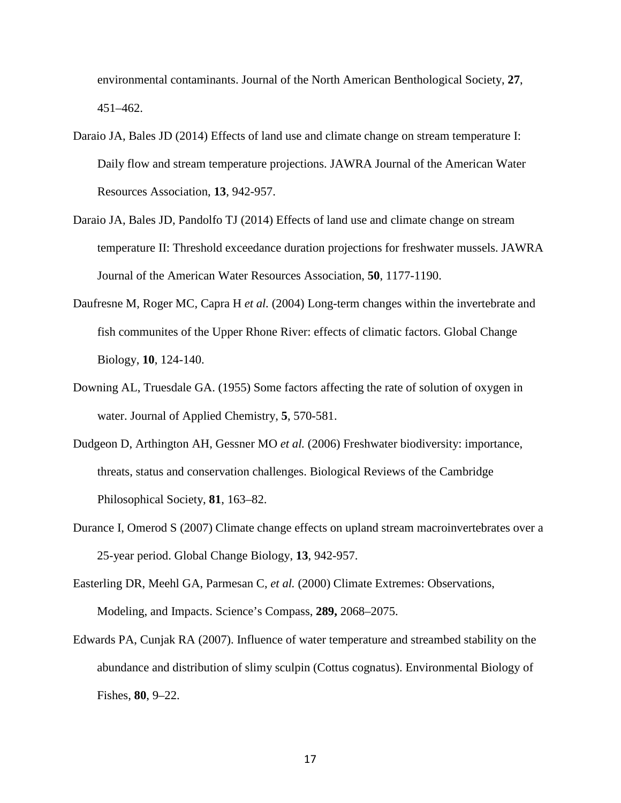environmental contaminants. Journal of the North American Benthological Society, **27**, 451–462.

- Daraio JA, Bales JD (2014) Effects of land use and climate change on stream temperature I: Daily flow and stream temperature projections. JAWRA Journal of the American Water Resources Association, **13**, 942-957.
- Daraio JA, Bales JD, Pandolfo TJ (2014) Effects of land use and climate change on stream temperature II: Threshold exceedance duration projections for freshwater mussels. JAWRA Journal of the American Water Resources Association, **50**, 1177-1190.
- Daufresne M, Roger MC, Capra H *et al.* (2004) Long-term changes within the invertebrate and fish communites of the Upper Rhone River: effects of climatic factors. Global Change Biology, **10**, 124-140.
- Downing AL, Truesdale GA. (1955) Some factors affecting the rate of solution of oxygen in water. Journal of Applied Chemistry, **5**, 570-581.
- Dudgeon D, Arthington AH, Gessner MO *et al.* (2006) Freshwater biodiversity: importance, threats, status and conservation challenges. Biological Reviews of the Cambridge Philosophical Society, **81**, 163–82.
- Durance I, Omerod S (2007) Climate change effects on upland stream macroinvertebrates over a 25-year period. Global Change Biology, **13**, 942-957.
- Easterling DR, Meehl GA, Parmesan C, *et al.* (2000) Climate Extremes: Observations, Modeling, and Impacts. Science's Compass, **289,** 2068–2075.
- Edwards PA, Cunjak RA (2007). Influence of water temperature and streambed stability on the abundance and distribution of slimy sculpin (Cottus cognatus). Environmental Biology of Fishes, **80**, 9–22.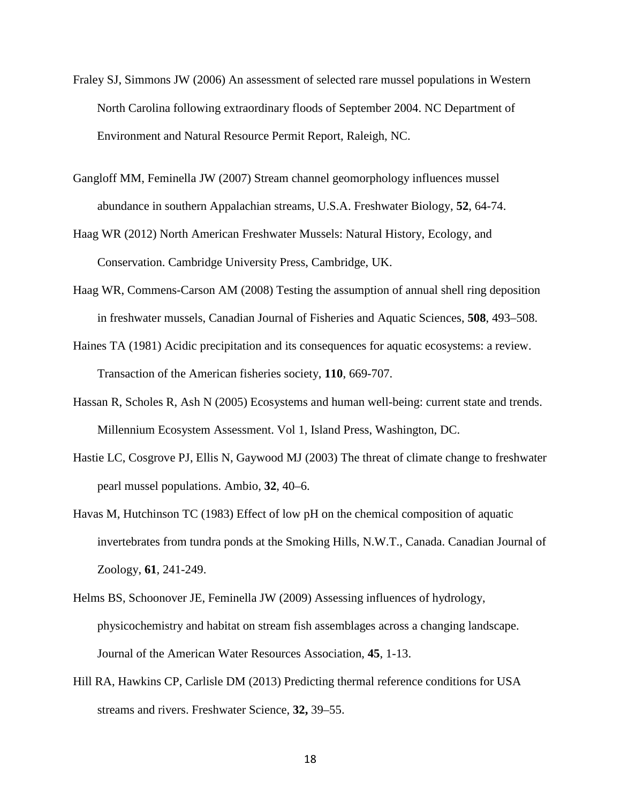- Fraley SJ, Simmons JW (2006) An assessment of selected rare mussel populations in Western North Carolina following extraordinary floods of September 2004. NC Department of Environment and Natural Resource Permit Report, Raleigh, NC.
- Gangloff MM, Feminella JW (2007) Stream channel geomorphology influences mussel abundance in southern Appalachian streams, U.S.A. Freshwater Biology, **52**, 64-74.
- Haag WR (2012) North American Freshwater Mussels: Natural History, Ecology, and Conservation. Cambridge University Press, Cambridge, UK.
- Haag WR, Commens-Carson AM (2008) Testing the assumption of annual shell ring deposition in freshwater mussels, Canadian Journal of Fisheries and Aquatic Sciences, **508**, 493–508.
- Haines TA (1981) Acidic precipitation and its consequences for aquatic ecosystems: a review. Transaction of the American fisheries society, **110**, 669-707.
- Hassan R, Scholes R, Ash N (2005) Ecosystems and human well-being: current state and trends. Millennium Ecosystem Assessment. Vol 1, Island Press, Washington, DC.
- Hastie LC, Cosgrove PJ, Ellis N, Gaywood MJ (2003) The threat of climate change to freshwater pearl mussel populations. Ambio, **32**, 40–6.
- Havas M, Hutchinson TC (1983) Effect of low pH on the chemical composition of aquatic invertebrates from tundra ponds at the Smoking Hills, N.W.T., Canada. Canadian Journal of Zoology, **61**, 241-249.
- Helms BS, Schoonover JE, Feminella JW (2009) Assessing influences of hydrology, physicochemistry and habitat on stream fish assemblages across a changing landscape. Journal of the American Water Resources Association, **45**, 1-13.
- Hill RA, Hawkins CP, Carlisle DM (2013) Predicting thermal reference conditions for USA streams and rivers. Freshwater Science, **32,** 39–55.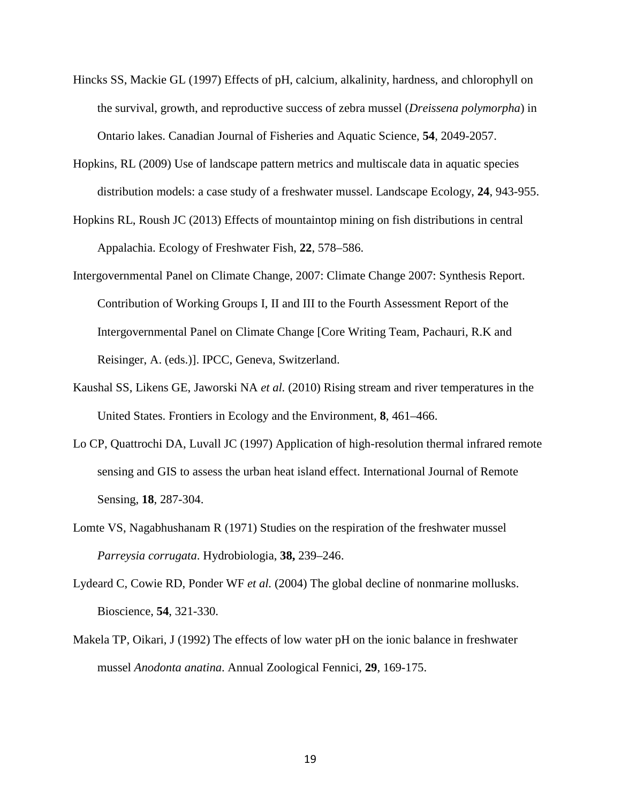- Hincks SS, Mackie GL (1997) Effects of pH, calcium, alkalinity, hardness, and chlorophyll on the survival, growth, and reproductive success of zebra mussel (*Dreissena polymorpha*) in Ontario lakes. Canadian Journal of Fisheries and Aquatic Science, **54**, 2049-2057.
- Hopkins, RL (2009) Use of landscape pattern metrics and multiscale data in aquatic species distribution models: a case study of a freshwater mussel. Landscape Ecology, **24**, 943-955.
- Hopkins RL, Roush JC (2013) Effects of mountaintop mining on fish distributions in central Appalachia. Ecology of Freshwater Fish, **22**, 578–586.
- Intergovernmental Panel on Climate Change, 2007: Climate Change 2007: Synthesis Report. Contribution of Working Groups I, II and III to the Fourth Assessment Report of the Intergovernmental Panel on Climate Change [Core Writing Team, Pachauri, R.K and Reisinger, A. (eds.)]. IPCC, Geneva, Switzerland.
- Kaushal SS, Likens GE, Jaworski NA *et al.* (2010) Rising stream and river temperatures in the United States. Frontiers in Ecology and the Environment, **8**, 461–466.
- Lo CP, Quattrochi DA, Luvall JC (1997) Application of high-resolution thermal infrared remote sensing and GIS to assess the urban heat island effect. International Journal of Remote Sensing, **18**, 287-304.
- Lomte VS, Nagabhushanam R (1971) Studies on the respiration of the freshwater mussel *Parreysia corrugata*. Hydrobiologia, **38,** 239–246.
- Lydeard C, Cowie RD, Ponder WF *et al.* (2004) The global decline of nonmarine mollusks. Bioscience, **54**, 321-330.
- Makela TP, Oikari, J (1992) The effects of low water pH on the ionic balance in freshwater mussel *Anodonta anatina*. Annual Zoological Fennici, **29**, 169-175.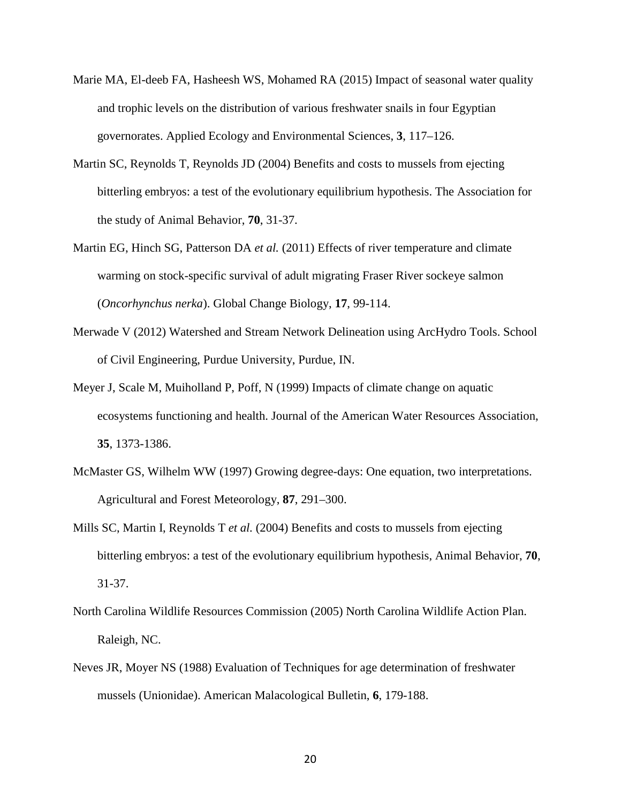- Marie MA, El-deeb FA, Hasheesh WS, Mohamed RA (2015) Impact of seasonal water quality and trophic levels on the distribution of various freshwater snails in four Egyptian governorates. Applied Ecology and Environmental Sciences, **3**, 117–126.
- Martin SC, Reynolds T, Reynolds JD (2004) Benefits and costs to mussels from ejecting bitterling embryos: a test of the evolutionary equilibrium hypothesis. The Association for the study of Animal Behavior, **70**, 31-37.
- Martin EG, Hinch SG, Patterson DA *et al.* (2011) Effects of river temperature and climate warming on stock-specific survival of adult migrating Fraser River sockeye salmon (*Oncorhynchus nerka*). Global Change Biology, **17**, 99-114.
- Merwade V (2012) Watershed and Stream Network Delineation using ArcHydro Tools. School of Civil Engineering, Purdue University, Purdue, IN.
- Meyer J, Scale M, Muiholland P, Poff, N (1999) Impacts of climate change on aquatic ecosystems functioning and health. Journal of the American Water Resources Association, **35**, 1373-1386.
- McMaster GS, Wilhelm WW (1997) Growing degree-days: One equation, two interpretations. Agricultural and Forest Meteorology, **87**, 291–300.
- Mills SC, Martin I, Reynolds T *et al.* (2004) Benefits and costs to mussels from ejecting bitterling embryos: a test of the evolutionary equilibrium hypothesis, Animal Behavior, **70**, 31-37.
- North Carolina Wildlife Resources Commission (2005) North Carolina Wildlife Action Plan. Raleigh, NC.
- Neves JR, Moyer NS (1988) Evaluation of Techniques for age determination of freshwater mussels (Unionidae). American Malacological Bulletin, **6**, 179-188.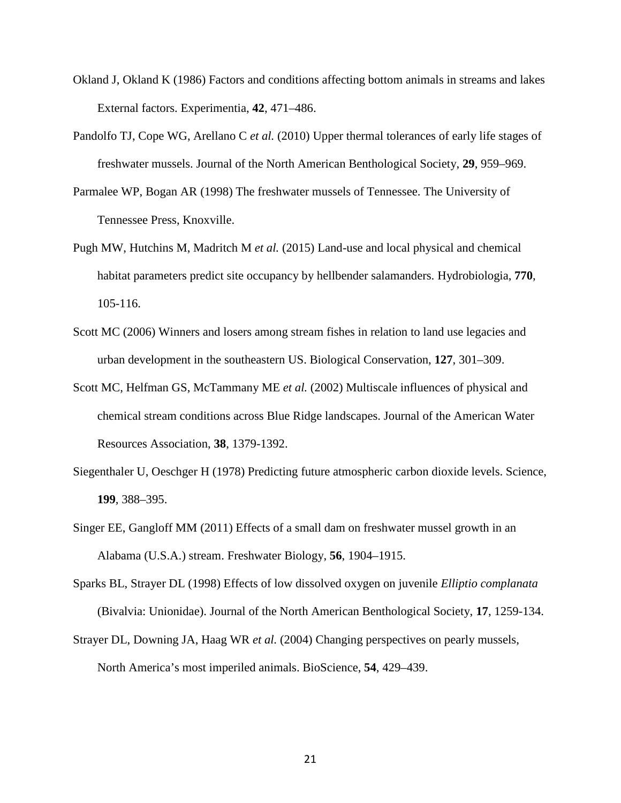- Okland J, Okland K (1986) Factors and conditions affecting bottom animals in streams and lakes External factors. Experimentia, **42**, 471–486.
- Pandolfo TJ, Cope WG, Arellano C *et al.* (2010) Upper thermal tolerances of early life stages of freshwater mussels. Journal of the North American Benthological Society, **29**, 959–969.
- Parmalee WP, Bogan AR (1998) The freshwater mussels of Tennessee. The University of Tennessee Press, Knoxville.
- Pugh MW, Hutchins M, Madritch M *et al.* (2015) Land-use and local physical and chemical habitat parameters predict site occupancy by hellbender salamanders. Hydrobiologia, **770**, 105-116.
- Scott MC (2006) Winners and losers among stream fishes in relation to land use legacies and urban development in the southeastern US. Biological Conservation, **127**, 301–309.
- Scott MC, Helfman GS, McTammany ME *et al.* (2002) Multiscale influences of physical and chemical stream conditions across Blue Ridge landscapes. Journal of the American Water Resources Association, **38**, 1379-1392.
- Siegenthaler U, Oeschger H (1978) Predicting future atmospheric carbon dioxide levels. Science, **199**, 388–395.
- Singer EE, Gangloff MM (2011) Effects of a small dam on freshwater mussel growth in an Alabama (U.S.A.) stream. Freshwater Biology, **56**, 1904–1915.
- Sparks BL, Strayer DL (1998) Effects of low dissolved oxygen on juvenile *Elliptio complanata*  (Bivalvia: Unionidae). Journal of the North American Benthological Society, **17**, 1259-134.
- Strayer DL, Downing JA, Haag WR *et al.* (2004) Changing perspectives on pearly mussels, North America's most imperiled animals. BioScience, **54**, 429–439.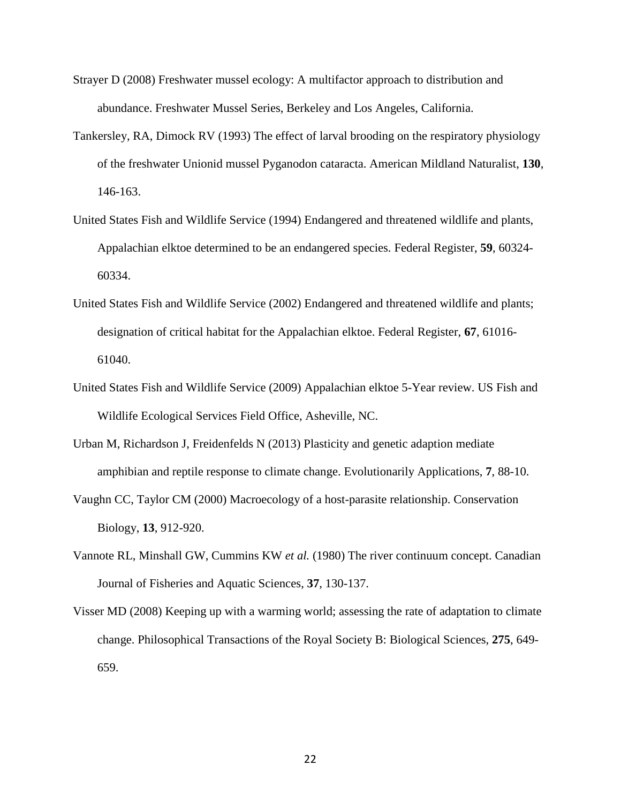- Strayer D (2008) Freshwater mussel ecology: A multifactor approach to distribution and abundance. Freshwater Mussel Series, Berkeley and Los Angeles, California.
- Tankersley, RA, Dimock RV (1993) The effect of larval brooding on the respiratory physiology of the freshwater Unionid mussel Pyganodon cataracta. American Mildland Naturalist, **130**, 146-163.
- United States Fish and Wildlife Service (1994) Endangered and threatened wildlife and plants, Appalachian elktoe determined to be an endangered species. Federal Register, **59**, 60324- 60334.
- United States Fish and Wildlife Service (2002) Endangered and threatened wildlife and plants; designation of critical habitat for the Appalachian elktoe. Federal Register, **67**, 61016- 61040.
- United States Fish and Wildlife Service (2009) Appalachian elktoe 5-Year review. US Fish and Wildlife Ecological Services Field Office, Asheville, NC.
- Urban M, Richardson J, Freidenfelds N (2013) Plasticity and genetic adaption mediate amphibian and reptile response to climate change. Evolutionarily Applications, **7**, 88-10.
- Vaughn CC, Taylor CM (2000) Macroecology of a host-parasite relationship. Conservation Biology, **13**, 912-920.
- Vannote RL, Minshall GW, Cummins KW *et al.* (1980) The river continuum concept. Canadian Journal of Fisheries and Aquatic Sciences, **37**, 130-137.
- Visser MD (2008) Keeping up with a warming world; assessing the rate of adaptation to climate change. Philosophical Transactions of the Royal Society B: Biological Sciences, **275**, 649- 659.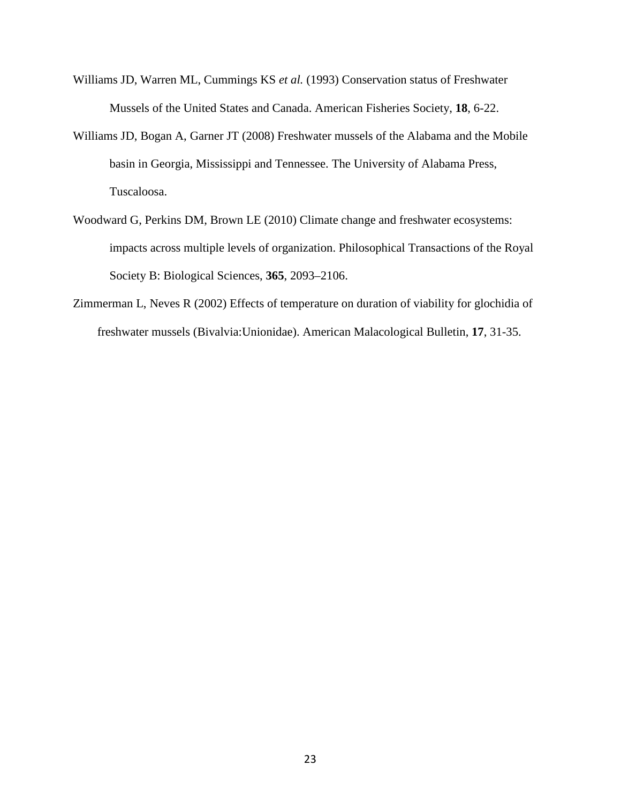- Williams JD, Warren ML, Cummings KS *et al.* (1993) Conservation status of Freshwater Mussels of the United States and Canada. American Fisheries Society, **18**, 6-22.
- Williams JD, Bogan A, Garner JT (2008) Freshwater mussels of the Alabama and the Mobile basin in Georgia, Mississippi and Tennessee. The University of Alabama Press, Tuscaloosa.
- Woodward G, Perkins DM, Brown LE (2010) Climate change and freshwater ecosystems: impacts across multiple levels of organization. Philosophical Transactions of the Royal Society B: Biological Sciences, **365**, 2093–2106.
- Zimmerman L, Neves R (2002) Effects of temperature on duration of viability for glochidia of freshwater mussels (Bivalvia:Unionidae). American Malacological Bulletin, **17**, 31-35.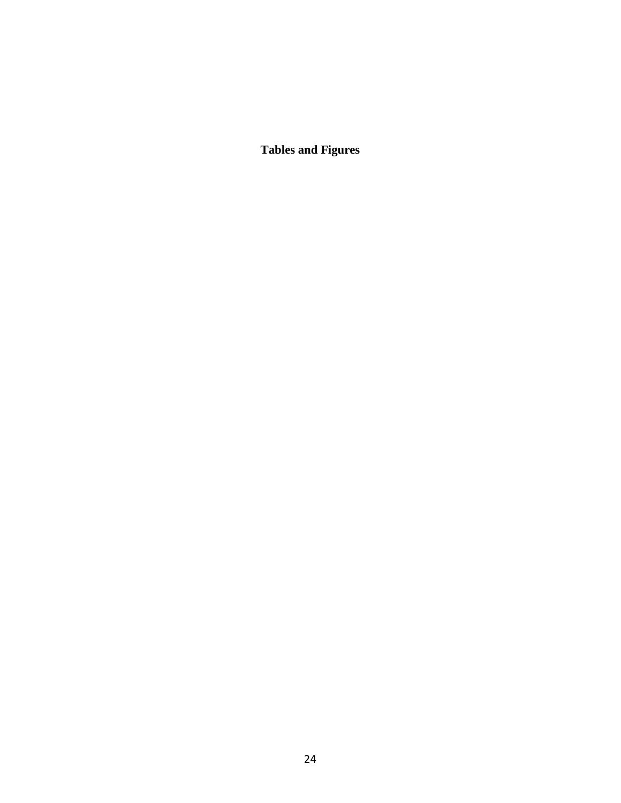**Tables and Figures**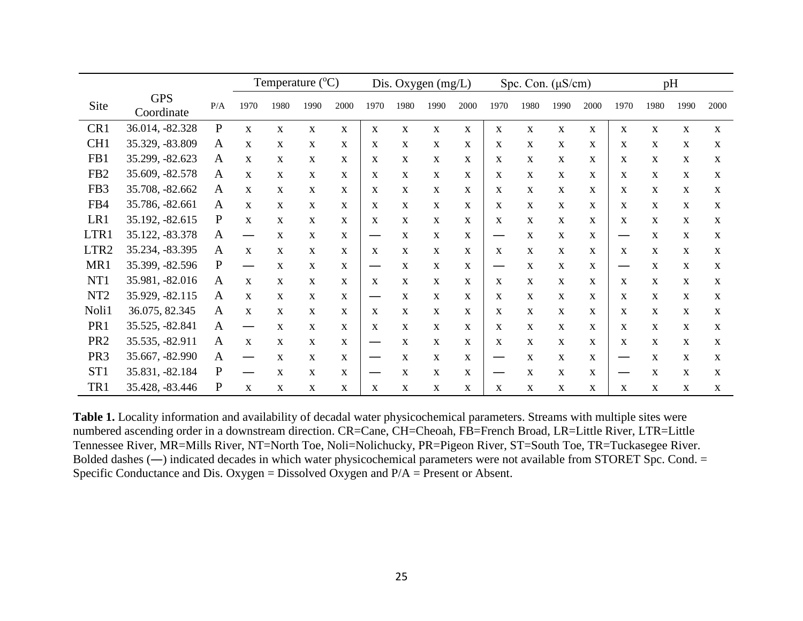|                  |                          |              | Temperature $(^{\circ}C)$ |              |      | Dis. Oxygen (mg/L) |              |              | Spc. Con. $(\mu S/cm)$ |              |              | pH           |              |              |                               |              |              |              |
|------------------|--------------------------|--------------|---------------------------|--------------|------|--------------------|--------------|--------------|------------------------|--------------|--------------|--------------|--------------|--------------|-------------------------------|--------------|--------------|--------------|
| Site             | <b>GPS</b><br>Coordinate | P/A          | 1970                      | 1980         | 1990 | 2000               | 1970         | 1980         | 1990                   | 2000         | 1970         | 1980         | 1990         | 2000         | 1970                          | 1980         | 1990         | 2000         |
| CR1              | 36.014, -82.328          | ${\bf P}$    | $\mathbf{X}$              | $\mathbf{X}$ | X    | $\mathbf{X}$       | $\mathbf{X}$ | $\mathbf{X}$ | $\mathbf{X}$           | $\mathbf{X}$ | $\mathbf{X}$ | $\mathbf{X}$ | $\mathbf{X}$ | $\mathbf{X}$ | $\mathbf{X}$                  | $\mathbf{X}$ | $\mathbf{X}$ | $\mathbf{X}$ |
| CH <sub>1</sub>  | 35.329, -83.809          | $\mathbf{A}$ | X                         | $\mathbf{X}$ | X    | X                  | X            | X            | $\mathbf{X}$           | X            | X            | X            | $\mathbf{X}$ | $\mathbf{X}$ | X                             | X            | $\mathbf{X}$ | $\mathbf{X}$ |
| FB1              | 35.299, -82.623          | A            | X                         | $\mathbf{X}$ | X    | $\mathbf{X}$       | X            | X            | X                      | X            | $\mathbf{X}$ | $\mathbf{X}$ | X            | X            | X                             | $\mathbf{X}$ | $\mathbf{X}$ | $\mathbf{X}$ |
| FB <sub>2</sub>  | 35.609, -82.578          | A            | X                         | $\mathbf{X}$ | X    | $\mathbf{X}$       | X            | $\mathbf{X}$ | $\mathbf{X}$           | X            | $\mathbf{X}$ | $\mathbf{X}$ | $\mathbf{X}$ | $\mathbf{X}$ | $\mathbf{X}$                  | $\mathbf{X}$ | $\mathbf{X}$ | $\mathbf{X}$ |
| FB3              | 35.708, -82.662          | A            | X                         | $\mathbf{X}$ | X    | $\mathbf{X}$       | X            | $\mathbf{X}$ | $\mathbf{X}$           | $\mathbf{X}$ | $\mathbf{X}$ | $\mathbf{X}$ | $\mathbf{X}$ | X            | X                             | $\mathbf{X}$ | $\mathbf{X}$ | $\mathbf{X}$ |
| FB4              | 35.786, -82.661          | $\mathbf{A}$ | X                         | $\mathbf{x}$ | X    | X                  | X            | $\mathbf{x}$ | $\mathbf{X}$           | X            | $\mathbf{X}$ | $\mathbf{X}$ | $\mathbf{X}$ | $\mathbf{x}$ | X                             | $\mathbf{X}$ | $\mathbf{X}$ | $\mathbf{X}$ |
| LR1              | 35.192, -82.615          | $\mathbf{P}$ | X                         | $\mathbf{X}$ | X    | $\mathbf{X}$       | X            | X            | $\mathbf{X}$           | X            | $\mathbf{X}$ | $\mathbf{X}$ | X            | $\mathbf{X}$ | X                             | $\mathbf{X}$ | $\mathbf{X}$ | $\mathbf{X}$ |
| LTR1             | 35.122, -83.378          | $\mathbf{A}$ | —                         | $\mathbf{X}$ | X    | $\mathbf{X}$       |              | X            | $\mathbf{X}$           | $\mathbf{X}$ | —            | X            | $\mathbf{X}$ | $\mathbf{X}$ | $\overbrace{\phantom{aaaaa}}$ | $\mathbf{X}$ | $\mathbf{X}$ | $\mathbf{X}$ |
| LTR <sub>2</sub> | 35.234, -83.395          | A            | $\mathbf{X}$              | $\mathbf{X}$ | X    | $\mathbf{X}$       | $\mathbf{X}$ | $\mathbf{X}$ | $\mathbf{X}$           | $\mathbf{X}$ | $\mathbf{X}$ | $\mathbf{X}$ | $\mathbf{X}$ | X            | $\mathbf{X}$                  | $\mathbf{X}$ | $\mathbf{X}$ | $\mathbf{X}$ |
| MR1              | 35.399, -82.596          | ${\bf P}$    |                           | $\mathbf{X}$ | X    | $\mathbf{X}$       |              | X            | $\mathbf{X}$           | X            |              | $\mathbf{X}$ | $\mathbf{X}$ | $\mathbf{X}$ | —                             | X            | $\mathbf{X}$ | $\mathbf{X}$ |
| NT1              | 35.981, -82.016          | A            | X                         | $\mathbf{X}$ | X    | $\mathbf{X}$       | X            | X            | $\mathbf{X}$           | X            | $\mathbf{X}$ | $\mathbf{X}$ | X            | X            | $\mathbf{X}$                  | $\mathbf{X}$ | $\mathbf{X}$ | $\mathbf{X}$ |
| NT <sub>2</sub>  | 35.929, -82.115          | A            | X                         | $\mathbf{X}$ | X    | $\mathbf{X}$       |              | X            | $\mathbf{X}$           | X            | $\mathbf{X}$ | $\mathbf{X}$ | $\mathbf{X}$ | $\mathbf{X}$ | $\mathbf{X}$                  | $\mathbf{X}$ | $\mathbf{X}$ | $\mathbf{X}$ |
| Noli1            | 36.075, 82.345           | A            | X                         | $\mathbf{X}$ | X    | $\mathbf{X}$       | $\mathbf{X}$ | $\mathbf{X}$ | $\mathbf{X}$           | $\mathbf{X}$ | $\mathbf{X}$ | $\mathbf{X}$ | $\mathbf{X}$ | $\mathbf{X}$ | $\mathbf{X}$                  | $\mathbf{X}$ | $\mathbf{X}$ | $\mathbf{X}$ |
| PR1              | 35.525, -82.841          | $\mathbf{A}$ |                           | $\mathbf{X}$ | X    | X                  | X            | $\mathbf{X}$ | $\mathbf{X}$           | X            | $\mathbf{X}$ | $\mathbf{X}$ | $\mathbf{X}$ | $\mathbf{X}$ | X                             | $\mathbf{X}$ | $\mathbf{X}$ | $\mathbf{X}$ |
| PR <sub>2</sub>  | 35.535, -82.911          | $\mathbf{A}$ | X                         | $\mathbf{x}$ | X    | $\mathbf{X}$       |              | X            | $\mathbf{X}$           | X            | X            | $\mathbf{X}$ | $\mathbf{x}$ | $\mathbf{x}$ | X                             | $\mathbf{X}$ | $\mathbf{X}$ | $\mathbf{X}$ |
| PR <sub>3</sub>  | 35.667, -82.990          | $\mathbf{A}$ | $\overline{\phantom{0}}$  | $\mathbf{X}$ | X    | $\mathbf{X}$       |              | X            | $\mathbf{X}$           | $\mathbf{X}$ | —            | $\mathbf{X}$ | $\mathbf{X}$ | $\mathbf{X}$ |                               | X            | $\mathbf{X}$ | $\mathbf{X}$ |
| ST <sub>1</sub>  | 35.831, -82.184          | ${\bf P}$    |                           | X            | X    | $\mathbf{X}$       |              | X            | $\mathbf{X}$           | $\mathbf{X}$ |              | $\mathbf{X}$ | $\mathbf{X}$ | X            |                               | X            | $\mathbf{X}$ | $\mathbf{X}$ |
| TR1              | 35.428, -83.446          | ${\bf P}$    | $\mathbf{X}$              | $\mathbf{X}$ | X    | X                  | X            | $\mathbf{X}$ | $\mathbf{X}$           | $\mathbf X$  | X            | $\mathbf X$  | $\mathbf{X}$ | X            | $\mathbf X$                   | X            | $\mathbf{X}$ | X            |

**Table 1.** Locality information and availability of decadal water physicochemical parameters. Streams with multiple sites were numbered ascending order in a downstream direction. CR=Cane, CH=Cheoah, FB=French Broad, LR=Little River, LTR=Little Tennessee River, MR=Mills River, NT=North Toe, Noli=Nolichucky, PR=Pigeon River, ST=South Toe, TR=Tuckasegee River. Bolded dashes (**―**) indicated decades in which water physicochemical parameters were not available from STORET Spc. Cond. = Specific Conductance and Dis. Oxygen = Dissolved Oxygen and P/A = Present or Absent.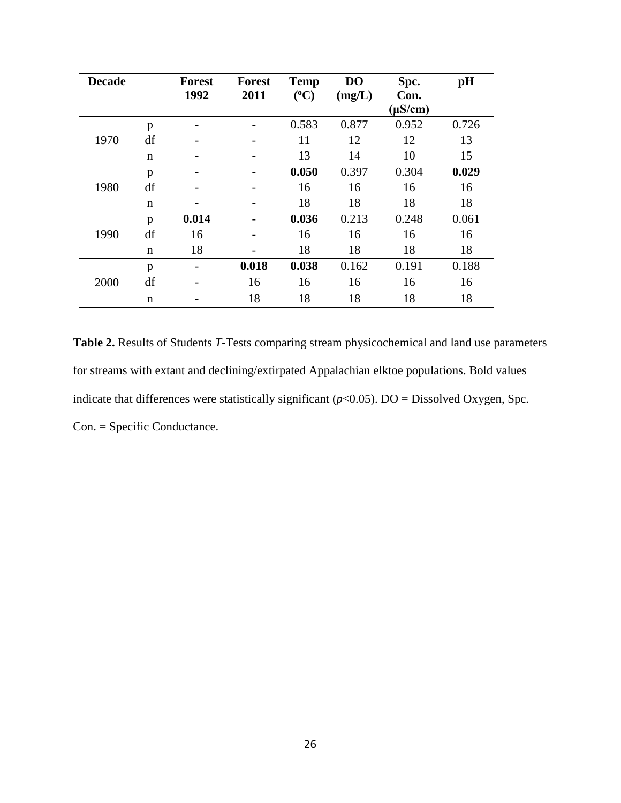| <b>Decade</b> |             | <b>Forest</b> | <b>Forest</b> | <b>Temp</b> | D <sub>O</sub> | Spc.                 | pH    |
|---------------|-------------|---------------|---------------|-------------|----------------|----------------------|-------|
|               |             | 1992          | 2011          | $(^{0}C)$   | (mg/L)         | Con.<br>$(\mu S/cm)$ |       |
|               | p           |               |               | 0.583       | 0.877          | 0.952                | 0.726 |
| 1970          | df          |               |               | 11          | 12             | 12                   | 13    |
|               | $\mathbf n$ |               |               | 13          | 14             | 10                   | 15    |
|               | p           |               |               | 0.050       | 0.397          | 0.304                | 0.029 |
| 1980          | df          |               |               | 16          | 16             | 16                   | 16    |
|               | $\mathbf n$ |               |               | 18          | 18             | 18                   | 18    |
|               | p           | 0.014         |               | 0.036       | 0.213          | 0.248                | 0.061 |
| 1990          | df          | 16            |               | 16          | 16             | 16                   | 16    |
|               | $\mathbf n$ | 18            |               | 18          | 18             | 18                   | 18    |
| 2000          | p           |               | 0.018         | 0.038       | 0.162          | 0.191                | 0.188 |
|               | df          |               | 16            | 16          | 16             | 16                   | 16    |
|               | n           |               | 18            | 18          | 18             | 18                   | 18    |

**Table 2.** Results of Students *T*-Tests comparing stream physicochemical and land use parameters for streams with extant and declining/extirpated Appalachian elktoe populations. Bold values indicate that differences were statistically significant  $(p<0.05)$ . DO = Dissolved Oxygen, Spc. Con. = Specific Conductance.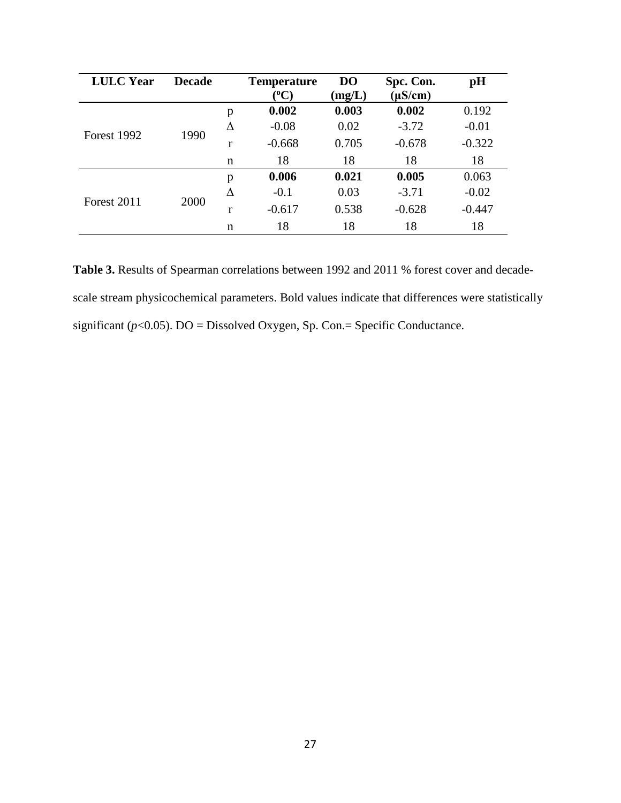| <b>LULC</b> Year | <b>Decade</b> |             | <b>Temperature</b> | D <sub>O</sub> | Spc. Con.    | pH       |
|------------------|---------------|-------------|--------------------|----------------|--------------|----------|
|                  |               |             | $({}^0C)$          | (mg/L)         | $(\mu S/cm)$ |          |
| Forest 1992      |               | p           | 0.002              | 0.003          | 0.002        | 0.192    |
|                  |               | Δ           | $-0.08$            | 0.02           | $-3.72$      | $-0.01$  |
|                  | 1990          | r           | $-0.668$           | 0.705          | $-0.678$     | $-0.322$ |
|                  |               | $\mathbf n$ | 18                 | 18             | 18           | 18       |
| Forest 2011      |               | p           | 0.006              | 0.021          | 0.005        | 0.063    |
|                  |               | Δ           | $-0.1$             | 0.03           | $-3.71$      | $-0.02$  |
|                  | 2000          | r           | $-0.617$           | 0.538          | $-0.628$     | $-0.447$ |
|                  |               | $\mathbf n$ | 18                 | 18             | 18           | 18       |

Table 3. Results of Spearman correlations between 1992 and 2011 % forest cover and decadescale stream physicochemical parameters. Bold values indicate that differences were statistically significant (*p*<0.05). DO = Dissolved Oxygen, Sp. Con.= Specific Conductance.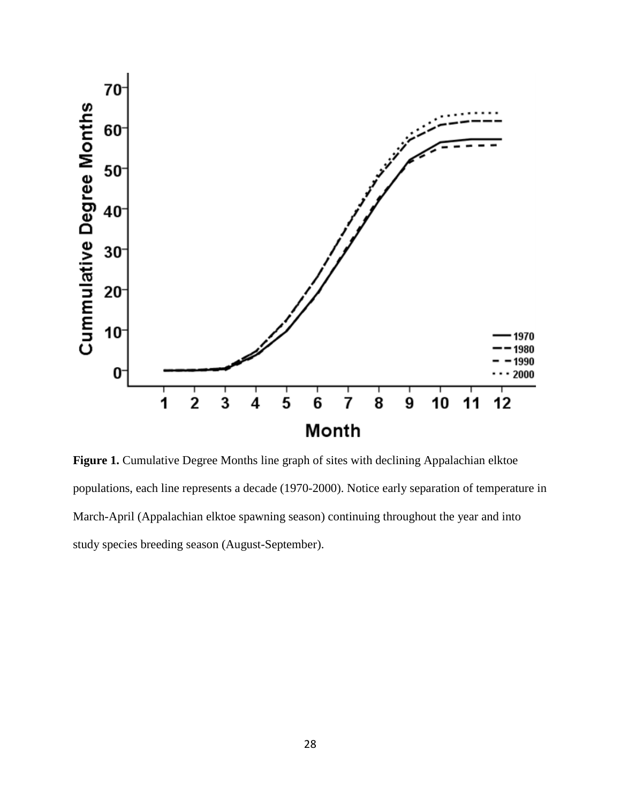

Figure 1. Cumulative Degree Months line graph of sites with declining Appalachian elktoe populations, each line represents a decade (1970-2000). Notice early separation of temperature in March-April (Appalachian elktoe spawning season) continuing throughout the year and into study species breeding season (August-September).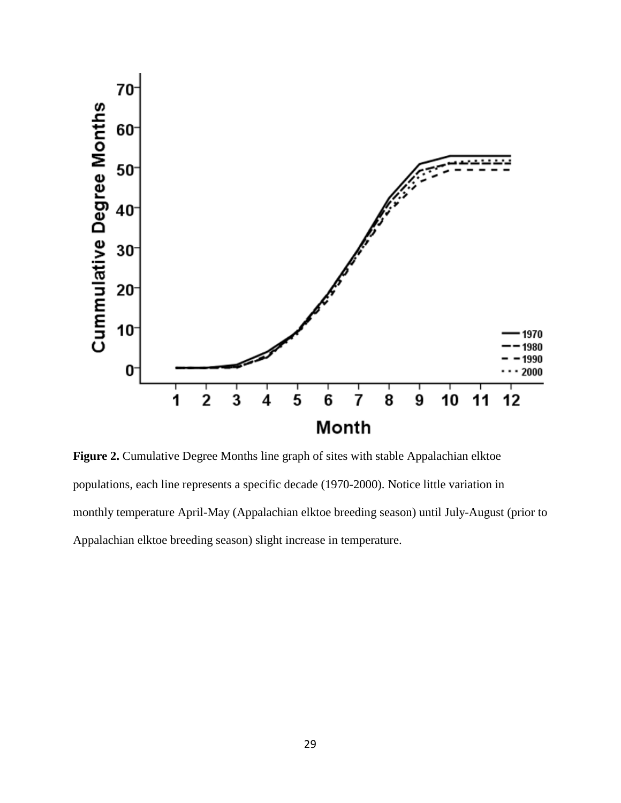

Figure 2. Cumulative Degree Months line graph of sites with stable Appalachian elktoe populations, each line represents a specific decade (1970-2000). Notice little variation in monthly temperature April-May (Appalachian elktoe breeding season) until July-August (prior to Appalachian elktoe breeding season) slight increase in temperature.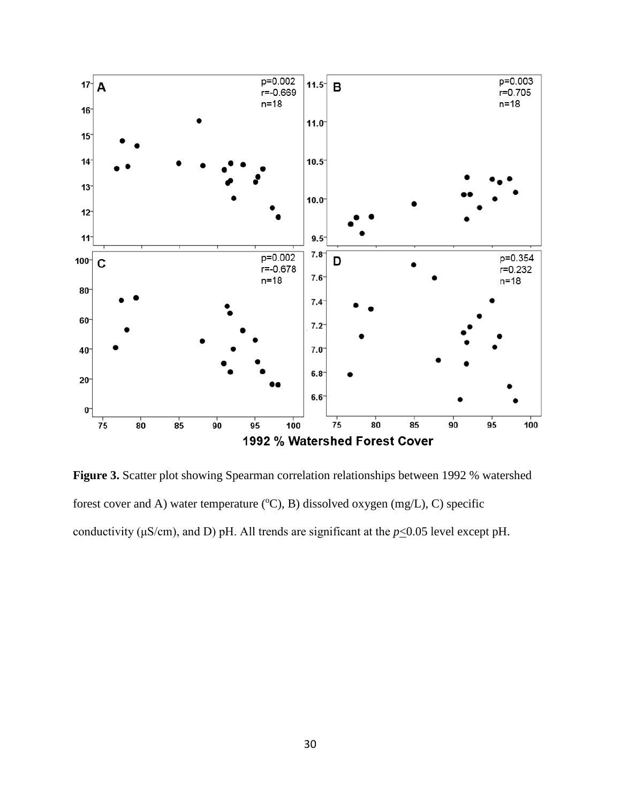

**Figure 3.** Scatter plot showing Spearman correlation relationships between 1992 % watershed forest cover and A) water temperature  $({}^{\circ}C)$ , B) dissolved oxygen (mg/L), C) specific conductivity ( $\mu$ S/cm), and D) pH. All trends are significant at the  $p \le 0.05$  level except pH.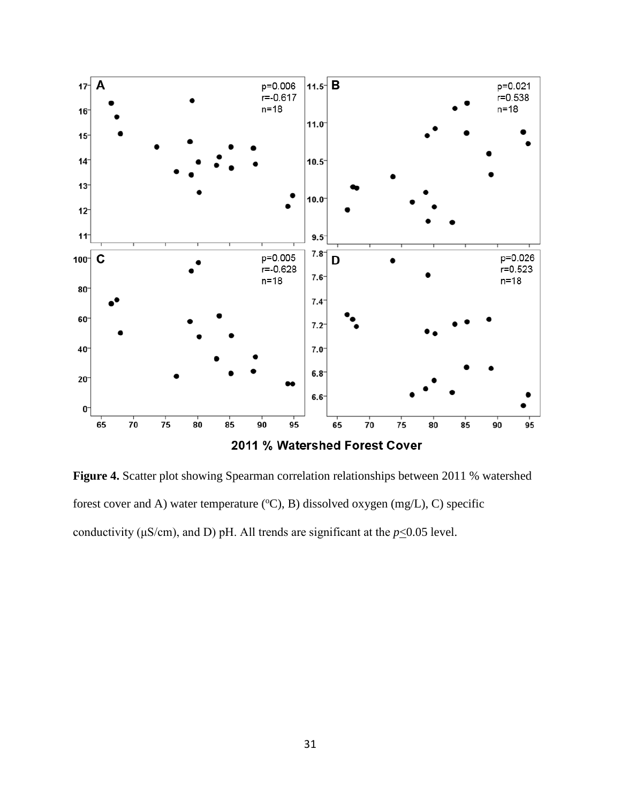

**Figure 4.** Scatter plot showing Spearman correlation relationships between 2011 % watershed forest cover and A) water temperature  $({}^{\circ}C)$ , B) dissolved oxygen (mg/L), C) specific conductivity ( $\mu$ S/cm), and D) pH. All trends are significant at the  $p \le 0.05$  level.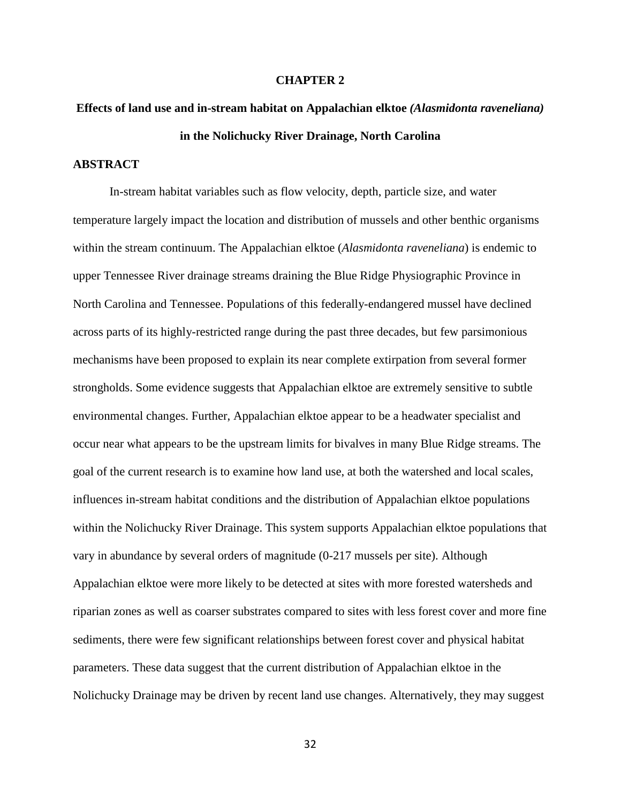## **CHAPTER 2**

# **Effects of land use and in-stream habitat on Appalachian elktoe** *(Alasmidonta raveneliana)*  **in the Nolichucky River Drainage, North Carolina**

# **ABSTRACT**

In-stream habitat variables such as flow velocity, depth, particle size, and water temperature largely impact the location and distribution of mussels and other benthic organisms within the stream continuum. The Appalachian elktoe (*Alasmidonta raveneliana*) is endemic to upper Tennessee River drainage streams draining the Blue Ridge Physiographic Province in North Carolina and Tennessee. Populations of this federally-endangered mussel have declined across parts of its highly-restricted range during the past three decades, but few parsimonious mechanisms have been proposed to explain its near complete extirpation from several former strongholds. Some evidence suggests that Appalachian elktoe are extremely sensitive to subtle environmental changes. Further, Appalachian elktoe appear to be a headwater specialist and occur near what appears to be the upstream limits for bivalves in many Blue Ridge streams. The goal of the current research is to examine how land use, at both the watershed and local scales, influences in-stream habitat conditions and the distribution of Appalachian elktoe populations within the Nolichucky River Drainage. This system supports Appalachian elktoe populations that vary in abundance by several orders of magnitude (0-217 mussels per site). Although Appalachian elktoe were more likely to be detected at sites with more forested watersheds and riparian zones as well as coarser substrates compared to sites with less forest cover and more fine sediments, there were few significant relationships between forest cover and physical habitat parameters. These data suggest that the current distribution of Appalachian elktoe in the Nolichucky Drainage may be driven by recent land use changes. Alternatively, they may suggest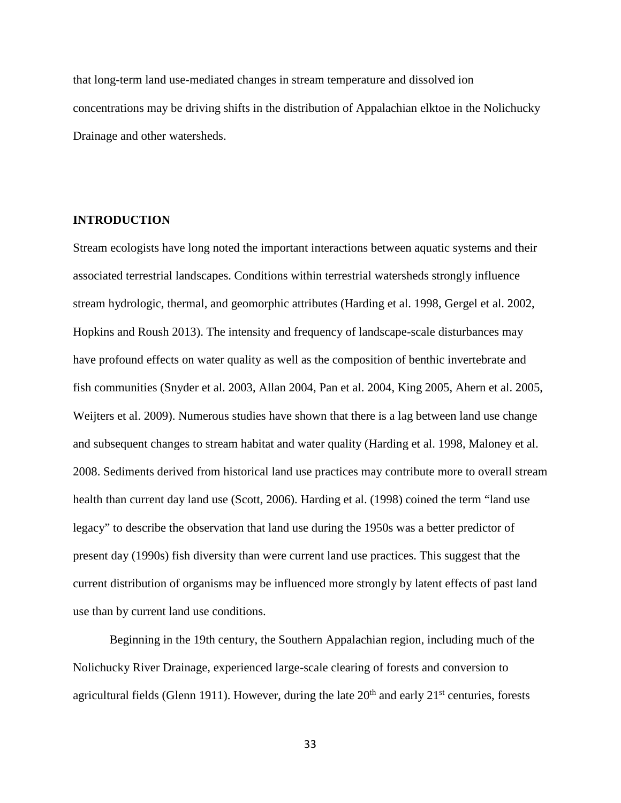that long-term land use-mediated changes in stream temperature and dissolved ion concentrations may be driving shifts in the distribution of Appalachian elktoe in the Nolichucky Drainage and other watersheds.

# **INTRODUCTION**

Stream ecologists have long noted the important interactions between aquatic systems and their associated terrestrial landscapes. Conditions within terrestrial watersheds strongly influence stream hydrologic, thermal, and geomorphic attributes (Harding et al. 1998, Gergel et al. 2002, Hopkins and Roush 2013). The intensity and frequency of landscape-scale disturbances may have profound effects on water quality as well as the composition of benthic invertebrate and fish communities (Snyder et al. 2003, Allan 2004, Pan et al. 2004, King 2005, Ahern et al. 2005, Weijters et al. 2009). Numerous studies have shown that there is a lag between land use change and subsequent changes to stream habitat and water quality (Harding et al. 1998, Maloney et al. 2008. Sediments derived from historical land use practices may contribute more to overall stream health than current day land use (Scott, 2006). Harding et al. (1998) coined the term "land use legacy" to describe the observation that land use during the 1950s was a better predictor of present day (1990s) fish diversity than were current land use practices. This suggest that the current distribution of organisms may be influenced more strongly by latent effects of past land use than by current land use conditions.

Beginning in the 19th century, the Southern Appalachian region, including much of the Nolichucky River Drainage, experienced large-scale clearing of forests and conversion to agricultural fields (Glenn 1911). However, during the late  $20<sup>th</sup>$  and early  $21<sup>st</sup>$  centuries, forests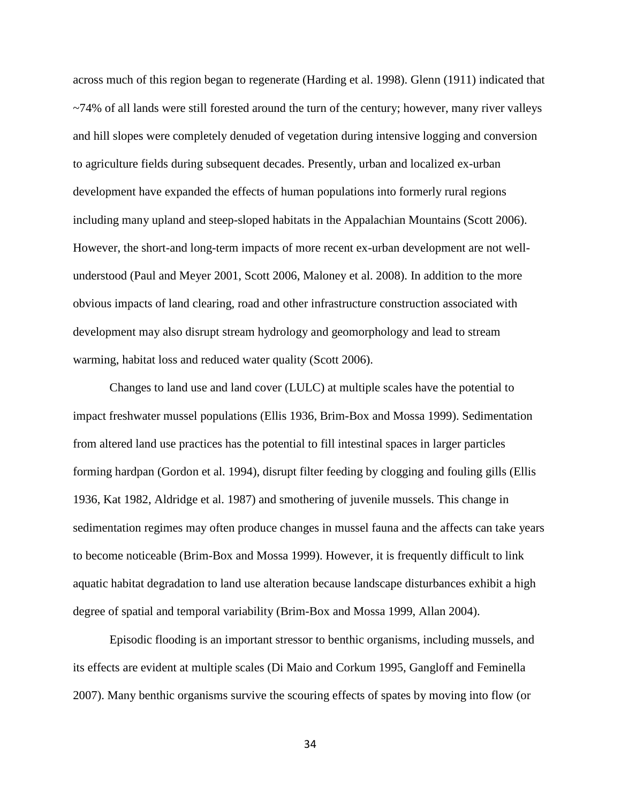across much of this region began to regenerate (Harding et al. 1998). Glenn (1911) indicated that ~74% of all lands were still forested around the turn of the century; however, many river valleys and hill slopes were completely denuded of vegetation during intensive logging and conversion to agriculture fields during subsequent decades. Presently, urban and localized ex-urban development have expanded the effects of human populations into formerly rural regions including many upland and steep-sloped habitats in the Appalachian Mountains (Scott 2006). However, the short-and long-term impacts of more recent ex-urban development are not wellunderstood (Paul and Meyer 2001, Scott 2006, Maloney et al. 2008). In addition to the more obvious impacts of land clearing, road and other infrastructure construction associated with development may also disrupt stream hydrology and geomorphology and lead to stream warming, habitat loss and reduced water quality (Scott 2006).

Changes to land use and land cover (LULC) at multiple scales have the potential to impact freshwater mussel populations (Ellis 1936, Brim-Box and Mossa 1999). Sedimentation from altered land use practices has the potential to fill intestinal spaces in larger particles forming hardpan (Gordon et al. 1994), disrupt filter feeding by clogging and fouling gills (Ellis 1936, Kat 1982, Aldridge et al. 1987) and smothering of juvenile mussels. This change in sedimentation regimes may often produce changes in mussel fauna and the affects can take years to become noticeable (Brim-Box and Mossa 1999). However, it is frequently difficult to link aquatic habitat degradation to land use alteration because landscape disturbances exhibit a high degree of spatial and temporal variability (Brim-Box and Mossa 1999, Allan 2004).

Episodic flooding is an important stressor to benthic organisms, including mussels, and its effects are evident at multiple scales (Di Maio and Corkum 1995, Gangloff and Feminella 2007). Many benthic organisms survive the scouring effects of spates by moving into flow (or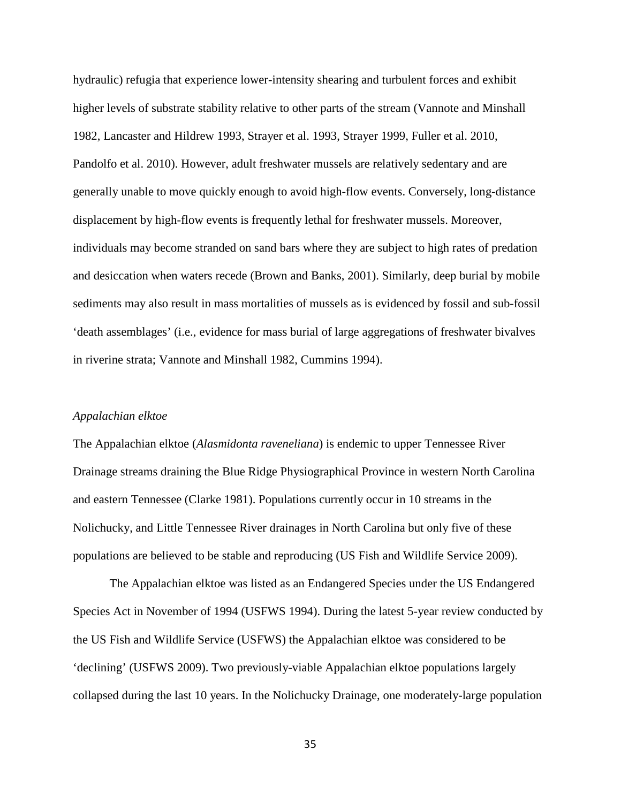hydraulic) refugia that experience lower-intensity shearing and turbulent forces and exhibit higher levels of substrate stability relative to other parts of the stream (Vannote and Minshall 1982, Lancaster and Hildrew 1993, Strayer et al. 1993, Strayer 1999, Fuller et al. 2010, Pandolfo et al. 2010). However, adult freshwater mussels are relatively sedentary and are generally unable to move quickly enough to avoid high-flow events. Conversely, long-distance displacement by high-flow events is frequently lethal for freshwater mussels. Moreover, individuals may become stranded on sand bars where they are subject to high rates of predation and desiccation when waters recede (Brown and Banks, 2001). Similarly, deep burial by mobile sediments may also result in mass mortalities of mussels as is evidenced by fossil and sub-fossil 'death assemblages' (i.e., evidence for mass burial of large aggregations of freshwater bivalves in riverine strata; Vannote and Minshall 1982, Cummins 1994).

#### *Appalachian elktoe*

The Appalachian elktoe (*Alasmidonta raveneliana*) is endemic to upper Tennessee River Drainage streams draining the Blue Ridge Physiographical Province in western North Carolina and eastern Tennessee (Clarke 1981). Populations currently occur in 10 streams in the Nolichucky, and Little Tennessee River drainages in North Carolina but only five of these populations are believed to be stable and reproducing (US Fish and Wildlife Service 2009).

The Appalachian elktoe was listed as an Endangered Species under the US Endangered Species Act in November of 1994 (USFWS 1994). During the latest 5-year review conducted by the US Fish and Wildlife Service (USFWS) the Appalachian elktoe was considered to be 'declining' (USFWS 2009). Two previously-viable Appalachian elktoe populations largely collapsed during the last 10 years. In the Nolichucky Drainage, one moderately-large population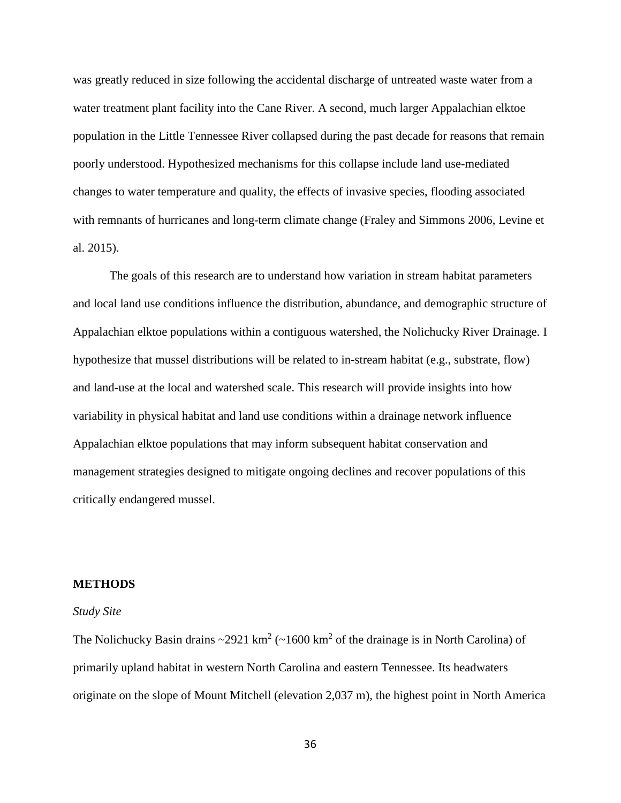was greatly reduced in size following the accidental discharge of untreated waste water from a water treatment plant facility into the Cane River. A second, much larger Appalachian elktoe population in the Little Tennessee River collapsed during the past decade for reasons that remain poorly understood. Hypothesized mechanisms for this collapse include land use-mediated changes to water temperature and quality, the effects of invasive species, flooding associated with remnants of hurricanes and long-term climate change (Fraley and Simmons 2006, Levine et al. 2015).

The goals of this research are to understand how variation in stream habitat parameters and local land use conditions influence the distribution, abundance, and demographic structure of Appalachian elktoe populations within a contiguous watershed, the Nolichucky River Drainage. I hypothesize that mussel distributions will be related to in-stream habitat (e.g., substrate, flow) and land-use at the local and watershed scale. This research will provide insights into how variability in physical habitat and land use conditions within a drainage network influence Appalachian elktoe populations that may inform subsequent habitat conservation and management strategies designed to mitigate ongoing declines and recover populations of this critically endangered mussel.

#### **METHODS**

#### *Study Site*

The Nolichucky Basin drains  $\sim$ 2921 km<sup>2</sup> ( $\sim$ 1600 km<sup>2</sup> of the drainage is in North Carolina) of primarily upland habitat in western North Carolina and eastern Tennessee. Its headwaters originate on the slope of Mount Mitchell (elevation 2,037 m), the highest point in North America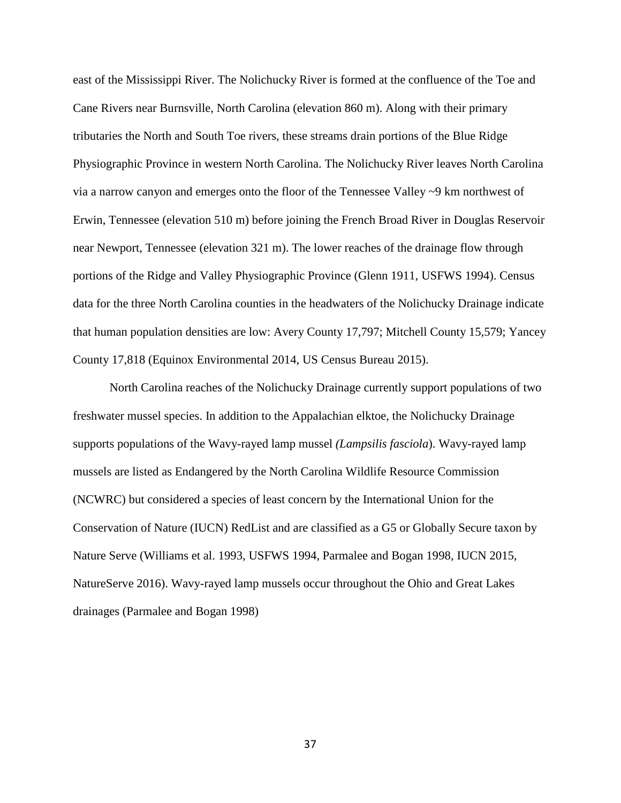east of the Mississippi River. The Nolichucky River is formed at the confluence of the Toe and Cane Rivers near Burnsville, North Carolina (elevation 860 m). Along with their primary tributaries the North and South Toe rivers, these streams drain portions of the Blue Ridge Physiographic Province in western North Carolina. The Nolichucky River leaves North Carolina via a narrow canyon and emerges onto the floor of the Tennessee Valley ~9 km northwest of Erwin, Tennessee (elevation 510 m) before joining the French Broad River in Douglas Reservoir near Newport, Tennessee (elevation 321 m). The lower reaches of the drainage flow through portions of the Ridge and Valley Physiographic Province (Glenn 1911, USFWS 1994). Census data for the three North Carolina counties in the headwaters of the Nolichucky Drainage indicate that human population densities are low: Avery County 17,797; Mitchell County 15,579; Yancey County 17,818 (Equinox Environmental 2014, US Census Bureau 2015).

North Carolina reaches of the Nolichucky Drainage currently support populations of two freshwater mussel species. In addition to the Appalachian elktoe, the Nolichucky Drainage supports populations of the Wavy-rayed lamp mussel *(Lampsilis fasciola*). Wavy-rayed lamp mussels are listed as Endangered by the North Carolina Wildlife Resource Commission (NCWRC) but considered a species of least concern by the International Union for the Conservation of Nature (IUCN) RedList and are classified as a G5 or Globally Secure taxon by Nature Serve (Williams et al. 1993, USFWS 1994, Parmalee and Bogan 1998, IUCN 2015, NatureServe 2016). Wavy-rayed lamp mussels occur throughout the Ohio and Great Lakes drainages (Parmalee and Bogan 1998)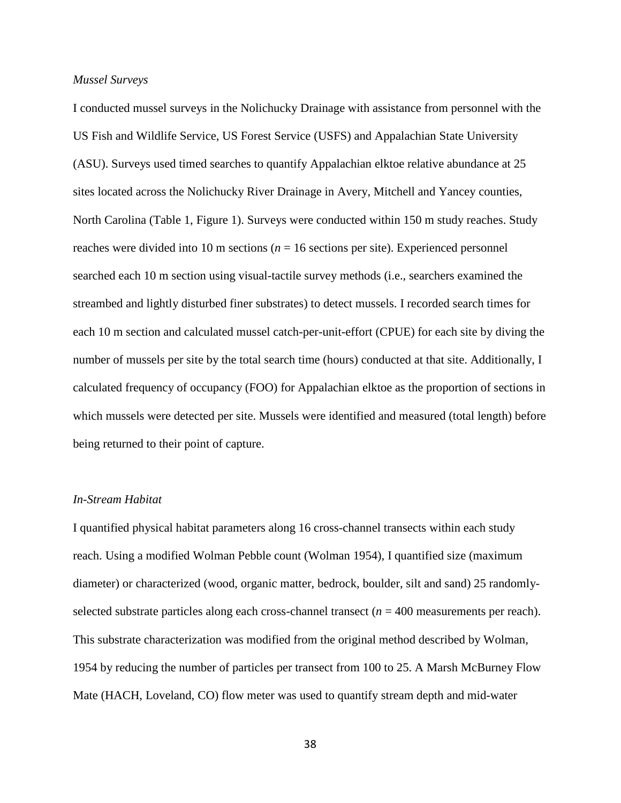# *Mussel Surveys*

I conducted mussel surveys in the Nolichucky Drainage with assistance from personnel with the US Fish and Wildlife Service, US Forest Service (USFS) and Appalachian State University (ASU). Surveys used timed searches to quantify Appalachian elktoe relative abundance at 25 sites located across the Nolichucky River Drainage in Avery, Mitchell and Yancey counties, North Carolina (Table 1, Figure 1). Surveys were conducted within 150 m study reaches. Study reaches were divided into 10 m sections ( $n = 16$  sections per site). Experienced personnel searched each 10 m section using visual-tactile survey methods (i.e., searchers examined the streambed and lightly disturbed finer substrates) to detect mussels. I recorded search times for each 10 m section and calculated mussel catch-per-unit-effort (CPUE) for each site by diving the number of mussels per site by the total search time (hours) conducted at that site. Additionally, I calculated frequency of occupancy (FOO) for Appalachian elktoe as the proportion of sections in which mussels were detected per site. Mussels were identified and measured (total length) before being returned to their point of capture.

## *In-Stream Habitat*

I quantified physical habitat parameters along 16 cross-channel transects within each study reach. Using a modified Wolman Pebble count (Wolman 1954), I quantified size (maximum diameter) or characterized (wood, organic matter, bedrock, boulder, silt and sand) 25 randomlyselected substrate particles along each cross-channel transect  $(n = 400$  measurements per reach). This substrate characterization was modified from the original method described by Wolman, 1954 by reducing the number of particles per transect from 100 to 25. A Marsh McBurney Flow Mate (HACH, Loveland, CO) flow meter was used to quantify stream depth and mid-water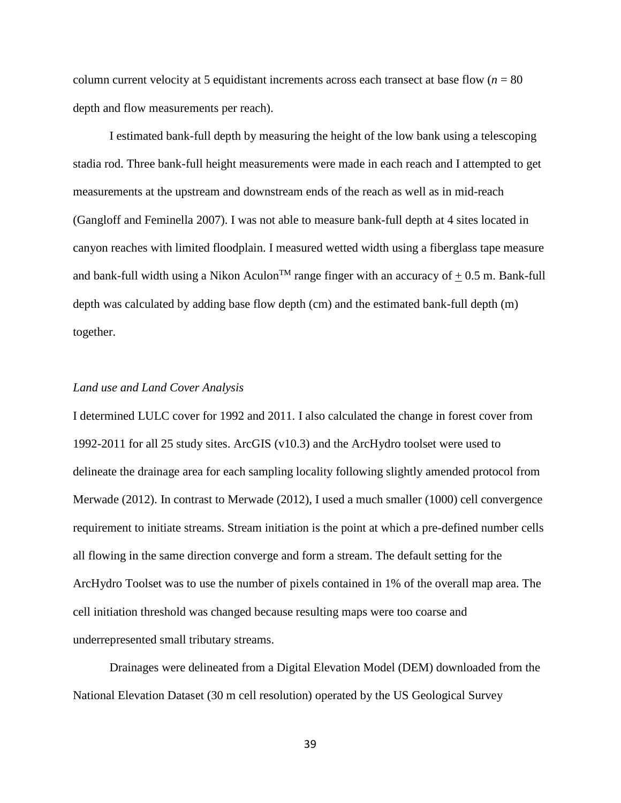column current velocity at 5 equidistant increments across each transect at base flow ( $n = 80$ ) depth and flow measurements per reach).

I estimated bank-full depth by measuring the height of the low bank using a telescoping stadia rod. Three bank-full height measurements were made in each reach and I attempted to get measurements at the upstream and downstream ends of the reach as well as in mid-reach (Gangloff and Feminella 2007). I was not able to measure bank-full depth at 4 sites located in canyon reaches with limited floodplain. I measured wetted width using a fiberglass tape measure and bank-full width using a Nikon Aculon<sup>TM</sup> range finger with an accuracy of  $+0.5$  m. Bank-full depth was calculated by adding base flow depth (cm) and the estimated bank-full depth (m) together.

## *Land use and Land Cover Analysis*

I determined LULC cover for 1992 and 2011. I also calculated the change in forest cover from 1992-2011 for all 25 study sites. ArcGIS (v10.3) and the ArcHydro toolset were used to delineate the drainage area for each sampling locality following slightly amended protocol from Merwade (2012). In contrast to Merwade (2012), I used a much smaller (1000) cell convergence requirement to initiate streams. Stream initiation is the point at which a pre-defined number cells all flowing in the same direction converge and form a stream. The default setting for the ArcHydro Toolset was to use the number of pixels contained in 1% of the overall map area. The cell initiation threshold was changed because resulting maps were too coarse and underrepresented small tributary streams.

Drainages were delineated from a Digital Elevation Model (DEM) downloaded from the National Elevation Dataset (30 m cell resolution) operated by the US Geological Survey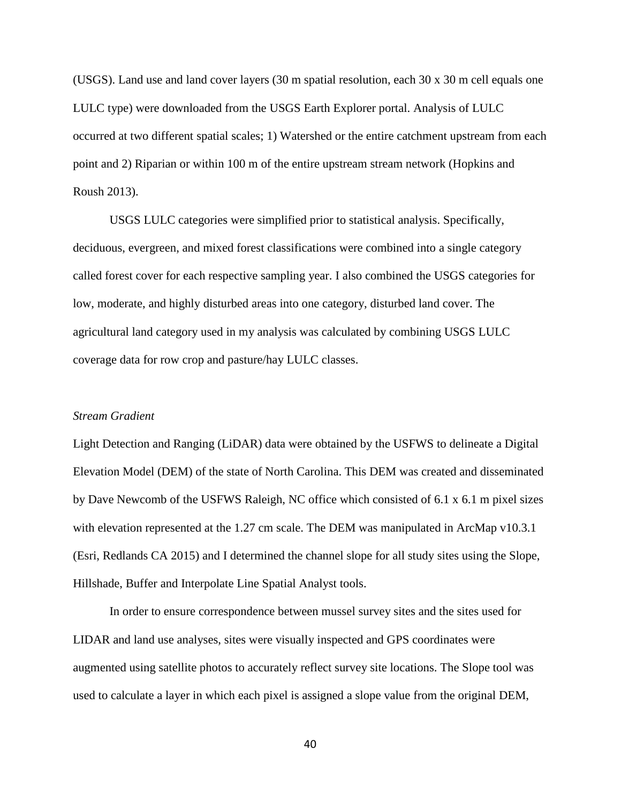(USGS). Land use and land cover layers (30 m spatial resolution, each 30 x 30 m cell equals one LULC type) were downloaded from the USGS Earth Explorer portal. Analysis of LULC occurred at two different spatial scales; 1) Watershed or the entire catchment upstream from each point and 2) Riparian or within 100 m of the entire upstream stream network (Hopkins and Roush 2013).

USGS LULC categories were simplified prior to statistical analysis. Specifically, deciduous, evergreen, and mixed forest classifications were combined into a single category called forest cover for each respective sampling year. I also combined the USGS categories for low, moderate, and highly disturbed areas into one category, disturbed land cover. The agricultural land category used in my analysis was calculated by combining USGS LULC coverage data for row crop and pasture/hay LULC classes.

# *Stream Gradient*

Light Detection and Ranging (LiDAR) data were obtained by the USFWS to delineate a Digital Elevation Model (DEM) of the state of North Carolina. This DEM was created and disseminated by Dave Newcomb of the USFWS Raleigh, NC office which consisted of 6.1 x 6.1 m pixel sizes with elevation represented at the 1.27 cm scale. The DEM was manipulated in ArcMap v10.3.1 (Esri, Redlands CA 2015) and I determined the channel slope for all study sites using the Slope, Hillshade, Buffer and Interpolate Line Spatial Analyst tools.

In order to ensure correspondence between mussel survey sites and the sites used for LIDAR and land use analyses, sites were visually inspected and GPS coordinates were augmented using satellite photos to accurately reflect survey site locations. The Slope tool was used to calculate a layer in which each pixel is assigned a slope value from the original DEM,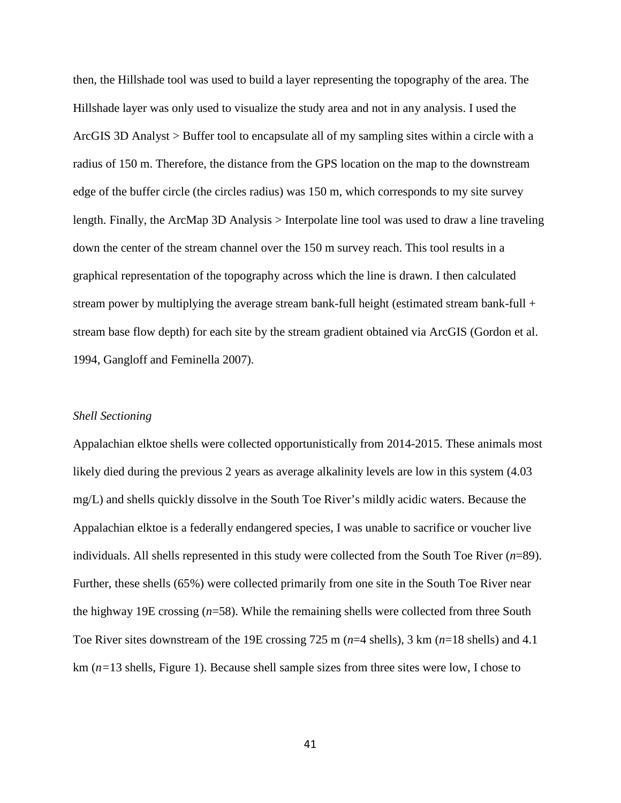then, the Hillshade tool was used to build a layer representing the topography of the area. The Hillshade layer was only used to visualize the study area and not in any analysis. I used the ArcGIS 3D Analyst > Buffer tool to encapsulate all of my sampling sites within a circle with a radius of 150 m. Therefore, the distance from the GPS location on the map to the downstream edge of the buffer circle (the circles radius) was 150 m, which corresponds to my site survey length. Finally, the ArcMap 3D Analysis > Interpolate line tool was used to draw a line traveling down the center of the stream channel over the 150 m survey reach. This tool results in a graphical representation of the topography across which the line is drawn. I then calculated stream power by multiplying the average stream bank-full height (estimated stream bank-full  $+$ stream base flow depth) for each site by the stream gradient obtained via ArcGIS (Gordon et al. 1994, Gangloff and Feminella 2007).

#### *Shell Sectioning*

Appalachian elktoe shells were collected opportunistically from 2014-2015. These animals most likely died during the previous 2 years as average alkalinity levels are low in this system  $(4.03)$ mg/L) and shells quickly dissolve in the South Toe River's mildly acidic waters. Because the Appalachian elktoe is a federally endangered species, I was unable to sacrifice or voucher live individuals. All shells represented in this study were collected from the South Toe River (*n*=89). Further, these shells (65%) were collected primarily from one site in the South Toe River near the highway 19E crossing (*n*=58). While the remaining shells were collected from three South Toe River sites downstream of the 19E crossing 725 m (*n*=4 shells), 3 km (*n*=18 shells) and 4.1 km (*n=*13 shells, Figure 1). Because shell sample sizes from three sites were low, I chose to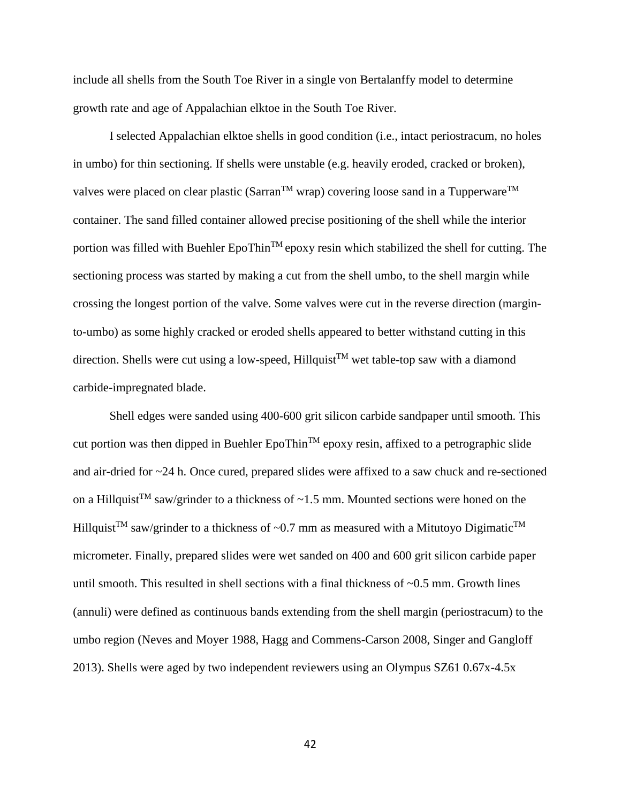include all shells from the South Toe River in a single von Bertalanffy model to determine growth rate and age of Appalachian elktoe in the South Toe River.

I selected Appalachian elktoe shells in good condition (i.e., intact periostracum, no holes in umbo) for thin sectioning. If shells were unstable (e.g. heavily eroded, cracked or broken), valves were placed on clear plastic (Sarran<sup>TM</sup> wrap) covering loose sand in a Tupperware<sup>TM</sup> container. The sand filled container allowed precise positioning of the shell while the interior portion was filled with Buehler  $EpoThin^{TM}epoxy$  resin which stabilized the shell for cutting. The sectioning process was started by making a cut from the shell umbo, to the shell margin while crossing the longest portion of the valve. Some valves were cut in the reverse direction (marginto-umbo) as some highly cracked or eroded shells appeared to better withstand cutting in this direction. Shells were cut using a low-speed, Hillquist<sup>TM</sup> wet table-top saw with a diamond carbide-impregnated blade.

Shell edges were sanded using 400-600 grit silicon carbide sandpaper until smooth. This cut portion was then dipped in Buehler  $EpoThin<sup>TM</sup>$  epoxy resin, affixed to a petrographic slide and air-dried for ~24 h. Once cured, prepared slides were affixed to a saw chuck and re-sectioned on a Hillquist<sup>TM</sup> saw/grinder to a thickness of  $\sim$ 1.5 mm. Mounted sections were honed on the Hillquist<sup>TM</sup> saw/grinder to a thickness of ~0.7 mm as measured with a Mitutoyo Digimatic<sup>TM</sup> micrometer. Finally, prepared slides were wet sanded on 400 and 600 grit silicon carbide paper until smooth. This resulted in shell sections with a final thickness of  $\sim 0.5$  mm. Growth lines (annuli) were defined as continuous bands extending from the shell margin (periostracum) to the umbo region (Neves and Moyer 1988, Hagg and Commens-Carson 2008, Singer and Gangloff 2013). Shells were aged by two independent reviewers using an Olympus SZ61 0.67x-4.5x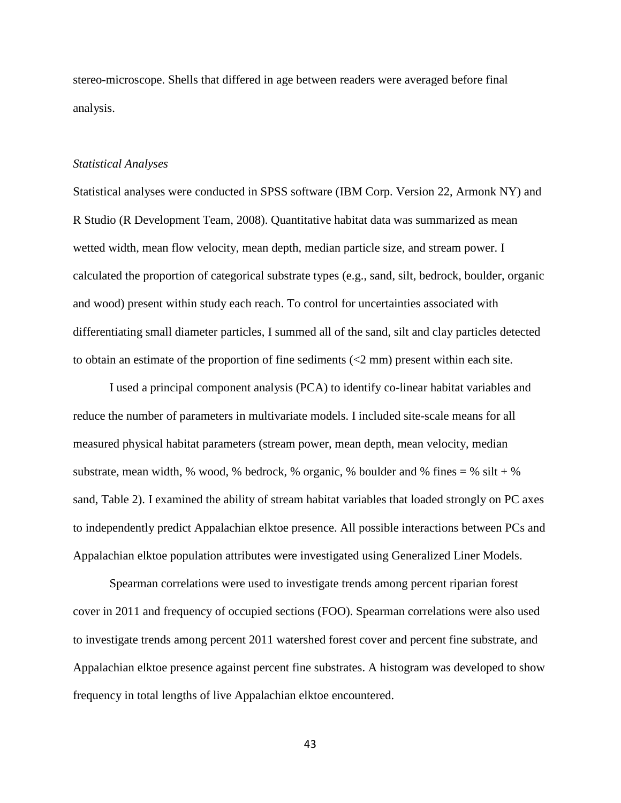stereo-microscope. Shells that differed in age between readers were averaged before final analysis.

## *Statistical Analyses*

Statistical analyses were conducted in SPSS software (IBM Corp. Version 22, Armonk NY) and R Studio (R Development Team, 2008). Quantitative habitat data was summarized as mean wetted width, mean flow velocity, mean depth, median particle size, and stream power. I calculated the proportion of categorical substrate types (e.g., sand, silt, bedrock, boulder, organic and wood) present within study each reach. To control for uncertainties associated with differentiating small diameter particles, I summed all of the sand, silt and clay particles detected to obtain an estimate of the proportion of fine sediments (<2 mm) present within each site.

I used a principal component analysis (PCA) to identify co-linear habitat variables and reduce the number of parameters in multivariate models. I included site-scale means for all measured physical habitat parameters (stream power, mean depth, mean velocity, median substrate, mean width,  $\%$  wood,  $\%$  bedrock,  $\%$  organic,  $\%$  boulder and  $\%$  fines =  $\%$  silt +  $\%$ sand, Table 2). I examined the ability of stream habitat variables that loaded strongly on PC axes to independently predict Appalachian elktoe presence. All possible interactions between PCs and Appalachian elktoe population attributes were investigated using Generalized Liner Models.

Spearman correlations were used to investigate trends among percent riparian forest cover in 2011 and frequency of occupied sections (FOO). Spearman correlations were also used to investigate trends among percent 2011 watershed forest cover and percent fine substrate, and Appalachian elktoe presence against percent fine substrates. A histogram was developed to show frequency in total lengths of live Appalachian elktoe encountered.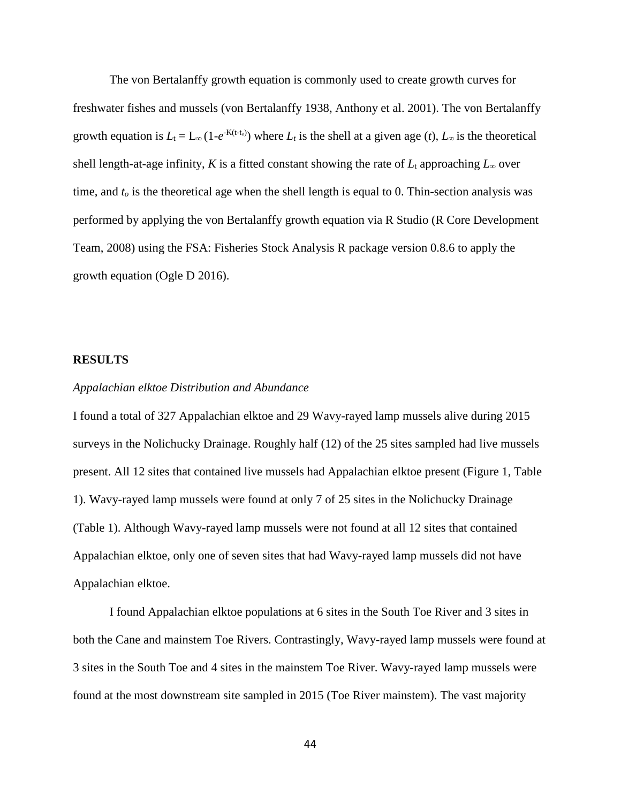The von Bertalanffy growth equation is commonly used to create growth curves for freshwater fishes and mussels (von Bertalanffy 1938, Anthony et al. 2001). The von Bertalanffy growth equation is  $L_t = L_\infty (1-e^{-K(t-t_0)})$  where  $L_t$  is the shell at a given age (*t*),  $L_\infty$  is the theoretical shell length-at-age infinity, *K* is a fitted constant showing the rate of  $L_t$  approaching  $L_\infty$  over time, and  $t<sub>o</sub>$  is the theoretical age when the shell length is equal to 0. Thin-section analysis was performed by applying the von Bertalanffy growth equation via R Studio (R Core Development Team, 2008) using the FSA: Fisheries Stock Analysis R package version 0.8.6 to apply the growth equation (Ogle D 2016).

## **RESULTS**

#### *Appalachian elktoe Distribution and Abundance*

I found a total of 327 Appalachian elktoe and 29 Wavy-rayed lamp mussels alive during 2015 surveys in the Nolichucky Drainage. Roughly half (12) of the 25 sites sampled had live mussels present. All 12 sites that contained live mussels had Appalachian elktoe present (Figure 1, Table 1). Wavy-rayed lamp mussels were found at only 7 of 25 sites in the Nolichucky Drainage (Table 1). Although Wavy-rayed lamp mussels were not found at all 12 sites that contained Appalachian elktoe, only one of seven sites that had Wavy-rayed lamp mussels did not have Appalachian elktoe.

I found Appalachian elktoe populations at 6 sites in the South Toe River and 3 sites in both the Cane and mainstem Toe Rivers. Contrastingly, Wavy-rayed lamp mussels were found at 3 sites in the South Toe and 4 sites in the mainstem Toe River. Wavy-rayed lamp mussels were found at the most downstream site sampled in 2015 (Toe River mainstem). The vast majority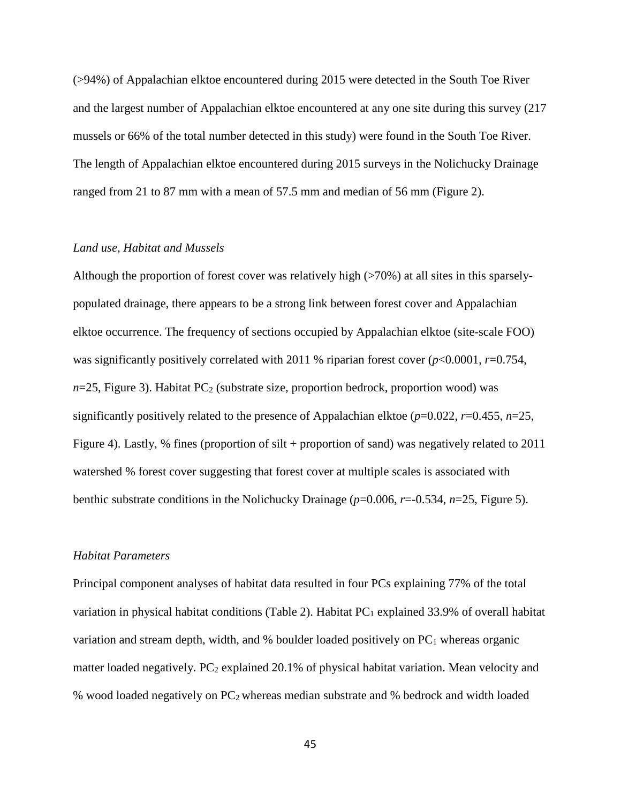(>94%) of Appalachian elktoe encountered during 2015 were detected in the South Toe River and the largest number of Appalachian elktoe encountered at any one site during this survey (217 mussels or 66% of the total number detected in this study) were found in the South Toe River. The length of Appalachian elktoe encountered during 2015 surveys in the Nolichucky Drainage ranged from 21 to 87 mm with a mean of 57.5 mm and median of 56 mm (Figure 2).

# *Land use, Habitat and Mussels*

Although the proportion of forest cover was relatively high  $($ >70%) at all sites in this sparselypopulated drainage, there appears to be a strong link between forest cover and Appalachian elktoe occurrence. The frequency of sections occupied by Appalachian elktoe (site-scale FOO) was significantly positively correlated with 2011 % riparian forest cover ( $p$ <0.0001,  $r$ =0.754,  $n=25$ , Figure 3). Habitat PC<sub>2</sub> (substrate size, proportion bedrock, proportion wood) was significantly positively related to the presence of Appalachian elktoe  $(p=0.022, r=0.455, n=25,$ Figure 4). Lastly, % fines (proportion of silt + proportion of sand) was negatively related to 2011 watershed % forest cover suggesting that forest cover at multiple scales is associated with benthic substrate conditions in the Nolichucky Drainage (*p*=0.006, *r*=-0.534, *n*=25, Figure 5).

# *Habitat Parameters*

Principal component analyses of habitat data resulted in four PCs explaining 77% of the total variation in physical habitat conditions (Table 2). Habitat  $PC_1$  explained 33.9% of overall habitat variation and stream depth, width, and  $%$  boulder loaded positively on PC<sub>1</sub> whereas organic matter loaded negatively.  $PC_2$  explained 20.1% of physical habitat variation. Mean velocity and % wood loaded negatively on PC2 whereas median substrate and % bedrock and width loaded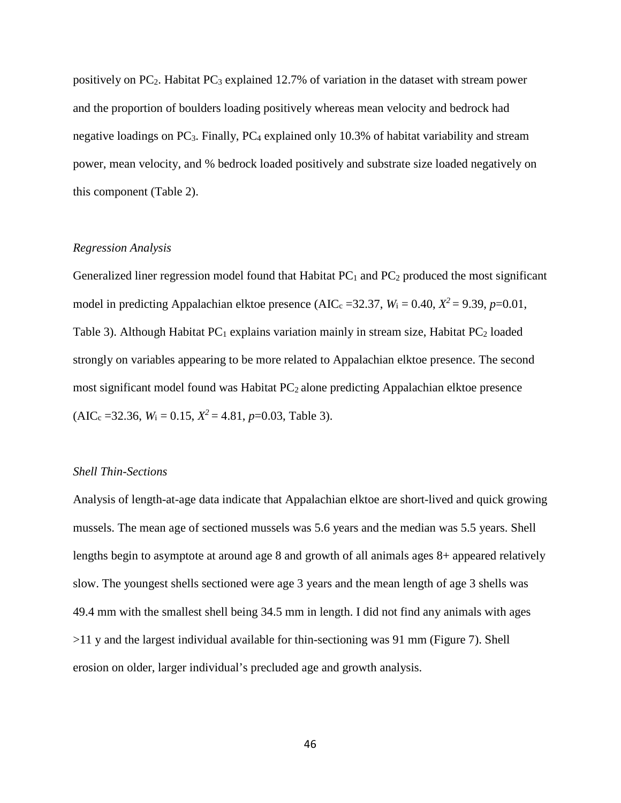positively on  $PC<sub>2</sub>$ . Habitat  $PC<sub>3</sub>$  explained 12.7% of variation in the dataset with stream power and the proportion of boulders loading positively whereas mean velocity and bedrock had negative loadings on  $PC_3$ . Finally,  $PC_4$  explained only 10.3% of habitat variability and stream power, mean velocity, and % bedrock loaded positively and substrate size loaded negatively on this component (Table 2).

# *Regression Analysis*

Generalized liner regression model found that Habitat  $PC_1$  and  $PC_2$  produced the most significant model in predicting Appalachian elktoe presence (AIC<sub>c</sub> = 32.37,  $W_i$  = 0.40,  $X^2$  = 9.39, *p*=0.01, Table 3). Although Habitat  $PC_1$  explains variation mainly in stream size, Habitat  $PC_2$  loaded strongly on variables appearing to be more related to Appalachian elktoe presence. The second most significant model found was Habitat  $PC<sub>2</sub>$  alone predicting Appalachian elktoe presence  $(AIC<sub>c</sub> = 32.36, W<sub>i</sub> = 0.15, X<sup>2</sup> = 4.81, p=0.03, Table 3).$ 

## *Shell Thin-Sections*

Analysis of length-at-age data indicate that Appalachian elktoe are short-lived and quick growing mussels. The mean age of sectioned mussels was 5.6 years and the median was 5.5 years. Shell lengths begin to asymptote at around age 8 and growth of all animals ages 8+ appeared relatively slow. The youngest shells sectioned were age 3 years and the mean length of age 3 shells was 49.4 mm with the smallest shell being 34.5 mm in length. I did not find any animals with ages >11 y and the largest individual available for thin-sectioning was 91 mm (Figure 7). Shell erosion on older, larger individual's precluded age and growth analysis.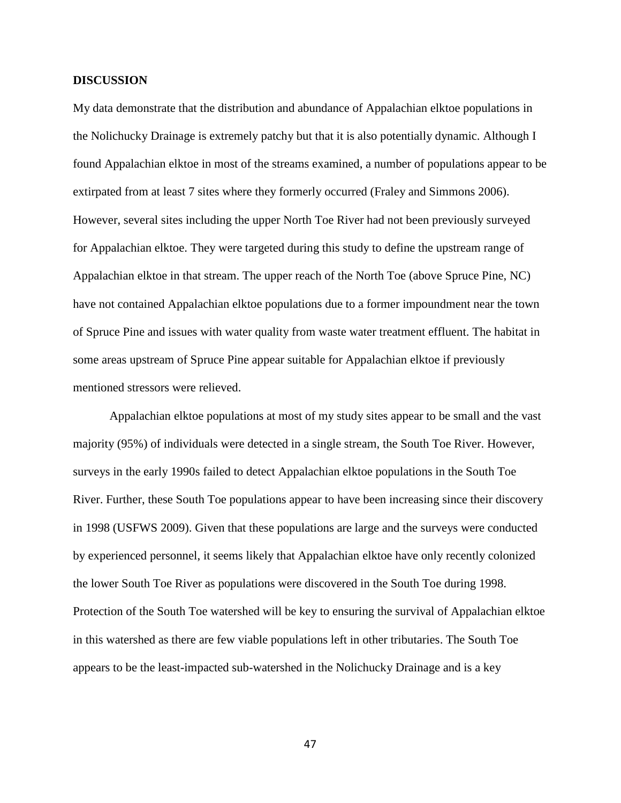## **DISCUSSION**

My data demonstrate that the distribution and abundance of Appalachian elktoe populations in the Nolichucky Drainage is extremely patchy but that it is also potentially dynamic. Although I found Appalachian elktoe in most of the streams examined, a number of populations appear to be extirpated from at least 7 sites where they formerly occurred (Fraley and Simmons 2006). However, several sites including the upper North Toe River had not been previously surveyed for Appalachian elktoe. They were targeted during this study to define the upstream range of Appalachian elktoe in that stream. The upper reach of the North Toe (above Spruce Pine, NC) have not contained Appalachian elktoe populations due to a former impoundment near the town of Spruce Pine and issues with water quality from waste water treatment effluent. The habitat in some areas upstream of Spruce Pine appear suitable for Appalachian elktoe if previously mentioned stressors were relieved.

Appalachian elktoe populations at most of my study sites appear to be small and the vast majority (95%) of individuals were detected in a single stream, the South Toe River. However, surveys in the early 1990s failed to detect Appalachian elktoe populations in the South Toe River. Further, these South Toe populations appear to have been increasing since their discovery in 1998 (USFWS 2009). Given that these populations are large and the surveys were conducted by experienced personnel, it seems likely that Appalachian elktoe have only recently colonized the lower South Toe River as populations were discovered in the South Toe during 1998. Protection of the South Toe watershed will be key to ensuring the survival of Appalachian elktoe in this watershed as there are few viable populations left in other tributaries. The South Toe appears to be the least-impacted sub-watershed in the Nolichucky Drainage and is a key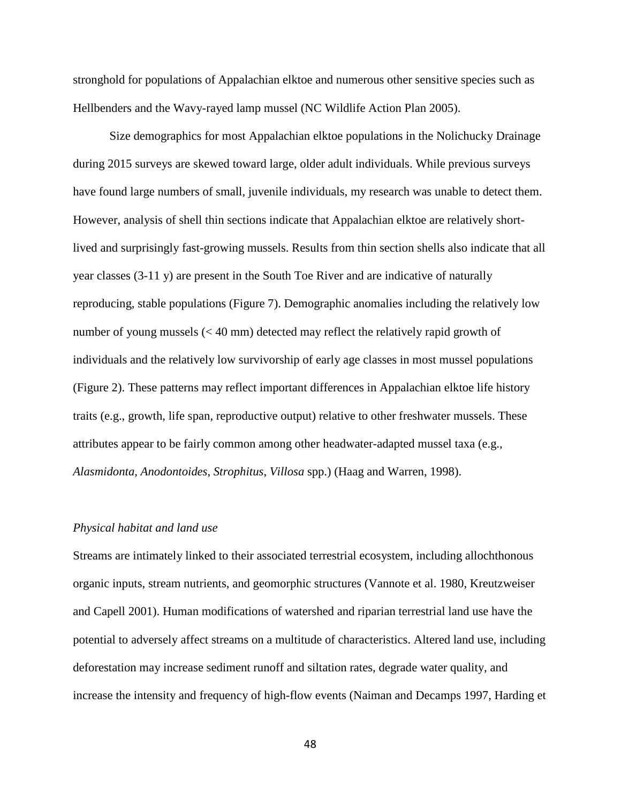stronghold for populations of Appalachian elktoe and numerous other sensitive species such as Hellbenders and the Wavy-rayed lamp mussel (NC Wildlife Action Plan 2005).

Size demographics for most Appalachian elktoe populations in the Nolichucky Drainage during 2015 surveys are skewed toward large, older adult individuals. While previous surveys have found large numbers of small, juvenile individuals, my research was unable to detect them. However, analysis of shell thin sections indicate that Appalachian elktoe are relatively shortlived and surprisingly fast-growing mussels. Results from thin section shells also indicate that all year classes (3-11 y) are present in the South Toe River and are indicative of naturally reproducing, stable populations (Figure 7). Demographic anomalies including the relatively low number of young mussels (< 40 mm) detected may reflect the relatively rapid growth of individuals and the relatively low survivorship of early age classes in most mussel populations (Figure 2). These patterns may reflect important differences in Appalachian elktoe life history traits (e.g., growth, life span, reproductive output) relative to other freshwater mussels. These attributes appear to be fairly common among other headwater-adapted mussel taxa (e.g., *Alasmidonta*, *Anodontoides*, *Strophitus*, *Villosa* spp.) (Haag and Warren, 1998).

#### *Physical habitat and land use*

Streams are intimately linked to their associated terrestrial ecosystem, including allochthonous organic inputs, stream nutrients, and geomorphic structures (Vannote et al. 1980, Kreutzweiser and Capell 2001). Human modifications of watershed and riparian terrestrial land use have the potential to adversely affect streams on a multitude of characteristics. Altered land use, including deforestation may increase sediment runoff and siltation rates, degrade water quality, and increase the intensity and frequency of high-flow events (Naiman and Decamps 1997, Harding et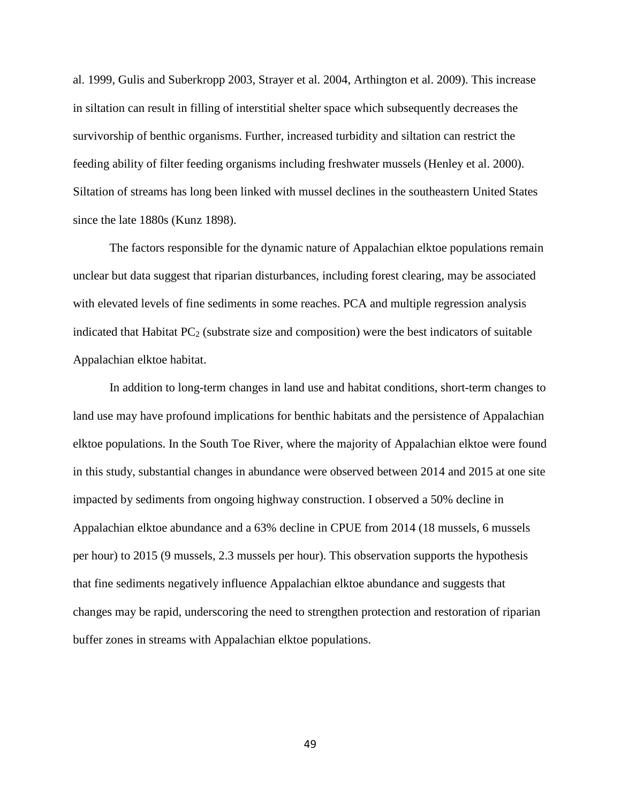al. 1999, Gulis and Suberkropp 2003, Strayer et al. 2004, Arthington et al. 2009). This increase in siltation can result in filling of interstitial shelter space which subsequently decreases the survivorship of benthic organisms. Further, increased turbidity and siltation can restrict the feeding ability of filter feeding organisms including freshwater mussels (Henley et al. 2000). Siltation of streams has long been linked with mussel declines in the southeastern United States since the late 1880s (Kunz 1898).

The factors responsible for the dynamic nature of Appalachian elktoe populations remain unclear but data suggest that riparian disturbances, including forest clearing, may be associated with elevated levels of fine sediments in some reaches. PCA and multiple regression analysis indicated that Habitat  $PC_2$  (substrate size and composition) were the best indicators of suitable Appalachian elktoe habitat.

In addition to long-term changes in land use and habitat conditions, short-term changes to land use may have profound implications for benthic habitats and the persistence of Appalachian elktoe populations. In the South Toe River, where the majority of Appalachian elktoe were found in this study, substantial changes in abundance were observed between 2014 and 2015 at one site impacted by sediments from ongoing highway construction. I observed a 50% decline in Appalachian elktoe abundance and a 63% decline in CPUE from 2014 (18 mussels, 6 mussels per hour) to 2015 (9 mussels, 2.3 mussels per hour). This observation supports the hypothesis that fine sediments negatively influence Appalachian elktoe abundance and suggests that changes may be rapid, underscoring the need to strengthen protection and restoration of riparian buffer zones in streams with Appalachian elktoe populations.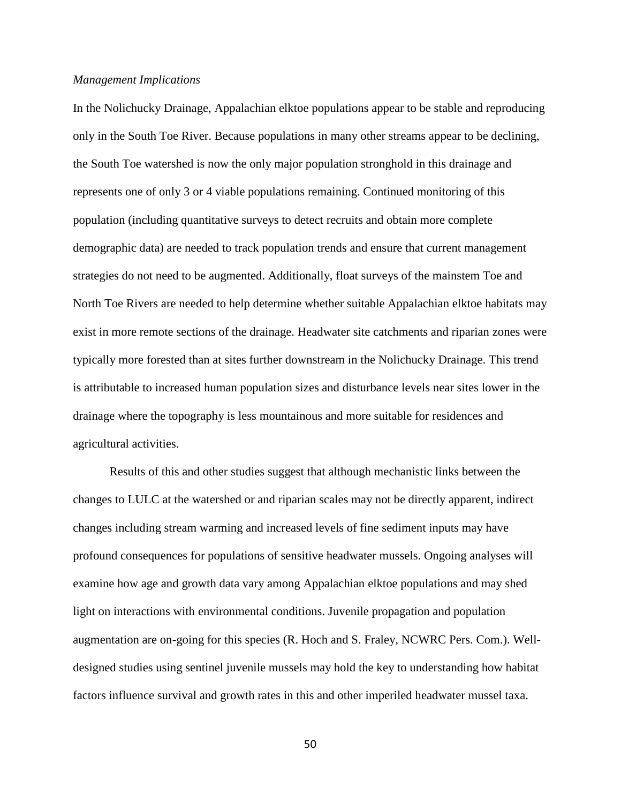#### *Management Implications*

In the Nolichucky Drainage, Appalachian elktoe populations appear to be stable and reproducing only in the South Toe River. Because populations in many other streams appear to be declining, the South Toe watershed is now the only major population stronghold in this drainage and represents one of only 3 or 4 viable populations remaining. Continued monitoring of this population (including quantitative surveys to detect recruits and obtain more complete demographic data) are needed to track population trends and ensure that current management strategies do not need to be augmented. Additionally, float surveys of the mainstem Toe and North Toe Rivers are needed to help determine whether suitable Appalachian elktoe habitats may exist in more remote sections of the drainage. Headwater site catchments and riparian zones were typically more forested than at sites further downstream in the Nolichucky Drainage. This trend is attributable to increased human population sizes and disturbance levels near sites lower in the drainage where the topography is less mountainous and more suitable for residences and agricultural activities.

Results of this and other studies suggest that although mechanistic links between the changes to LULC at the watershed or and riparian scales may not be directly apparent, indirect changes including stream warming and increased levels of fine sediment inputs may have profound consequences for populations of sensitive headwater mussels. Ongoing analyses will examine how age and growth data vary among Appalachian elktoe populations and may shed light on interactions with environmental conditions. Juvenile propagation and population augmentation are on-going for this species (R. Hoch and S. Fraley, NCWRC Pers. Com.). Welldesigned studies using sentinel juvenile mussels may hold the key to understanding how habitat factors influence survival and growth rates in this and other imperiled headwater mussel taxa.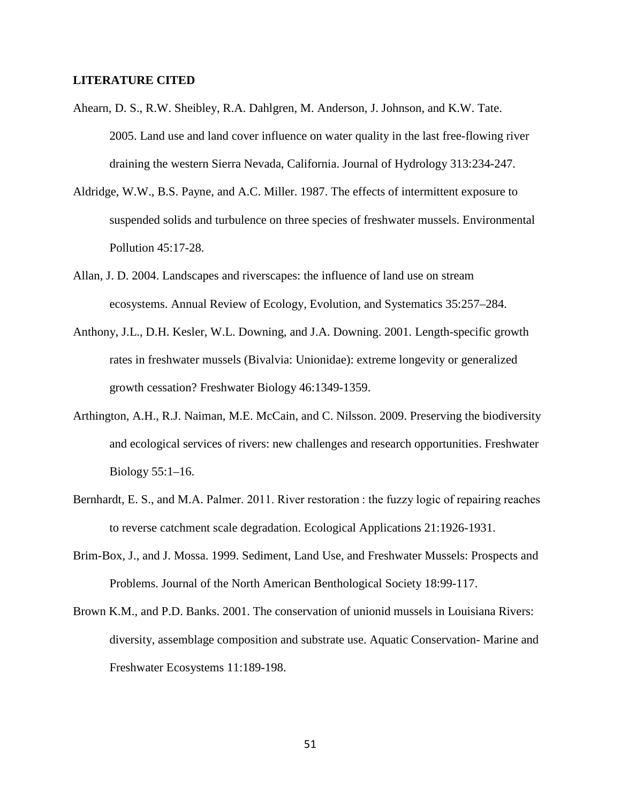## **LITERATURE CITED**

- Ahearn, D. S., R.W. Sheibley, R.A. Dahlgren, M. Anderson, J. Johnson, and K.W. Tate. 2005. Land use and land cover influence on water quality in the last free-flowing river draining the western Sierra Nevada, California. Journal of Hydrology 313:234-247.
- Aldridge, W.W., B.S. Payne, and A.C. Miller. 1987. The effects of intermittent exposure to suspended solids and turbulence on three species of freshwater mussels. Environmental Pollution 45:17-28.
- Allan, J. D. 2004. Landscapes and riverscapes: the influence of land use on stream ecosystems. Annual Review of Ecology, Evolution, and Systematics 35:257–284.
- Anthony, J.L., D.H. Kesler, W.L. Downing, and J.A. Downing. 2001. Length-specific growth rates in freshwater mussels (Bivalvia: Unionidae): extreme longevity or generalized growth cessation? Freshwater Biology 46:1349-1359.
- Arthington, A.H., R.J. Naiman, M.E. McCain, and C. Nilsson. 2009. Preserving the biodiversity and ecological services of rivers: new challenges and research opportunities. Freshwater Biology 55:1–16.
- Bernhardt, E. S., and M.A. Palmer. 2011. River restoration : the fuzzy logic of repairing reaches to reverse catchment scale degradation. Ecological Applications 21:1926-1931.
- Brim-Box, J., and J. Mossa. 1999. Sediment, Land Use, and Freshwater Mussels: Prospects and Problems. Journal of the North American Benthological Society 18:99-117.
- Brown K.M., and P.D. Banks. 2001. The conservation of unionid mussels in Louisiana Rivers: diversity, assemblage composition and substrate use. Aquatic Conservation- Marine and Freshwater Ecosystems 11:189-198.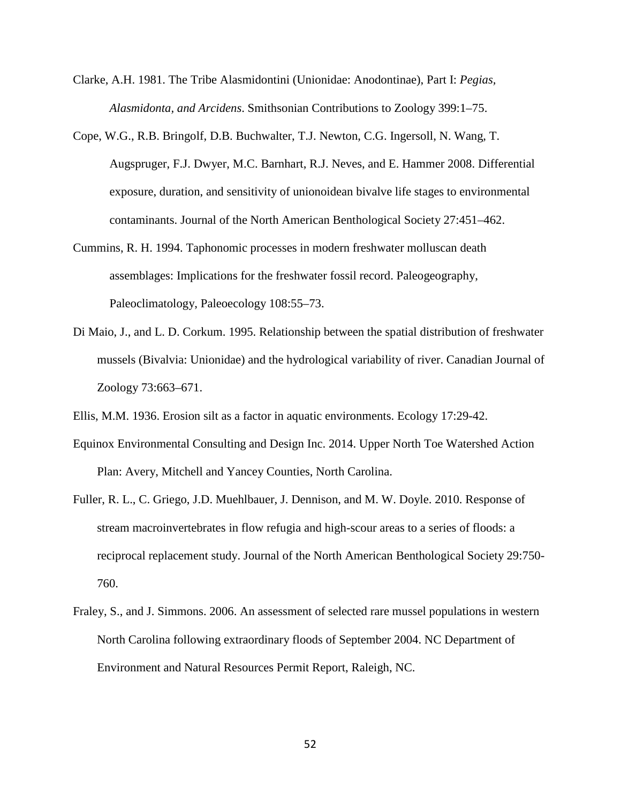- Clarke, A.H. 1981. The Tribe Alasmidontini (Unionidae: Anodontinae), Part I: *Pegias, Alasmidonta, and Arcidens*. Smithsonian Contributions to Zoology 399:1–75.
- Cope, W.G., R.B. Bringolf, D.B. Buchwalter, T.J. Newton, C.G. Ingersoll, N. Wang, T. Augspruger, F.J. Dwyer, M.C. Barnhart, R.J. Neves, and E. Hammer 2008. Differential exposure, duration, and sensitivity of unionoidean bivalve life stages to environmental contaminants. Journal of the North American Benthological Society 27:451–462.
- Cummins, R. H. 1994. Taphonomic processes in modern freshwater molluscan death assemblages: Implications for the freshwater fossil record. Paleogeography, Paleoclimatology, Paleoecology 108:55–73.
- Di Maio, J., and L. D. Corkum. 1995. Relationship between the spatial distribution of freshwater mussels (Bivalvia: Unionidae) and the hydrological variability of river. Canadian Journal of Zoology 73:663–671.
- Ellis, M.M. 1936. Erosion silt as a factor in aquatic environments. Ecology 17:29-42.
- Equinox Environmental Consulting and Design Inc. 2014. Upper North Toe Watershed Action Plan: Avery, Mitchell and Yancey Counties, North Carolina.
- Fuller, R. L., C. Griego, J.D. Muehlbauer, J. Dennison, and M. W. Doyle. 2010. Response of stream macroinvertebrates in flow refugia and high-scour areas to a series of floods: a reciprocal replacement study. Journal of the North American Benthological Society 29:750- 760.
- Fraley, S., and J. Simmons. 2006. An assessment of selected rare mussel populations in western North Carolina following extraordinary floods of September 2004. NC Department of Environment and Natural Resources Permit Report, Raleigh, NC.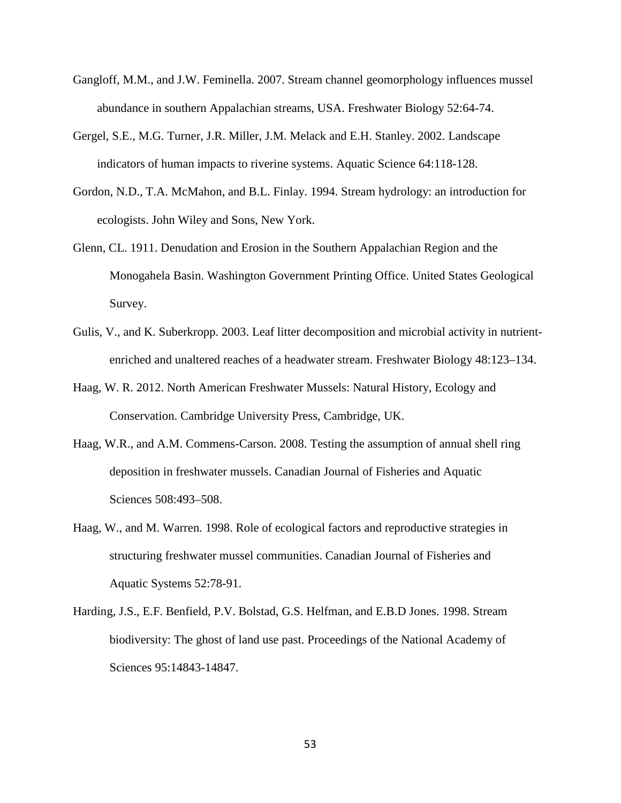- Gangloff, M.M., and J.W. Feminella. 2007. Stream channel geomorphology influences mussel abundance in southern Appalachian streams, USA. Freshwater Biology 52:64-74.
- Gergel, S.E., M.G. Turner, J.R. Miller, J.M. Melack and E.H. Stanley. 2002. Landscape indicators of human impacts to riverine systems. Aquatic Science 64:118-128.
- Gordon, N.D., T.A. McMahon, and B.L. Finlay. 1994. Stream hydrology: an introduction for ecologists. John Wiley and Sons, New York.
- Glenn, CL. 1911. Denudation and Erosion in the Southern Appalachian Region and the Monogahela Basin. Washington Government Printing Office. United States Geological Survey.
- Gulis, V., and K. Suberkropp. 2003. Leaf litter decomposition and microbial activity in nutrientenriched and unaltered reaches of a headwater stream. Freshwater Biology 48:123–134.
- Haag, W. R. 2012. North American Freshwater Mussels: Natural History, Ecology and Conservation. Cambridge University Press, Cambridge, UK.
- Haag, W.R., and A.M. Commens-Carson. 2008. Testing the assumption of annual shell ring deposition in freshwater mussels. Canadian Journal of Fisheries and Aquatic Sciences 508:493–508.
- Haag, W., and M. Warren. 1998. Role of ecological factors and reproductive strategies in structuring freshwater mussel communities. Canadian Journal of Fisheries and Aquatic Systems 52:78-91.
- Harding, J.S., E.F. Benfield, P.V. Bolstad, G.S. Helfman, and E.B.D Jones. 1998. Stream biodiversity: The ghost of land use past. Proceedings of the National Academy of Sciences 95:14843-14847.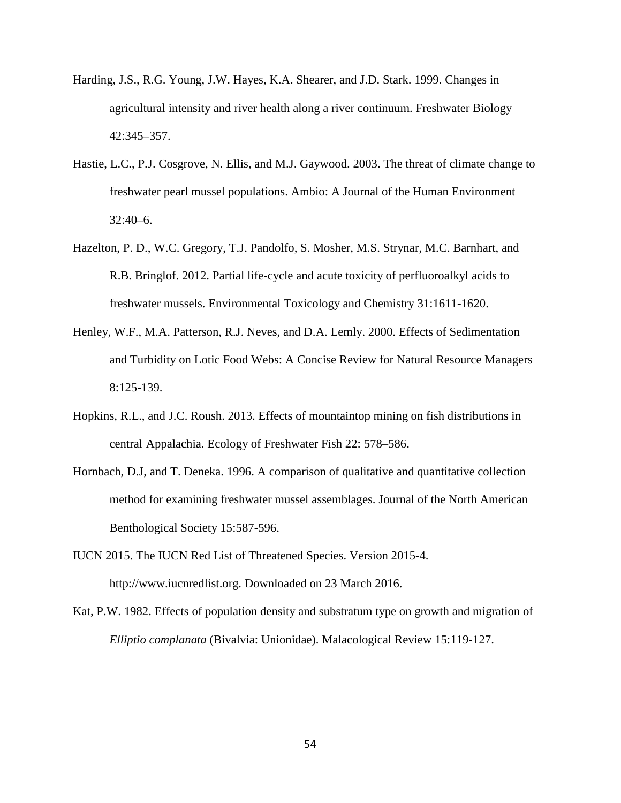- Harding, J.S., R.G. Young, J.W. Hayes, K.A. Shearer, and J.D. Stark. 1999. Changes in agricultural intensity and river health along a river continuum. Freshwater Biology 42:345–357.
- Hastie, L.C., P.J. Cosgrove, N. Ellis, and M.J. Gaywood. 2003. The threat of climate change to freshwater pearl mussel populations. Ambio: A Journal of the Human Environment  $32:40-6$ .
- Hazelton, P. D., W.C. Gregory, T.J. Pandolfo, S. Mosher, M.S. Strynar, M.C. Barnhart, and R.B. Bringlof. 2012. Partial life-cycle and acute toxicity of perfluoroalkyl acids to freshwater mussels. Environmental Toxicology and Chemistry 31:1611-1620.
- Henley, W.F., M.A. Patterson, R.J. Neves, and D.A. Lemly. 2000. Effects of Sedimentation and Turbidity on Lotic Food Webs: A Concise Review for Natural Resource Managers 8:125-139.
- Hopkins, R.L., and J.C. Roush. 2013. Effects of mountaintop mining on fish distributions in central Appalachia. Ecology of Freshwater Fish 22: 578–586.
- Hornbach, D.J, and T. Deneka. 1996. A comparison of qualitative and quantitative collection method for examining freshwater mussel assemblages. Journal of the North American Benthological Society 15:587-596.
- IUCN 2015. The IUCN Red List of Threatened Species. Version 2015-4. http://www.iucnredlist.org. Downloaded on 23 March 2016.
- Kat, P.W. 1982. Effects of population density and substratum type on growth and migration of *Elliptio complanata* (Bivalvia: Unionidae). Malacological Review 15:119-127.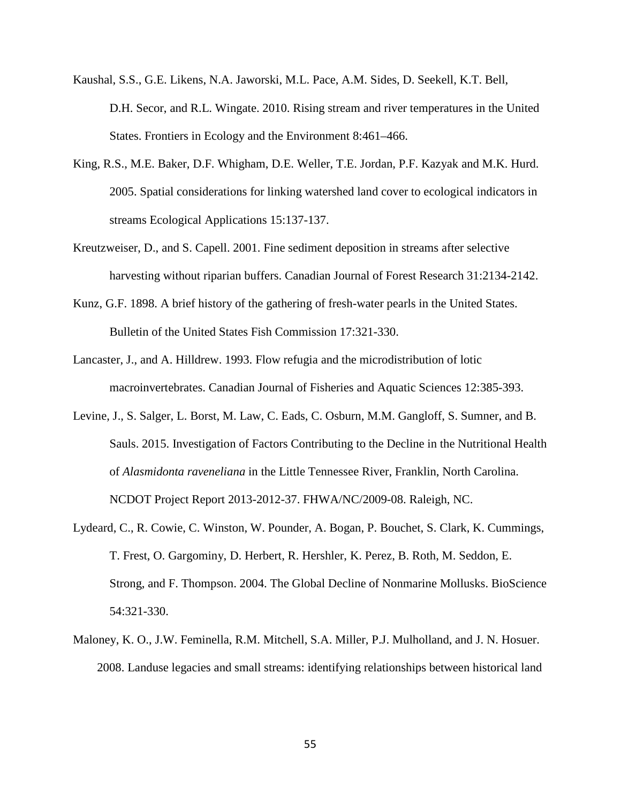- Kaushal, S.S., G.E. Likens, N.A. Jaworski, M.L. Pace, A.M. Sides, D. Seekell, K.T. Bell, D.H. Secor, and R.L. Wingate. 2010. Rising stream and river temperatures in the United States. Frontiers in Ecology and the Environment 8:461–466.
- King, R.S., M.E. Baker, D.F. Whigham, D.E. Weller, T.E. Jordan, P.F. Kazyak and M.K. Hurd. 2005. Spatial considerations for linking watershed land cover to ecological indicators in streams Ecological Applications 15:137-137.
- Kreutzweiser, D., and S. Capell. 2001. Fine sediment deposition in streams after selective harvesting without riparian buffers. Canadian Journal of Forest Research 31:2134-2142.
- Kunz, G.F. 1898. A brief history of the gathering of fresh-water pearls in the United States. Bulletin of the United States Fish Commission 17:321-330.
- Lancaster, J., and A. Hilldrew. 1993. Flow refugia and the microdistribution of lotic macroinvertebrates. Canadian Journal of Fisheries and Aquatic Sciences 12:385-393.
- Levine, J., S. Salger, L. Borst, M. Law, C. Eads, C. Osburn, M.M. Gangloff, S. Sumner, and B. Sauls. 2015. Investigation of Factors Contributing to the Decline in the Nutritional Health of *Alasmidonta raveneliana* in the Little Tennessee River, Franklin, North Carolina. NCDOT Project Report 2013-2012-37. FHWA/NC/2009-08. Raleigh, NC.
- Lydeard, C., R. Cowie, C. Winston, W. Pounder, A. Bogan, P. Bouchet, S. Clark, K. Cummings, T. Frest, O. Gargominy, D. Herbert, R. Hershler, K. Perez, B. Roth, M. Seddon, E. Strong, and F. Thompson. 2004. The Global Decline of Nonmarine Mollusks. BioScience 54:321-330.
- Maloney, K. O., J.W. Feminella, R.M. Mitchell, S.A. Miller, P.J. Mulholland, and J. N. Hosuer. 2008. Landuse legacies and small streams: identifying relationships between historical land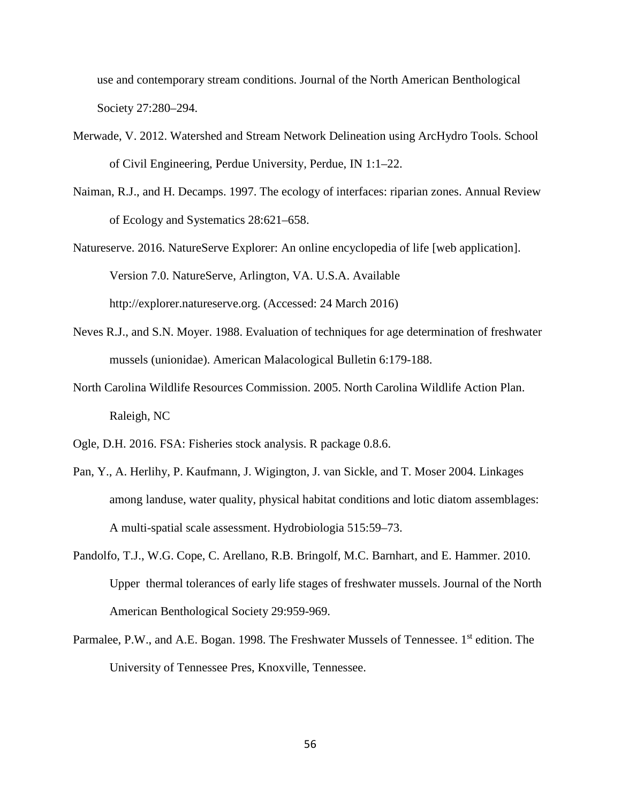use and contemporary stream conditions. Journal of the North American Benthological Society 27:280–294.

- Merwade, V. 2012. Watershed and Stream Network Delineation using ArcHydro Tools. School of Civil Engineering, Perdue University, Perdue, IN 1:1–22.
- Naiman, R.J., and H. Decamps. 1997. The ecology of interfaces: riparian zones. Annual Review of Ecology and Systematics 28:621–658.
- Natureserve. 2016. NatureServe Explorer: An online encyclopedia of life [web application]. Version 7.0. NatureServe, Arlington, VA. U.S.A. Available http://explorer.natureserve.org. (Accessed: 24 March 2016)
- Neves R.J., and S.N. Moyer. 1988. Evaluation of techniques for age determination of freshwater mussels (unionidae). American Malacological Bulletin 6:179-188.
- North Carolina Wildlife Resources Commission. 2005. North Carolina Wildlife Action Plan. Raleigh, NC
- Ogle, D.H. 2016. FSA: Fisheries stock analysis. R package 0.8.6.
- Pan, Y., A. Herlihy, P. Kaufmann, J. Wigington, J. van Sickle, and T. Moser 2004. Linkages among landuse, water quality, physical habitat conditions and lotic diatom assemblages: A multi-spatial scale assessment. Hydrobiologia 515:59–73.
- Pandolfo, T.J., W.G. Cope, C. Arellano, R.B. Bringolf, M.C. Barnhart, and E. Hammer. 2010. Upper thermal tolerances of early life stages of freshwater mussels. Journal of the North American Benthological Society 29:959-969.
- Parmalee, P.W., and A.E. Bogan. 1998. The Freshwater Mussels of Tennessee. 1<sup>st</sup> edition. The University of Tennessee Pres, Knoxville, Tennessee.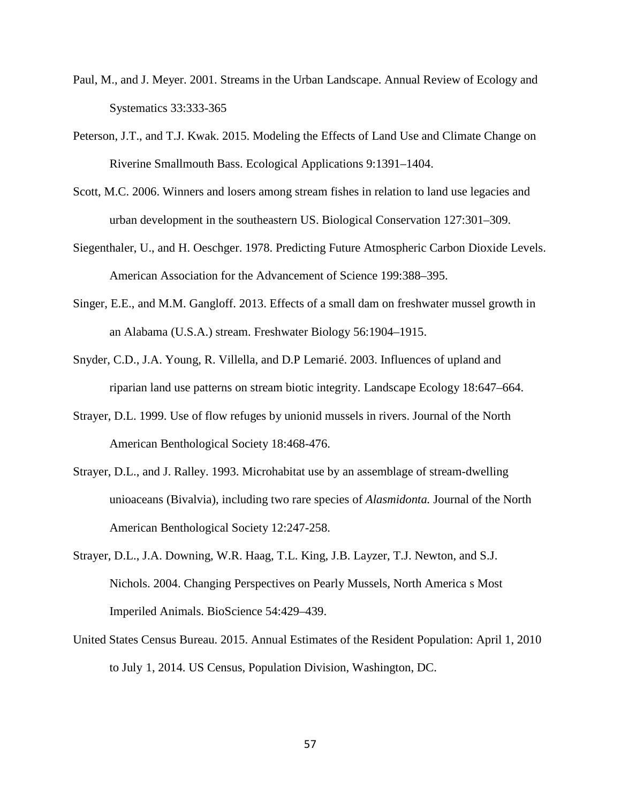- Paul, M., and J. Meyer. 2001. Streams in the Urban Landscape. Annual Review of Ecology and Systematics 33:333-365
- Peterson, J.T., and T.J. Kwak. 2015. Modeling the Effects of Land Use and Climate Change on Riverine Smallmouth Bass. Ecological Applications 9:1391–1404.
- Scott, M.C. 2006. Winners and losers among stream fishes in relation to land use legacies and urban development in the southeastern US. Biological Conservation 127:301–309.
- Siegenthaler, U., and H. Oeschger. 1978. Predicting Future Atmospheric Carbon Dioxide Levels. American Association for the Advancement of Science 199:388–395.
- Singer, E.E., and M.M. Gangloff. 2013. Effects of a small dam on freshwater mussel growth in an Alabama (U.S.A.) stream. Freshwater Biology 56:1904–1915.
- Snyder, C.D., J.A. Young, R. Villella, and D.P Lemarié. 2003. Influences of upland and riparian land use patterns on stream biotic integrity. Landscape Ecology 18:647–664.
- Strayer, D.L. 1999. Use of flow refuges by unionid mussels in rivers. Journal of the North American Benthological Society 18:468-476.
- Strayer, D.L., and J. Ralley. 1993. Microhabitat use by an assemblage of stream-dwelling unioaceans (Bivalvia), including two rare species of *Alasmidonta.* Journal of the North American Benthological Society 12:247-258.
- Strayer, D.L., J.A. Downing, W.R. Haag, T.L. King, J.B. Layzer, T.J. Newton, and S.J. Nichols. 2004. Changing Perspectives on Pearly Mussels, North America s Most Imperiled Animals. BioScience 54:429–439.
- United States Census Bureau. 2015. Annual Estimates of the Resident Population: April 1, 2010 to July 1, 2014. US Census, Population Division, Washington, DC.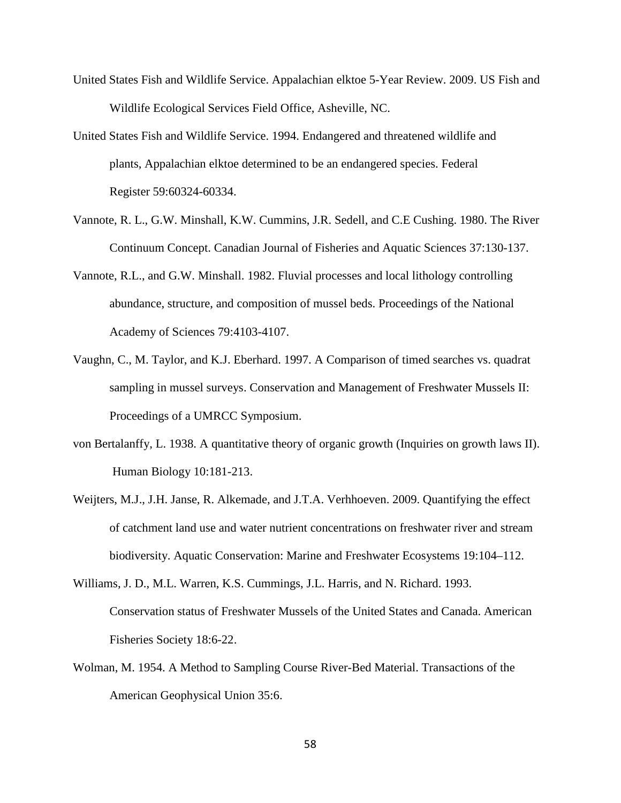- United States Fish and Wildlife Service. Appalachian elktoe 5-Year Review. 2009. US Fish and Wildlife Ecological Services Field Office, Asheville, NC.
- United States Fish and Wildlife Service. 1994. Endangered and threatened wildlife and plants, Appalachian elktoe determined to be an endangered species. Federal Register 59:60324-60334.
- Vannote, R. L., G.W. Minshall, K.W. Cummins, J.R. Sedell, and C.E Cushing. 1980. The River Continuum Concept. Canadian Journal of Fisheries and Aquatic Sciences 37:130-137.
- Vannote, R.L., and G.W. Minshall. 1982. Fluvial processes and local lithology controlling abundance, structure, and composition of mussel beds. Proceedings of the National Academy of Sciences 79:4103-4107.
- Vaughn, C., M. Taylor, and K.J. Eberhard. 1997. A Comparison of timed searches vs. quadrat sampling in mussel surveys. Conservation and Management of Freshwater Mussels II: Proceedings of a UMRCC Symposium.
- von Bertalanffy, L. 1938. A quantitative theory of organic growth (Inquiries on growth laws II). Human Biology 10:181-213.
- Weijters, M.J., J.H. Janse, R. Alkemade, and J.T.A. Verhhoeven. 2009. Quantifying the effect of catchment land use and water nutrient concentrations on freshwater river and stream biodiversity. Aquatic Conservation: Marine and Freshwater Ecosystems 19:104–112.
- Williams, J. D., M.L. Warren, K.S. Cummings, J.L. Harris, and N. Richard. 1993. Conservation status of Freshwater Mussels of the United States and Canada. American Fisheries Society 18:6-22.
- Wolman, M. 1954. A Method to Sampling Course River-Bed Material. Transactions of the American Geophysical Union 35:6.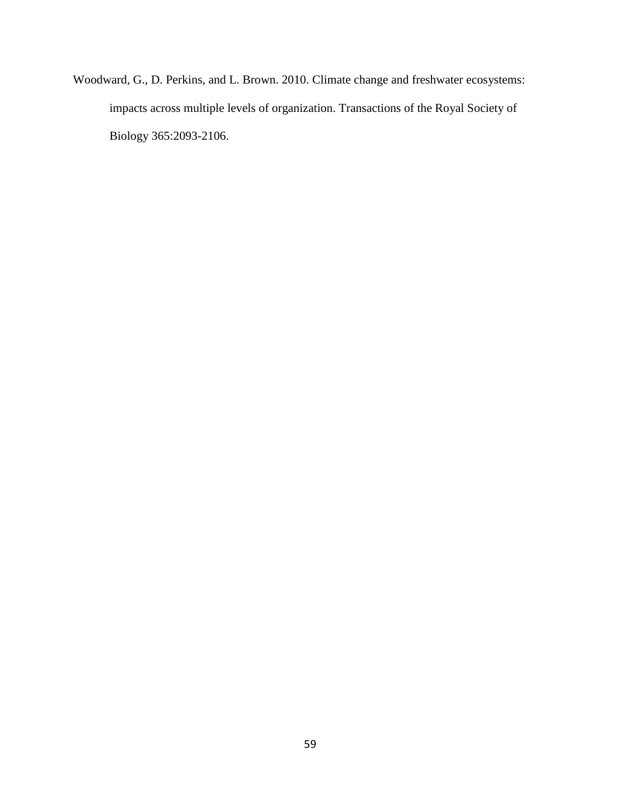Woodward, G., D. Perkins, and L. Brown. 2010. Climate change and freshwater ecosystems: impacts across multiple levels of organization. Transactions of the Royal Society of Biology 365:2093-2106.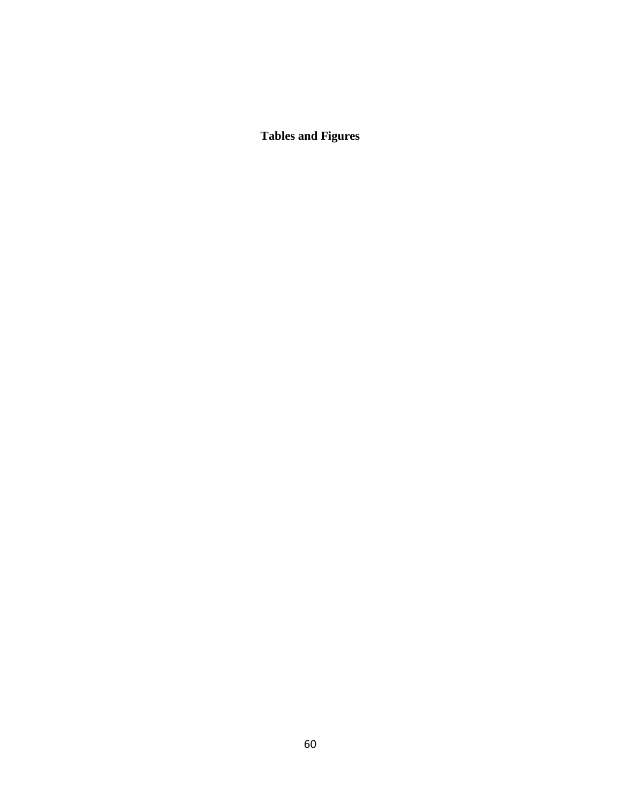**Tables and Figures**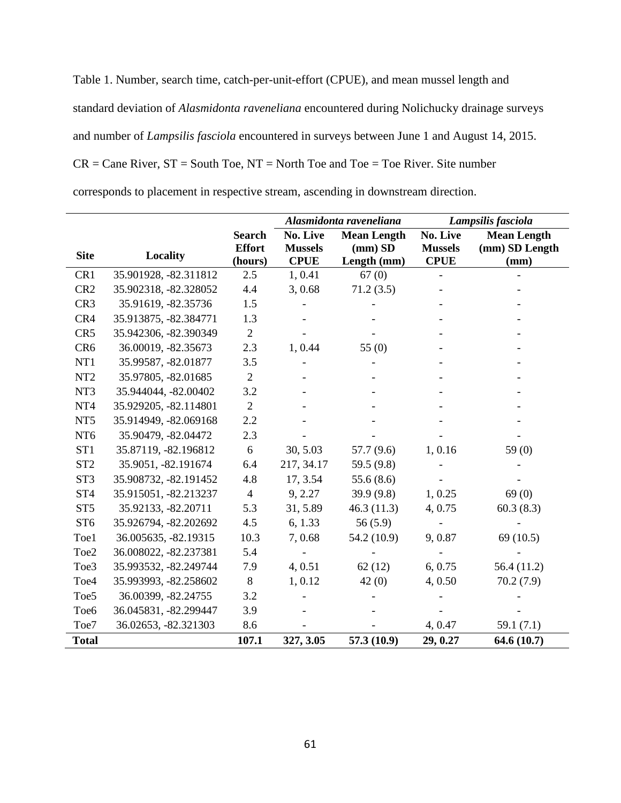Table 1. Number, search time, catch-per-unit-effort (CPUE), and mean mussel length and standard deviation of *Alasmidonta raveneliana* encountered during Nolichucky drainage surveys and number of *Lampsilis fasciola* encountered in surveys between June 1 and August 14, 2015.  $CR = Cane River, ST = South Toe, NT = North Toe and Toe = Toe River. Site number$ corresponds to placement in respective stream, ascending in downstream direction.

|                  |                       |                | Alasmidonta raveneliana |                    | Lampsilis fasciola |                    |
|------------------|-----------------------|----------------|-------------------------|--------------------|--------------------|--------------------|
|                  |                       | <b>Search</b>  | No. Live                | <b>Mean Length</b> | No. Live           | <b>Mean Length</b> |
| <b>Site</b>      | Locality              | <b>Effort</b>  | <b>Mussels</b>          | $(mm)$ SD          | <b>Mussels</b>     | (mm) SD Length     |
|                  |                       | (hours)        | <b>CPUE</b>             | Length (mm)        | <b>CPUE</b>        | (mm)               |
| CR1              | 35.901928, -82.311812 | 2.5            | 1, 0.41                 | 67(0)              |                    |                    |
| CR <sub>2</sub>  | 35.902318, -82.328052 | 4.4            | 3,0.68                  | 71.2(3.5)          |                    |                    |
| CR <sub>3</sub>  | 35.91619, -82.35736   | 1.5            |                         |                    |                    |                    |
| CR4              | 35.913875, -82.384771 | 1.3            |                         |                    |                    |                    |
| CR5              | 35.942306, -82.390349 | $\overline{2}$ |                         |                    |                    |                    |
| CR <sub>6</sub>  | 36.00019, -82.35673   | 2.3            | 1,0.44                  | 55 $(0)$           |                    |                    |
| NT1              | 35.99587, -82.01877   | 3.5            |                         |                    |                    |                    |
| NT <sub>2</sub>  | 35.97805, -82.01685   | $\overline{2}$ |                         |                    |                    |                    |
| NT3              | 35.944044, -82.00402  | 3.2            |                         |                    |                    |                    |
| NT4              | 35.929205, -82.114801 | $\overline{2}$ |                         |                    |                    |                    |
| NT <sub>5</sub>  | 35.914949, -82.069168 | 2.2            |                         |                    |                    |                    |
| NT <sub>6</sub>  | 35.90479, -82.04472   | 2.3            |                         |                    |                    |                    |
| ST <sub>1</sub>  | 35.87119, -82.196812  | 6              | 30, 5.03                | 57.7 (9.6)         | 1, 0.16            | 59 $(0)$           |
| ST <sub>2</sub>  | 35.9051, -82.191674   | 6.4            | 217, 34.17              | 59.5 (9.8)         |                    |                    |
| ST <sub>3</sub>  | 35.908732, -82.191452 | 4.8            | 17, 3.54                | 55.6(8.6)          |                    |                    |
| ST <sub>4</sub>  | 35.915051, -82.213237 | $\overline{4}$ | 9, 2.27                 | 39.9 (9.8)         | 1, 0.25            | 69(0)              |
| ST <sub>5</sub>  | 35.92133, -82.20711   | 5.3            | 31, 5.89                | 46.3(11.3)         | 4, 0.75            | 60.3(8.3)          |
| ST <sub>6</sub>  | 35.926794, -82.202692 | 4.5            | 6, 1.33                 | 56(5.9)            |                    |                    |
| Toe1             | 36.005635, -82.19315  | 10.3           | 7,0.68                  | 54.2 (10.9)        | 9,0.87             | 69(10.5)           |
| Toe2             | 36.008022, -82.237381 | 5.4            |                         |                    |                    |                    |
| Toe3             | 35.993532, -82.249744 | 7.9            | 4, 0.51                 | 62(12)             | 6, 0.75            | 56.4 (11.2)        |
| Toe <sub>4</sub> | 35.993993, -82.258602 | $8\,$          | 1, 0.12                 | 42(0)              | 4,0.50             | 70.2(7.9)          |
| Toe <sub>5</sub> | 36.00399, -82.24755   | 3.2            |                         |                    |                    |                    |
| Toe <sub>6</sub> | 36.045831, -82.299447 | 3.9            |                         |                    |                    |                    |
| Toe7             | 36.02653, -82.321303  | 8.6            |                         |                    | 4, 0.47            | 59.1 $(7.1)$       |
| <b>Total</b>     |                       | 107.1          | 327, 3.05               | 57.3 (10.9)        | 29, 0.27           | 64.6(10.7)         |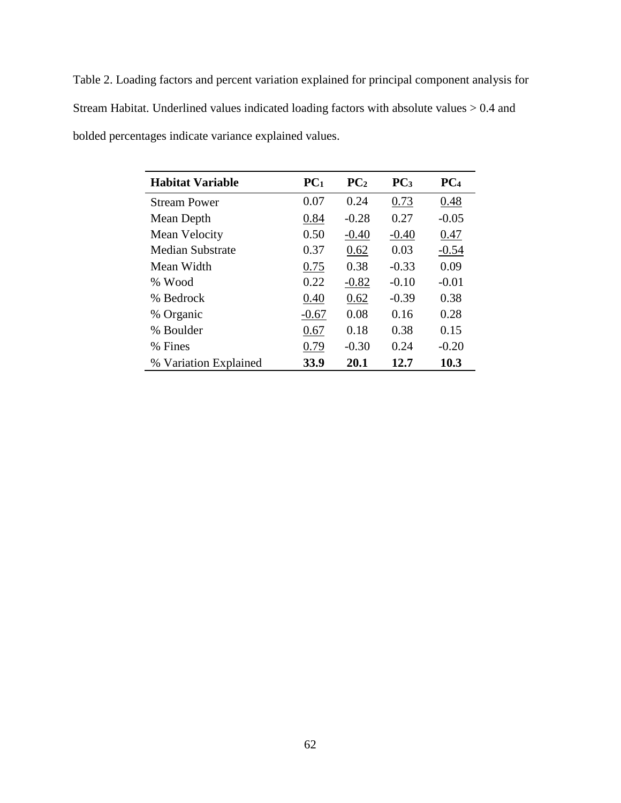Table 2. Loading factors and percent variation explained for principal component analysis for Stream Habitat. Underlined values indicated loading factors with absolute values > 0.4 and bolded percentages indicate variance explained values.

| <b>Habitat Variable</b> | PC <sub>1</sub> | PC <sub>2</sub> | PC <sub>3</sub> | PC <sub>4</sub> |
|-------------------------|-----------------|-----------------|-----------------|-----------------|
| <b>Stream Power</b>     | 0.07            | 0.24            | 0.73            | 0.48            |
| Mean Depth              | 0.84            | $-0.28$         | 0.27            | $-0.05$         |
| Mean Velocity           | 0.50            | $-0.40$         | $-0.40$         | 0.47            |
| <b>Median Substrate</b> | 0.37            | 0.62            | 0.03            | $-0.54$         |
| Mean Width              | 0.75            | 0.38            | $-0.33$         | 0.09            |
| % Wood                  | 0.22            | $-0.82$         | $-0.10$         | $-0.01$         |
| % Bedrock               | 0.40            | 0.62            | $-0.39$         | 0.38            |
| % Organic               | $-0.67$         | 0.08            | 0.16            | 0.28            |
| % Boulder               | 0.67            | 0.18            | 0.38            | 0.15            |
| % Fines                 | 0.79            | $-0.30$         | 0.24            | $-0.20$         |
| % Variation Explained   | 33.9            | 20.1            | 12.7            | 10.3            |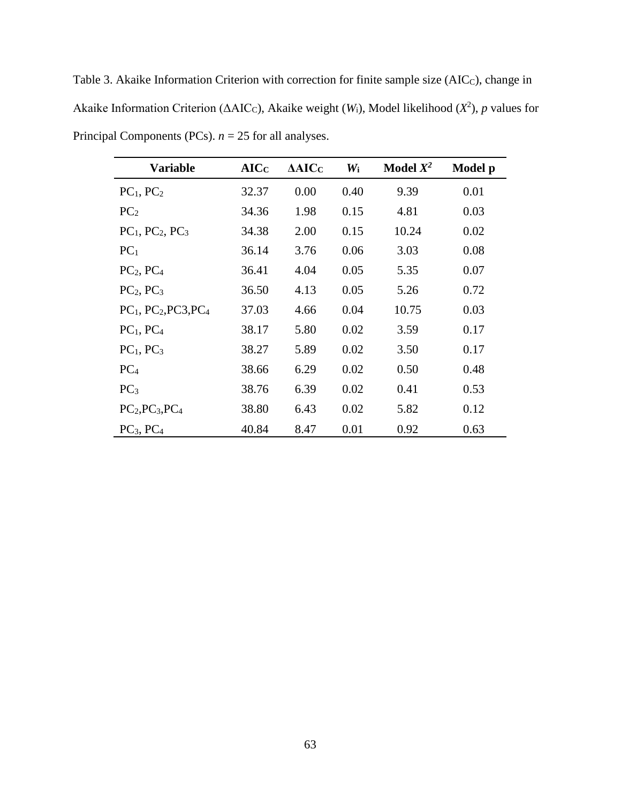Table 3. Akaike Information Criterion with correction for finite sample size (AIC<sub>C</sub>), change in Akaike Information Criterion ( $\triangle AIC_C$ ), Akaike weight (*W*<sub>i</sub>), Model likelihood (*X*<sup>2</sup>), *p* values for Principal Components (PCs). *n* = 25 for all analyses.

| <b>Variable</b>                   | AICC  | $\Delta AIC_C$ | $W_i$ | Model $X^2$ | Model p |
|-----------------------------------|-------|----------------|-------|-------------|---------|
| $PC_1$ , $PC_2$                   | 32.37 | 0.00           | 0.40  | 9.39        | 0.01    |
| PC <sub>2</sub>                   | 34.36 | 1.98           | 0.15  | 4.81        | 0.03    |
| $PC_1$ , $PC_2$ , $PC_3$          | 34.38 | 2.00           | 0.15  | 10.24       | 0.02    |
| $PC_1$                            | 36.14 | 3.76           | 0.06  | 3.03        | 0.08    |
| $PC2$ , $PC4$                     | 36.41 | 4.04           | 0.05  | 5.35        | 0.07    |
| PC <sub>2</sub> , PC <sub>3</sub> | 36.50 | 4.13           | 0.05  | 5.26        | 0.72    |
| $PC1$ , $PC2$ , $PC3$ , $PC4$     | 37.03 | 4.66           | 0.04  | 10.75       | 0.03    |
| $PC_1$ , $PC_4$                   | 38.17 | 5.80           | 0.02  | 3.59        | 0.17    |
| $PC_1$ , $PC_3$                   | 38.27 | 5.89           | 0.02  | 3.50        | 0.17    |
| PC <sub>4</sub>                   | 38.66 | 6.29           | 0.02  | 0.50        | 0.48    |
| PC <sub>3</sub>                   | 38.76 | 6.39           | 0.02  | 0.41        | 0.53    |
| $PC2, PC3, PC4$                   | 38.80 | 6.43           | 0.02  | 5.82        | 0.12    |
| PC <sub>3</sub> , PC <sub>4</sub> | 40.84 | 8.47           | 0.01  | 0.92        | 0.63    |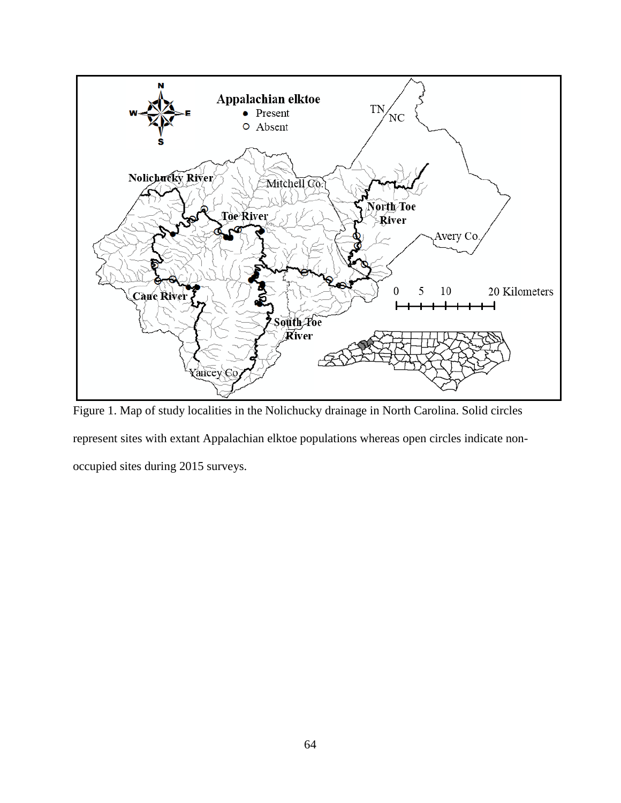

Figure 1. Map of study localities in the Nolichucky drainage in North Carolina. Solid circles represent sites with extant Appalachian elktoe populations whereas open circles indicate nonoccupied sites during 2015 surveys.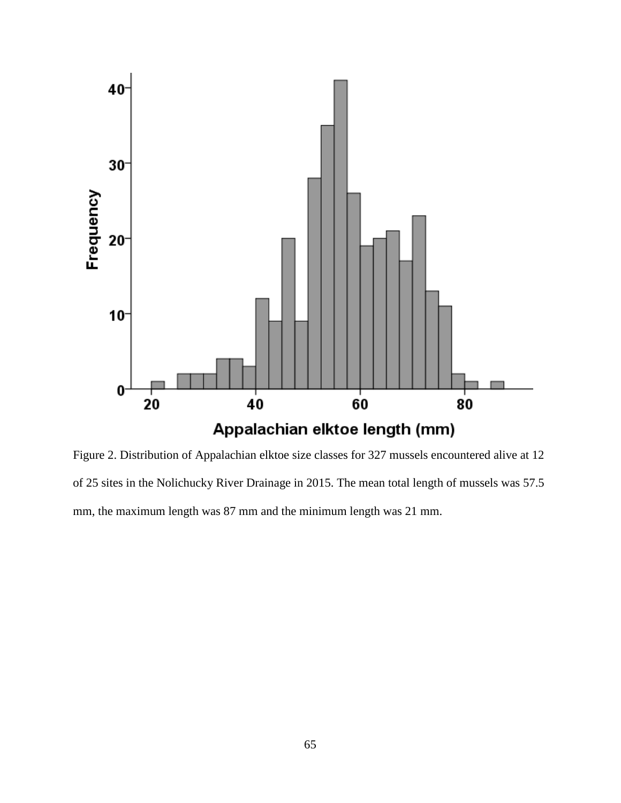

Figure 2. Distribution of Appalachian elktoe size classes for 327 mussels encountered alive at 12 of 25 sites in the Nolichucky River Drainage in 2015. The mean total length of mussels was 57.5 mm, the maximum length was 87 mm and the minimum length was 21 mm.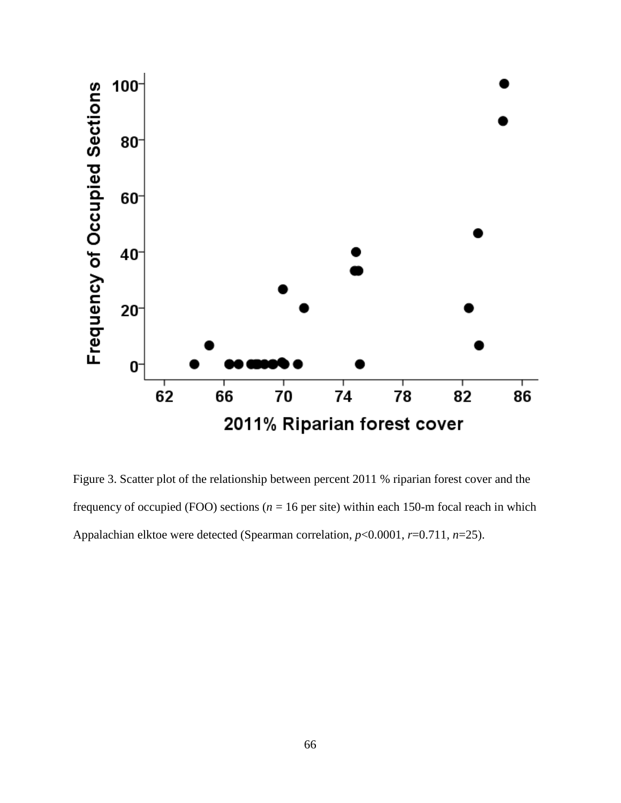

Figure 3. Scatter plot of the relationship between percent 2011 % riparian forest cover and the frequency of occupied (FOO) sections ( $n = 16$  per site) within each 150-m focal reach in which Appalachian elktoe were detected (Spearman correlation, *p*<0.0001, *r*=0.711, *n*=25).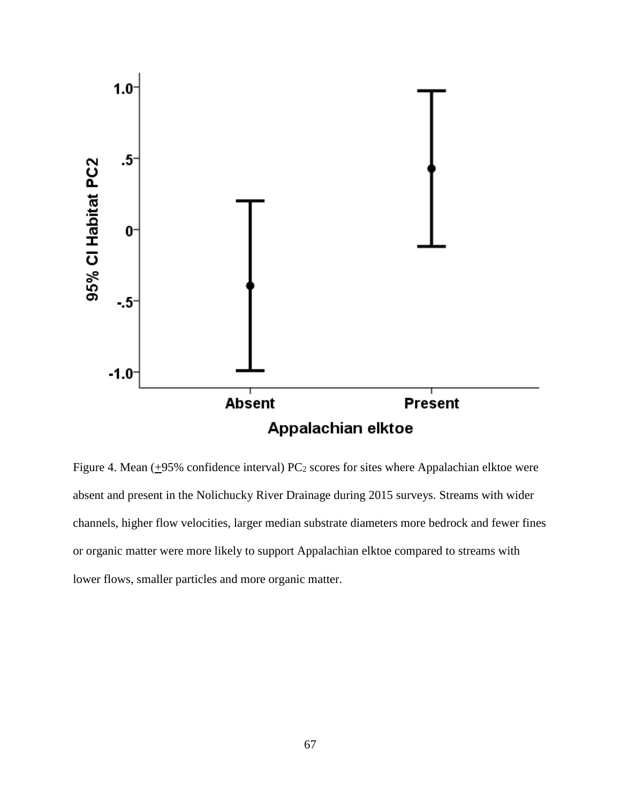

Figure 4. Mean  $(+95\%$  confidence interval) PC<sub>2</sub> scores for sites where Appalachian elktoe were absent and present in the Nolichucky River Drainage during 2015 surveys. Streams with wider channels, higher flow velocities, larger median substrate diameters more bedrock and fewer fines or organic matter were more likely to support Appalachian elktoe compared to streams with lower flows, smaller particles and more organic matter.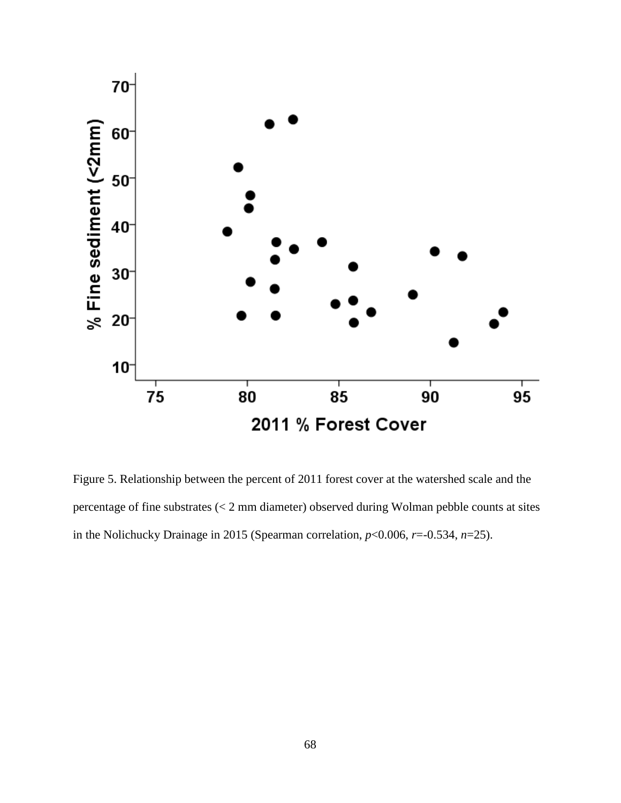

Figure 5. Relationship between the percent of 2011 forest cover at the watershed scale and the percentage of fine substrates (< 2 mm diameter) observed during Wolman pebble counts at sites in the Nolichucky Drainage in 2015 (Spearman correlation,  $p<0.006$ ,  $r=0.534$ ,  $n=25$ ).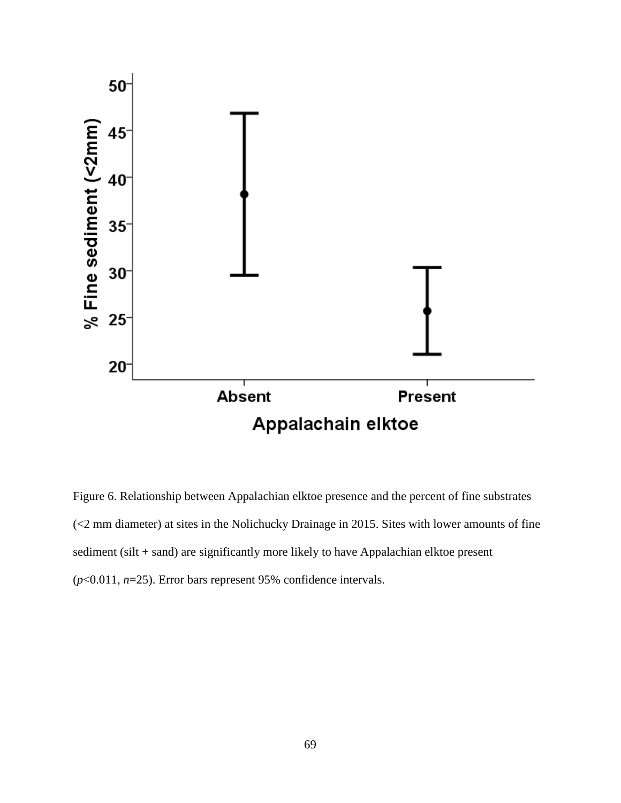

Figure 6. Relationship between Appalachian elktoe presence and the percent of fine substrates (<2 mm diameter) at sites in the Nolichucky Drainage in 2015. Sites with lower amounts of fine sediment (silt + sand) are significantly more likely to have Appalachian elktoe present (*p*<0.011, *n*=25). Error bars represent 95% confidence intervals.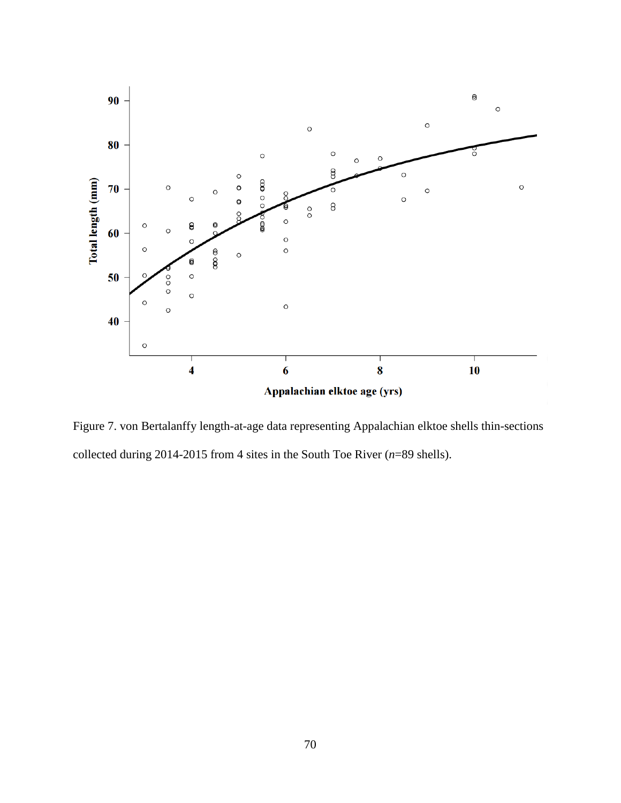

Figure 7. von Bertalanffy length-at-age data representing Appalachian elktoe shells thin-sections collected during 2014-2015 from 4 sites in the South Toe River (*n*=89 shells).